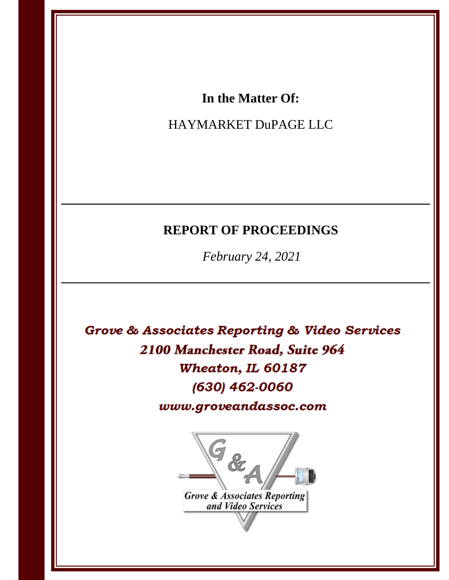# In the Matter Of:

# HAYMARKET DuPAGE LLC

# **REPORT OF PROCEEDINGS**

February 24, 2021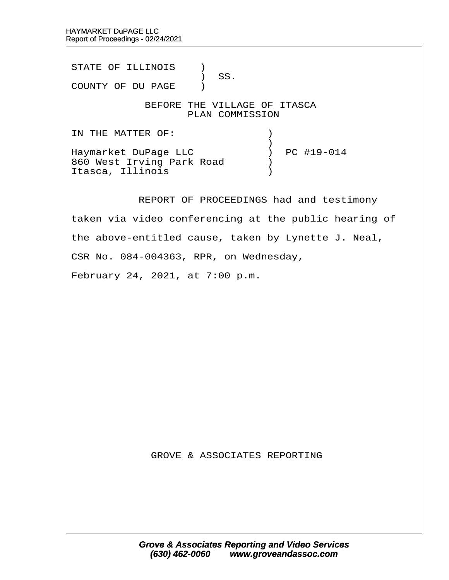STATE OF ILLINOIS )  $\big)$  SS. COUNTY OF DU PAGE ) BEFORE THE VILLAGE OF ITASCA PLAN COMMISSION IN THE MATTER OF:  $\qquad \qquad$  )  $\hspace{0.5cm}$   $\hspace{0.5cm}$   $\hspace{0.5cm}$   $\hspace{0.5cm}$   $\hspace{0.5cm}$   $\hspace{0.5cm}$   $\hspace{0.5cm}$   $\hspace{0.5cm}$   $\hspace{0.5cm}$   $\hspace{0.5cm}$   $\hspace{0.5cm}$   $\hspace{0.5cm}$   $\hspace{0.5cm}$   $\hspace{0.5cm}$   $\hspace{0.5cm}$   $\hspace{0.5cm}$   $\hspace{0.5cm}$   $\hspace{0.5cm}$   $\hspace{$ Haymarket DuPage LLC  $\qquad \qquad$  ) PC #19-014 860 West Irving Park Road  $\qquad$ Itasca, Illinois (1998) REPORT OF PROCEEDINGS had and testimony taken via video conferencing at the public hearing of the above-entitled cause, taken by Lynette J. Neal, CSR No. 084-004363, RPR, on Wednesday, February 24, 2021, at 7:00 p.m.

**GROVE & ASSOCIATES REPORTING**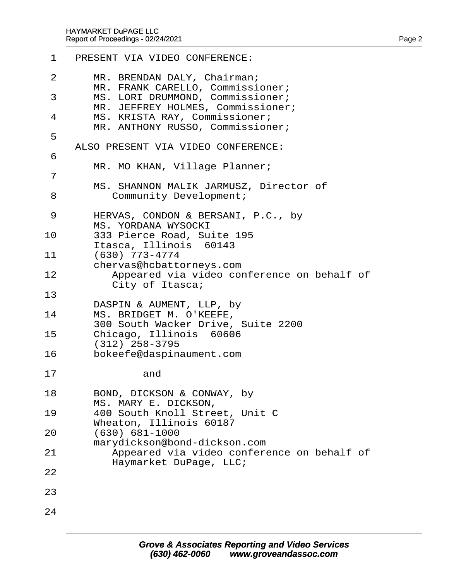| 1      | PRESENT VIA VIDEO CONFERENCE:                                           |
|--------|-------------------------------------------------------------------------|
| 2      | MR. BRENDAN DALY, Chairman;<br>MR. FRANK CARELLO, Commissioner;         |
| 3      | MS. LORI DRUMMOND, Commissioner;<br>MR. JEFFREY HOLMES, Commissioner;   |
| 4      | MS. KRISTA RAY, Commissioner;<br>MR. ANTHONY RUSSO, Commissioner;       |
| 5      | ALSO PRESENT VIA VIDEO CONFERENCE:                                      |
| 6      | MR. MO KHAN, Village Planner;                                           |
| 7<br>8 | MS. SHANNON MALIK JARMUSZ, Director of<br><b>Community Development;</b> |
| 9      | HERVAS, CONDON & BERSANI, P.C., by<br><b>MS. YORDANA WYSOCKI</b>        |
| 10     | 333 Pierce Road, Suite 195<br>Itasca, Illinois 60143                    |
| 11     | (630) 773-4774<br>chervas@hcbattorneys.com                              |
| 12     | Appeared via video conference on behalf of<br>City of Itasca;           |
| 13     | DASPIN & AUMENT, LLP, by                                                |
| 14     | MS. BRIDGET M. O'KEEFE,<br>300 South Wacker Drive, Suite 2200           |
| 15     | Chicago, Illinois 60606<br>$(312)$ 258-3795                             |
| 16     | bokeefe@daspinaument.com                                                |
| 17     | and                                                                     |
| 18     | BOND, DICKSON & CONWAY, by<br>MS. MARY E. DICKSON,                      |
| 19     | 400 South Knoll Street, Unit C<br>Wheaton, Illinois 60187               |
| 20     | $(630) 681 - 1000$<br>marydickson@bond-dickson.com                      |
| 21     | Appeared via video conference on behalf of<br>Haymarket DuPage, LLC;    |
| 22     |                                                                         |
| 23     |                                                                         |
| 24     |                                                                         |
|        |                                                                         |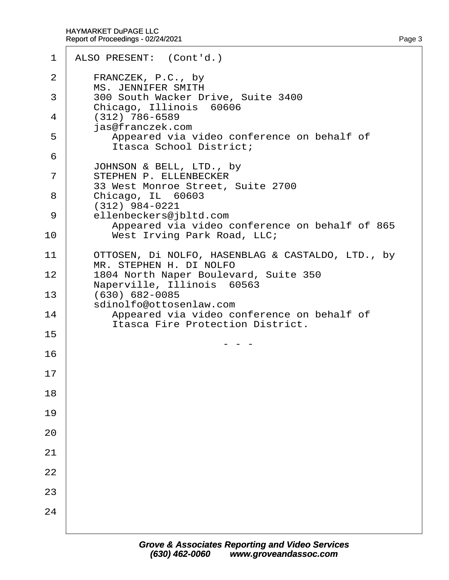| 1      | ALSO PRESENT: (Cont'd.)                                                                   |
|--------|-------------------------------------------------------------------------------------------|
| 2      | FRANCZEK, P.C., by                                                                        |
| 3      | <b>MS. JENNIFER SMITH</b><br>300 South Wacker Drive, Suite 3400                           |
| 4      | Chicago, Illinois 60606<br>$(312)$ 786-6589                                               |
| 5      | jas@franczek.com<br>Appeared via video conference on behalf of<br>Itasca School District; |
| 6<br>7 | JOHNSON & BELL, LTD., by<br>STEPHEN P. ELLENBECKER                                        |
| 8      | 33 West Monroe Street, Suite 2700<br>Chicago, IL 60603                                    |
| 9      | (312) 984-0221<br>ellenbeckers@jbltd.com                                                  |
| 10     | Appeared via video conference on behalf of 865<br>West Irving Park Road, LLC;             |
| 11     | OTTOSEN, Di NOLFO, HASENBLAG & CASTALDO, LTD., by                                         |
| 12     | MR. STEPHEN H. DI NOLFO<br>1804 North Naper Boulevard, Suite 350                          |
| 13     | Naperville, Illinois 60563<br>(630) 682-0085                                              |
| 14     | sdinolfo@ottosenlaw.com<br>Appeared via video conference on behalf of                     |
| 15     | <b>Itasca Fire Protection District.</b>                                                   |
| 16     |                                                                                           |
| 17     |                                                                                           |
| 18     |                                                                                           |
| 19     |                                                                                           |
| 20     |                                                                                           |
| 21     |                                                                                           |
| 22     |                                                                                           |
| 23     |                                                                                           |
| 24     |                                                                                           |
|        |                                                                                           |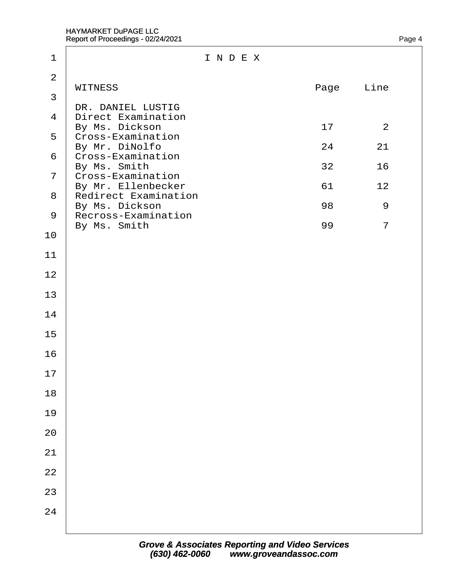| $\overline{2}$<br><b>WITNESS</b><br>Page<br>Line<br>3<br>DR. DANIEL LUSTIG<br>4 Direct Examination<br>By Ms. Dickson<br>17<br>2<br>5 Cross-Examination<br>By Mr. DiNolfo<br>24<br>21<br>6 Cross-Examination<br>By Ms. Smith<br>32<br>16<br>7 ¢ross-Examination<br>By Mr. Ellenbecker<br>61<br>12<br>8 Redirect Examination<br>By Ms. Dickson<br>98<br>9<br>9 Recross-Examination<br>By Ms. Smith<br>99<br>$\overline{7}$<br>10<br>11<br>12<br>13<br>14<br>15<br>16<br>17<br>18<br>19<br>20<br>21<br>22<br>24 | 1  | INDEX |  |  |  |
|--------------------------------------------------------------------------------------------------------------------------------------------------------------------------------------------------------------------------------------------------------------------------------------------------------------------------------------------------------------------------------------------------------------------------------------------------------------------------------------------------------------|----|-------|--|--|--|
|                                                                                                                                                                                                                                                                                                                                                                                                                                                                                                              |    |       |  |  |  |
|                                                                                                                                                                                                                                                                                                                                                                                                                                                                                                              |    |       |  |  |  |
|                                                                                                                                                                                                                                                                                                                                                                                                                                                                                                              |    |       |  |  |  |
|                                                                                                                                                                                                                                                                                                                                                                                                                                                                                                              |    |       |  |  |  |
|                                                                                                                                                                                                                                                                                                                                                                                                                                                                                                              |    |       |  |  |  |
|                                                                                                                                                                                                                                                                                                                                                                                                                                                                                                              |    |       |  |  |  |
|                                                                                                                                                                                                                                                                                                                                                                                                                                                                                                              | 23 |       |  |  |  |
|                                                                                                                                                                                                                                                                                                                                                                                                                                                                                                              |    |       |  |  |  |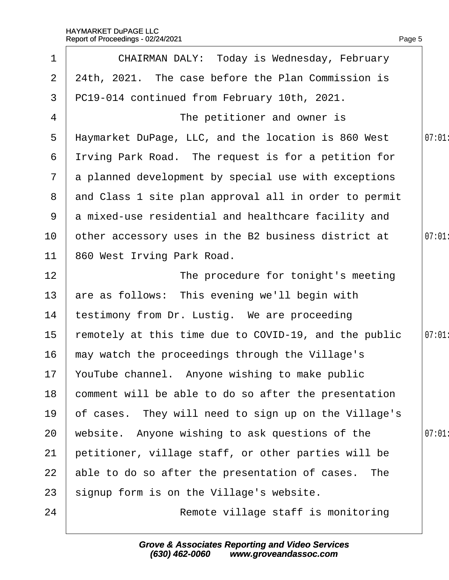| $\mathbf 1$    | <b>CHAIRMAN DALY: Today is Wednesday, February</b>    |       |
|----------------|-------------------------------------------------------|-------|
| $\overline{2}$ | 24th, 2021. The case before the Plan Commission is    |       |
| 3              | PC19-014 continued from February 10th, 2021.          |       |
| 4              | The petitioner and owner is                           |       |
| 5              | Haymarket DuPage, LLC, and the location is 860 West   | 07:01 |
| 6              | Itving Park Road. The request is for a petition for   |       |
| $\overline{7}$ | a planned development by special use with exceptions  |       |
| 8              | and Class 1 site plan approval all in order to permit |       |
| 9              | a mixed-use residential and healthcare facility and   |       |
| 10             | other accessory uses in the B2 business district at   | 07:01 |
| 11             | 860 West Irving Park Road.                            |       |
| 12             | The procedure for tonight's meeting                   |       |
| 13             | are as follows: This evening we'll begin with         |       |
| 14             | testimony from Dr. Lustig. We are proceeding          |       |
| 15             | remotely at this time due to COVID-19, and the public | 07:01 |
| 16             | may watch the proceedings through the Village's       |       |
|                | 17 YouTube channel. Anyone wishing to make public     |       |
| 18             | comment will be able to do so after the presentation  |       |
| 19             | of cases. They will need to sign up on the Village's  |       |
| 20             | website. Anyone wishing to ask questions of the       | 07:01 |
| 21             | petitioner, village staff, or other parties will be   |       |
| 22             | able to do so after the presentation of cases. The    |       |
| 23             | signup form is on the Village's website.              |       |
| 24             | Remote village staff is monitoring                    |       |
|                |                                                       |       |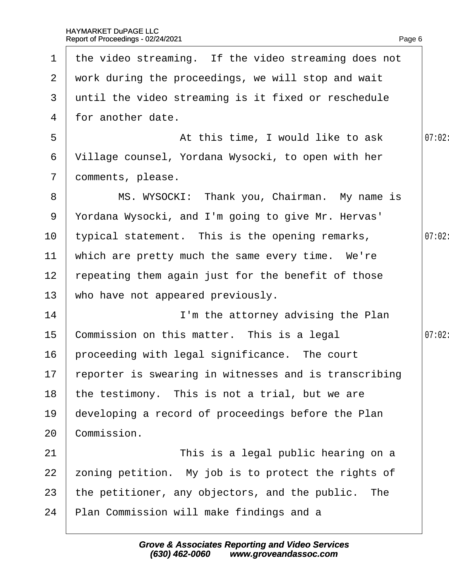h

|                 | 1 the video streaming. If the video streaming does not |        |
|-----------------|--------------------------------------------------------|--------|
|                 | 2 work during the proceedings, we will stop and wait   |        |
| 3 <sup>1</sup>  | until the video streaming is it fixed or reschedule    |        |
| 4               | for another date.                                      |        |
| 5               | At this time, I would like to ask                      | 07:02  |
| 6               | Village counsel, Yordana Wysocki, to open with her     |        |
| $\mathbf{7}$    | domments, please.                                      |        |
| 8               | MS. WYSOCKI: Thank you, Chairman. My name is           |        |
| 9               | Yordana Wysocki, and I'm going to give Mr. Hervas'     |        |
| 10 <sup>°</sup> | typical statement. This is the opening remarks,        | 07:02  |
| 11              | which are pretty much the same every time. We're       |        |
| 12 <sup>2</sup> | repeating them again just for the benefit of those     |        |
| 13              | who have not appeared previously.                      |        |
| 14              | I'm the attorney advising the Plan                     |        |
| 15              | Commission on this matter. This is a legal             | 07:02: |
| 16              | proceeding with legal significance. The court          |        |
| 17 <sub>1</sub> | reporter is swearing in witnesses and is transcribing  |        |
| 18              | the testimony. This is not a trial, but we are         |        |
| 19              | developing a record of proceedings before the Plan     |        |
| 20              | Commission.                                            |        |
| 21              | This is a legal public hearing on a                    |        |
| 22              | zoning petition. My job is to protect the rights of    |        |
| 23              | the petitioner, any objectors, and the public. The     |        |
| 24              | Plan Commission will make findings and a               |        |
|                 |                                                        |        |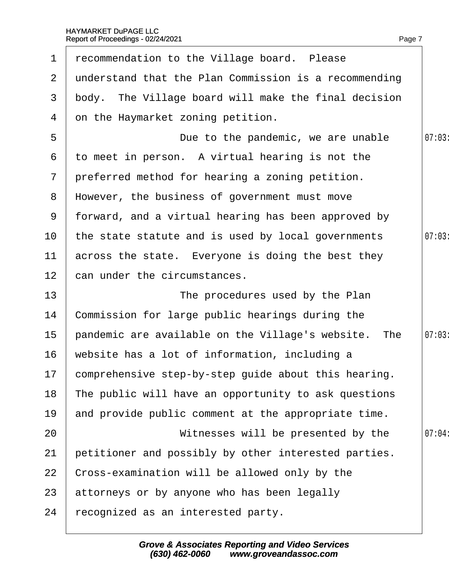| $\mathbf 1$     | recommendation to the Village board. Please             |        |
|-----------------|---------------------------------------------------------|--------|
|                 | 2 understand that the Plan Commission is a recommending |        |
| 3 <sup>1</sup>  | body. The Village board will make the final decision    |        |
| 4               | on the Haymarket zoning petition.                       |        |
| 5               | Due to the pandemic, we are unable                      | 07:03  |
| 6               | to meet in person. A virtual hearing is not the         |        |
| 7 <sup>7</sup>  | preferred method for hearing a zoning petition.         |        |
|                 | 8 However, the business of government must move         |        |
| 9               | forward, and a virtual hearing has been approved by     |        |
| 10              | the state statute and is used by local governments      | 07:03  |
| 11              | across the state. Everyone is doing the best they       |        |
| 12 <sup>7</sup> | can under the circumstances.                            |        |
| 13              | The procedures used by the Plan                         |        |
| 14              | Commission for large public hearings during the         |        |
| 15 <sub>1</sub> | pandemic are available on the Village's website. The    | 07:03: |
| 16              | website has a lot of information, including a           |        |
|                 | 17 comprehensive step-by-step guide about this hearing. |        |
| 18              | The public will have an opportunity to ask questions    |        |
| 19              | and provide public comment at the appropriate time.     |        |
| 20              | Witnesses will be presented by the                      | 07:04  |
| 21              | petitioner and possibly by other interested parties.    |        |
| 22              | Cross-examination will be allowed only by the           |        |
| 23              | attorneys or by anyone who has been legally             |        |
| 24              | recognized as an interested party.                      |        |
|                 |                                                         |        |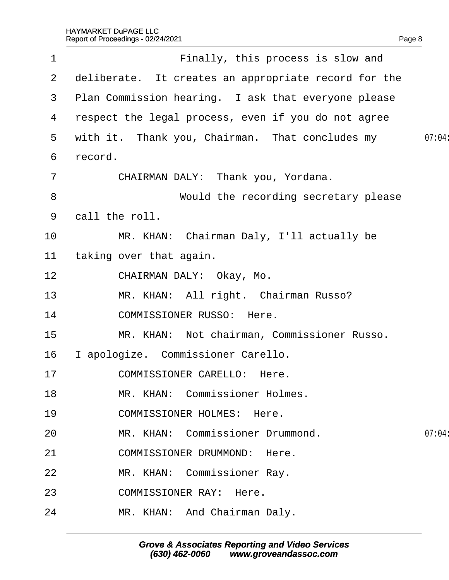| 1              | Finally, this process is slow and                    |        |
|----------------|------------------------------------------------------|--------|
| $\overline{2}$ | deliberate. It creates an appropriate record for the |        |
| 3              | Plan Commission hearing. I ask that everyone please  |        |
| 4              | respect the legal process, even if you do not agree  |        |
| 5              | with it. Thank you, Chairman. That concludes my      | 07:04: |
| 6              | record.                                              |        |
| $\overline{7}$ | CHAIRMAN DALY: Thank you, Yordana.                   |        |
| 8              | Would the recording secretary please                 |        |
| 9              | dall the roll.                                       |        |
| 10             | MR. KHAN: Chairman Daly, I'll actually be            |        |
| 11             | taking over that again.                              |        |
| 12             | CHAIRMAN DALY: Okay, Mo.                             |        |
| 13             | MR. KHAN: All right. Chairman Russo?                 |        |
| 14             | <b>COMMISSIONER RUSSO: Here.</b>                     |        |
| 15             | MR. KHAN: Not chairman, Commissioner Russo.          |        |
| 16             | apologize. Commissioner Carello.                     |        |
| 17             | <b>COMMISSIONER CARELLO: Here.</b>                   |        |
| 18             | MR. KHAN: Commissioner Holmes.                       |        |
| 19             | <b>COMMISSIONER HOLMES: Here.</b>                    |        |
| 20             | MR. KHAN: Commissioner Drummond.                     | 07:04  |
| 21             | <b>COMMISSIONER DRUMMOND: Here.</b>                  |        |
| 22             | MR. KHAN: Commissioner Ray.                          |        |
| 23             | <b>COMMISSIONER RAY: Here.</b>                       |        |
| 24             | MR. KHAN: And Chairman Daly.                         |        |
|                |                                                      |        |

Page 8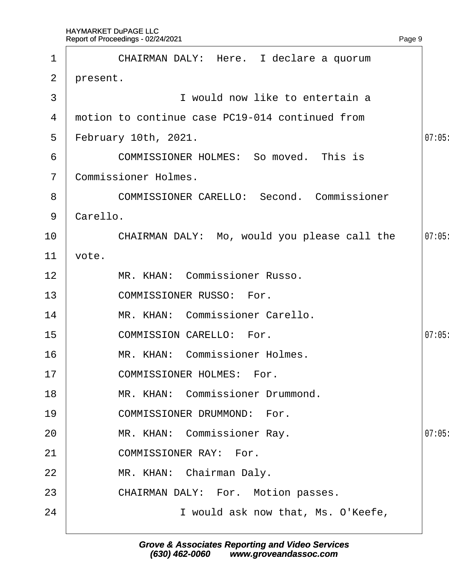|                | Report of Proceedings - 02/24/2021                | Page 9 |
|----------------|---------------------------------------------------|--------|
| $\mathbf 1$    | CHAIRMAN DALY: Here. I declare a quorum           |        |
| $\overline{2}$ | present.                                          |        |
| 3              | I would now like to entertain a                   |        |
| 4              | motion to continue case PC19-014 continued from   |        |
| 5              | February 10th, 2021.                              | 07:05  |
| 6              | <b>COMMISSIONER HOLMES: So moved. This is</b>     |        |
| 7              | <b>Commissioner Holmes.</b>                       |        |
| 8              | <b>COMMISSIONER CARELLO: Second. Commissioner</b> |        |
| 9              | Carello.                                          |        |
| 10             | CHAIRMAN DALY: Mo, would you please call the      | 07:05  |
| 11             | vote.                                             |        |
| 12             | MR. KHAN: Commissioner Russo.                     |        |
| 13             | <b>COMMISSIONER RUSSO: For.</b>                   |        |
| 14             | MR. KHAN: Commissioner Carello.                   |        |
| 15             | <b>COMMISSION CARELLO: For.</b>                   | 07:05  |
| 16             | <b>MR. KHAN: Commissioner Holmes.</b>             |        |
| 17             | <b>COMMISSIONER HOLMES: For.</b>                  |        |
| 18             | MR. KHAN: Commissioner Drummond.                  |        |
| 19             | <b>COMMISSIONER DRUMMOND: For.</b>                |        |
| 20             | MR. KHAN: Commissioner Ray.                       | 07:05  |
| 21             | <b>COMMISSIONER RAY: For.</b>                     |        |
| 22             | MR. KHAN: Chairman Daly.                          |        |
| 23             | CHAIRMAN DALY: For. Motion passes.                |        |
| 24             | I would ask now that, Ms. O'Keefe,                |        |
|                |                                                   |        |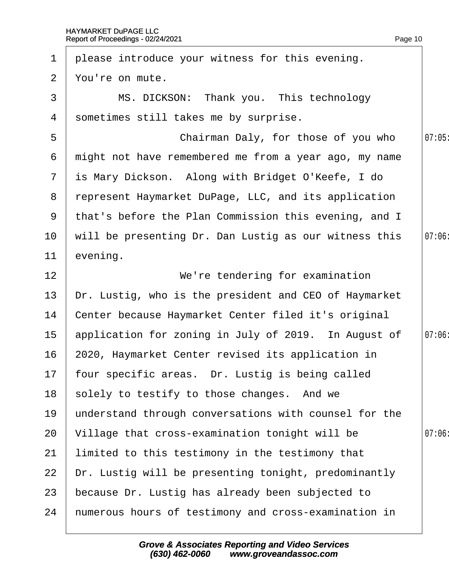| 1              | please introduce your witness for this evening.       |       |
|----------------|-------------------------------------------------------|-------|
| $\overline{2}$ | You're on mute.                                       |       |
| 3              | MS. DICKSON: Thank you. This technology               |       |
| 4              | sometimes still takes me by surprise.                 |       |
| 5              | Chairman Daly, for those of you who                   | 07:05 |
| 6              | might not have remembered me from a year ago, my name |       |
| $\overline{7}$ | is Mary Dickson. Along with Bridget O'Keefe, I do     |       |
| 8              | represent Haymarket DuPage, LLC, and its application  |       |
| 9              | that's before the Plan Commission this evening, and I |       |
| 10             | will be presenting Dr. Dan Lustig as our witness this | 07:06 |
| 11             | evening.                                              |       |
| 12             | We're tendering for examination                       |       |
| 13             | Dr. Lustig, who is the president and CEO of Haymarket |       |
| 14             | Center because Haymarket Center filed it's original   |       |
| $15\,$         | application for zoning in July of 2019. In August of  | 07:06 |
| 16             | 2020, Haymarket Center revised its application in     |       |
|                | 17 four specific areas. Dr. Lustig is being called    |       |
| 18             | solely to testify to those changes. And we            |       |
| 19             | understand through conversations with counsel for the |       |
| 20             | Village that cross-examination tonight will be        | 07:06 |
| 21             | limited to this testimony in the testimony that       |       |
| 22             | Dr. Lustig will be presenting tonight, predominantly  |       |
| 23             | because Dr. Lustig has already been subjected to      |       |
| 24             | numerous hours of testimony and cross-examination in  |       |
|                |                                                       |       |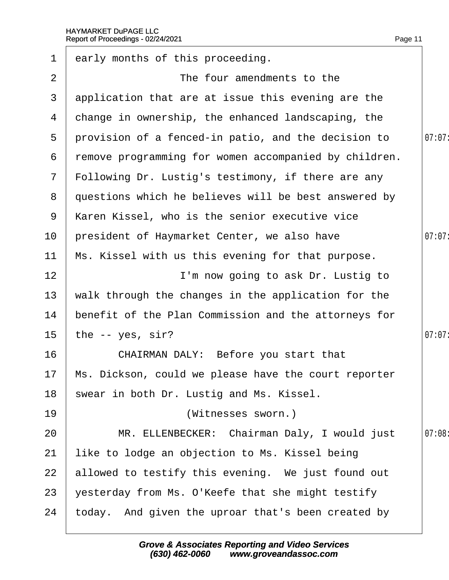| $\mathbf 1$     | early months of this proceeding.                        |        |
|-----------------|---------------------------------------------------------|--------|
| 2               | The four amendments to the                              |        |
| 3               | application that are at issue this evening are the      |        |
| 4               | change in ownership, the enhanced landscaping, the      |        |
| 5               | provision of a fenced-in patio, and the decision to     | 07:07: |
| 6               | remove programming for women accompanied by children.   |        |
| 7 <sup>7</sup>  | Following Dr. Lustig's testimony, if there are any      |        |
| 8               | questions which he believes will be best answered by    |        |
| 9               | Karen Kissel, who is the senior executive vice          |        |
| 10              | president of Haymarket Center, we also have             | 07:07: |
| 11              | Ms. Kissel with us this evening for that purpose.       |        |
| 12 <sub>2</sub> | I'm now going to ask Dr. Lustig to                      |        |
| 13              | walk through the changes in the application for the     |        |
| 14              | benefit of the Plan Commission and the attorneys for    |        |
| 15 <sub>1</sub> | the -- yes, sir?                                        | 07:07: |
| 16              | CHAIRMAN DALY: Before you start that                    |        |
|                 | 17 Ms. Dickson, could we please have the court reporter |        |
| 18              | swear in both Dr. Lustig and Ms. Kissel.                |        |
| 19              | (Witnesses sworn.)                                      |        |
| 20              | MR. ELLENBECKER: Chairman Daly, I would just            | 07:08  |
| 21              | like to lodge an objection to Ms. Kissel being          |        |
| 22              | allowed to testify this evening. We just found out      |        |
| 23              | yesterday from Ms. O'Keefe that she might testify       |        |
| 24              | today. And given the uproar that's been created by      |        |
|                 |                                                         |        |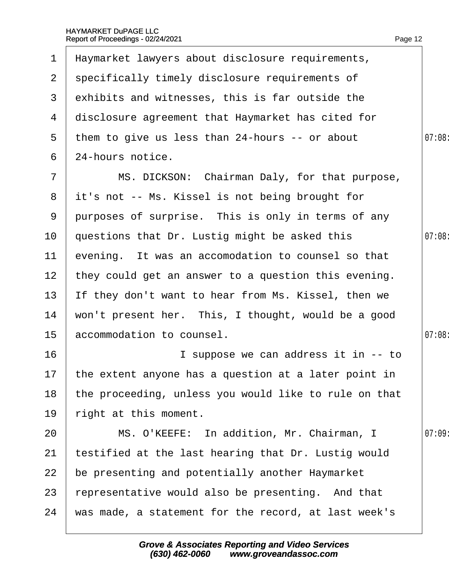| $\mathbf 1$     | Haymarket lawyers about disclosure requirements,        |       |
|-----------------|---------------------------------------------------------|-------|
| $\mathbf{2}$    | specifically timely disclosure requirements of          |       |
| 3               | exhibits and witnesses, this is far outside the         |       |
| 4               | disclosure agreement that Haymarket has cited for       |       |
| 5               | them to give us less than 24-hours -- or about          | 07:08 |
| 6               | 24-hours notice.                                        |       |
| $\overline{7}$  | MS. DICKSON: Chairman Daly, for that purpose,           |       |
|                 | 8 it's not -- Ms. Kissel is not being brought for       |       |
| 9               | purposes of surprise. This is only in terms of any      |       |
| 10              | questions that Dr. Lustig might be asked this           | 07:08 |
| 11              | evening. It was an accomodation to counsel so that      |       |
| 12 <sup>2</sup> | they could get an answer to a question this evening.    |       |
| 13              | If they don't want to hear from Ms. Kissel, then we     |       |
| 14              | won't present her. This, I thought, would be a good     |       |
| 15 <sub>1</sub> | accommodation to counsel.                               | 07:08 |
| 16              | I suppose we can address it in -- to                    |       |
|                 | 17 the extent anyone has a question at a later point in |       |
| 18              | the proceeding, unless you would like to rule on that   |       |
| 19              | right at this moment.                                   |       |
| 20              | MS. O'KEEFE: In addition, Mr. Chairman, I               | 07:09 |
| 21              | testified at the last hearing that Dr. Lustig would     |       |
| 22              | be presenting and potentially another Haymarket         |       |
| 23              | representative would also be presenting. And that       |       |
| 24              | was made, a statement for the record, at last week's    |       |
|                 |                                                         |       |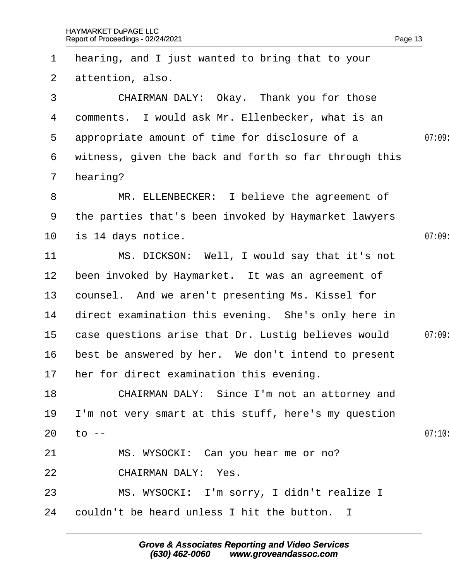| $\mathbf 1$     | hearing, and I just wanted to bring that to your      |        |
|-----------------|-------------------------------------------------------|--------|
| $\overline{2}$  | attention, also.                                      |        |
| 3               | CHAIRMAN DALY: Okay. Thank you for those              |        |
| 4               | domments. I would ask Mr. Ellenbecker, what is an     |        |
| $5^{\circ}$     | appropriate amount of time for disclosure of a        | 07:09  |
| 6               | witness, given the back and forth so far through this |        |
| $\mathbf{7}$    | hearing?                                              |        |
| 8               | MR. ELLENBECKER: I believe the agreement of           |        |
| 9               | the parties that's been invoked by Haymarket lawyers  |        |
| 10              | is 14 days notice.                                    | 07:09  |
| 11              | MS. DICKSON: Well, I would say that it's not          |        |
| 12              | been invoked by Haymarket. It was an agreement of     |        |
| 13 <sup>°</sup> | counsel. And we aren't presenting Ms. Kissel for      |        |
| 14              | direct examination this evening. She's only here in   |        |
| 15 <sub>1</sub> | case questions arise that Dr. Lustig believes would   | 07:09  |
| 16              | best be answered by her. We don't intend to present   |        |
|                 | 17 her for direct examination this evening.           |        |
| 18              | CHAIRMAN DALY: Since I'm not an attorney and          |        |
| 19              | 'm not very smart at this stuff, here's my question   |        |
| 20              | to --                                                 | 07:10: |
| 21              | MS. WYSOCKI: Can you hear me or no?                   |        |
| 22              | <b>CHAIRMAN DALY: Yes.</b>                            |        |
| 23              | MS. WYSOCKI: I'm sorry, I didn't realize I            |        |
| 24              | couldn't be heard unless I hit the button. I          |        |
|                 |                                                       |        |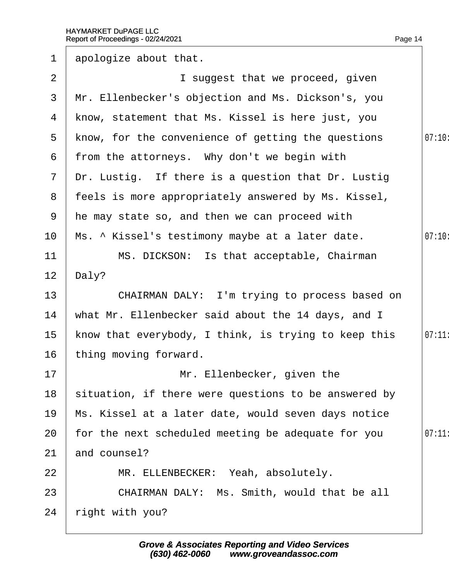| $\mathbf 1$    | apologize about that.                                |        |
|----------------|------------------------------------------------------|--------|
| 2              | I suggest that we proceed, given                     |        |
| 3              | Mr. Ellenbecker's objection and Ms. Dickson's, you   |        |
| 4              | know, statement that Ms. Kissel is here just, you    |        |
| $5^{\circ}$    | know, for the convenience of getting the questions   | 07:10  |
| 6              | from the attorneys. Why don't we begin with          |        |
| $7\phantom{.}$ | Dr. Lustig. If there is a question that Dr. Lustig   |        |
| 8              | feels is more appropriately answered by Ms. Kissel,  |        |
| 9              | the may state so, and then we can proceed with       |        |
| 10             | Ms. ^ Kissel's testimony maybe at a later date.      | 07:10: |
| 11             | MS. DICKSON: Is that acceptable, Chairman            |        |
| 12             | Daly?                                                |        |
| 13             | CHAIRMAN DALY: I'm trying to process based on        |        |
| 14             | what Mr. Ellenbecker said about the 14 days, and I   |        |
| 15             | know that everybody, I think, is trying to keep this | 07:11  |
| 16             | thing moving forward.                                |        |
| 17             | Mr. Ellenbecker, given the                           |        |
| 18             | situation, if there were questions to be answered by |        |
| 19             | Ms. Kissel at a later date, would seven days notice  |        |
| 20             | for the next scheduled meeting be adequate for you   | 07:11  |
| 21             | and counsel?                                         |        |
| 22             | MR. ELLENBECKER: Yeah, absolutely.                   |        |
| 23             | CHAIRMAN DALY: Ms. Smith, would that be all          |        |
| 24             | right with you?                                      |        |
|                |                                                      |        |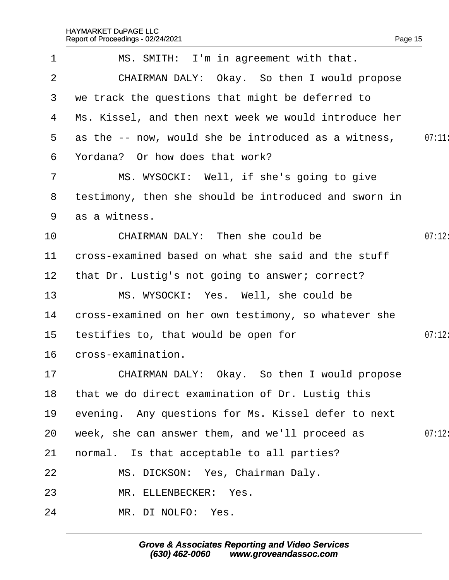|                 | Report of Proceedings - 02/24/2021                    | Page 15 |
|-----------------|-------------------------------------------------------|---------|
| $\mathbf 1$     | MS. SMITH: I'm in agreement with that.                |         |
| $\overline{2}$  | CHAIRMAN DALY: Okay. So then I would propose          |         |
| 3               | we track the questions that might be deferred to      |         |
| 4               | Ms. Kissel, and then next week we would introduce her |         |
| 5               | as the -- now, would she be introduced as a witness,  | 07:11   |
| 6               | Yordana? Or how does that work?                       |         |
| 7               | MS. WYSOCKI: Well, if she's going to give             |         |
| 8               | testimony, then she should be introduced and sworn in |         |
|                 | 9 as a witness.                                       |         |
| 10              | CHAIRMAN DALY: Then she could be                      | 07:12:  |
| 11              | cross-examined based on what she said and the stuff   |         |
| 12 <sub>2</sub> | that Dr. Lustig's not going to answer; correct?       |         |
| 13              | MS. WYSOCKI: Yes. Well, she could be                  |         |
| 14              | cross-examined on her own testimony, so whatever she  |         |
| 15              | testifies to, that would be open for                  | 07:12   |
| 16              | cross-examination.                                    |         |
| 17              | CHAIRMAN DALY: Okay. So then I would propose          |         |
| 18              | that we do direct examination of Dr. Lustig this      |         |
| 19              | evening. Any questions for Ms. Kissel defer to next   |         |
| 20              | week, she can answer them, and we'll proceed as       | 07:12:  |
| 21              | hormal. Is that acceptable to all parties?            |         |
| 22              | MS. DICKSON: Yes, Chairman Daly.                      |         |
| 23              | MR. ELLENBECKER: Yes.                                 |         |
| 24              | MR. DI NOLFO: Yes.                                    |         |
|                 |                                                       |         |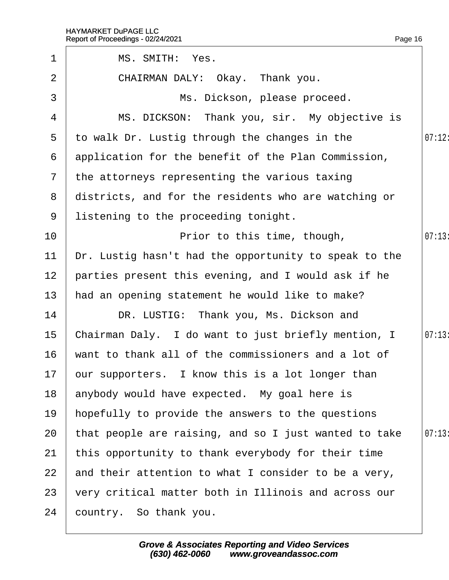|                                                       | Page 16                            |
|-------------------------------------------------------|------------------------------------|
| MS. SMITH: Yes.                                       |                                    |
| CHAIRMAN DALY: Okay. Thank you.                       |                                    |
| Ms. Dickson, please proceed.                          |                                    |
| MS. DICKSON: Thank you, sir. My objective is          |                                    |
| to walk Dr. Lustig through the changes in the         | 07:12                              |
| application for the benefit of the Plan Commission,   |                                    |
| the attorneys representing the various taxing         |                                    |
| districts, and for the residents who are watching or  |                                    |
| listening to the proceeding tonight.                  |                                    |
| Prior to this time, though,                           | 07:13                              |
| Dr. Lustig hasn't had the opportunity to speak to the |                                    |
| parties present this evening, and I would ask if he   |                                    |
| had an opening statement he would like to make?       |                                    |
| DR. LUSTIG: Thank you, Ms. Dickson and                |                                    |
| Chairman Daly. I do want to just briefly mention, I   | 07:13                              |
| want to thank all of the commissioners and a lot of   |                                    |
| bur supporters. I know this is a lot longer than      |                                    |
| anybody would have expected. My goal here is          |                                    |
| hopefully to provide the answers to the questions     |                                    |
| that people are raising, and so I just wanted to take | 07:13                              |
| this opportunity to thank everybody for their time    |                                    |
| and their attention to what I consider to be a very,  |                                    |
| very critical matter both in Illinois and across our  |                                    |
| country. So thank you.                                |                                    |
|                                                       | Report of Proceedings - 02/24/2021 |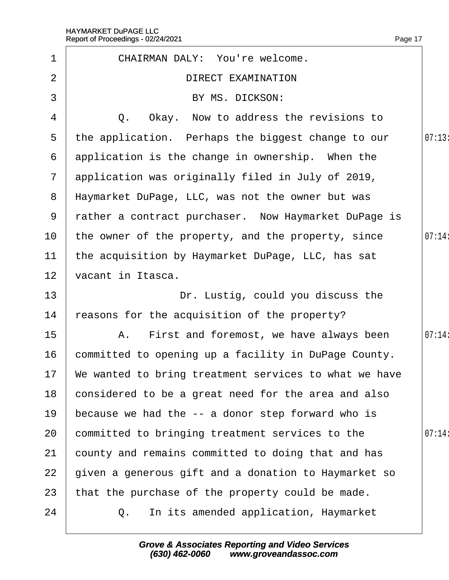|                | Report of Proceedings - 02/24/2021                    | Page 17 |
|----------------|-------------------------------------------------------|---------|
| $\mathbf 1$    | <b>CHAIRMAN DALY: You're welcome.</b>                 |         |
| $\overline{2}$ | <b>DIRECT EXAMINATION</b>                             |         |
| 3              | BY MS. DICKSON:                                       |         |
| 4              | Q. Okay. Now to address the revisions to              |         |
| 5              | the application. Perhaps the biggest change to our    | 07:13   |
| 6              | application is the change in ownership. When the      |         |
| $\mathcal{I}$  | application was originally filed in July of 2019,     |         |
| 8              | Haymarket DuPage, LLC, was not the owner but was      |         |
| 9              | rather a contract purchaser. Now Haymarket DuPage is  |         |
| 10             | the owner of the property, and the property, since    | 07:14:  |
| 11             | the acquisition by Haymarket DuPage, LLC, has sat     |         |
| 12             | vacant in Itasca.                                     |         |
| 13             | Dr. Lustig, could you discuss the                     |         |
| 14             | reasons for the acquisition of the property?          |         |
| 15             | A. First and foremost, we have always been            | 07:14   |
| 16             | committed to opening up a facility in DuPage County.  |         |
| 17             | We wanted to bring treatment services to what we have |         |
| 18             | considered to be a great need for the area and also   |         |
| 19             | because we had the -- a donor step forward who is     |         |
| 20             | committed to bringing treatment services to the       | 07:14:  |
| 21             | county and remains committed to doing that and has    |         |
| 22             | given a generous gift and a donation to Haymarket so  |         |
| 23             | that the purchase of the property could be made.      |         |
| 24             | In its amended application, Haymarket<br>Q.           |         |
|                |                                                       |         |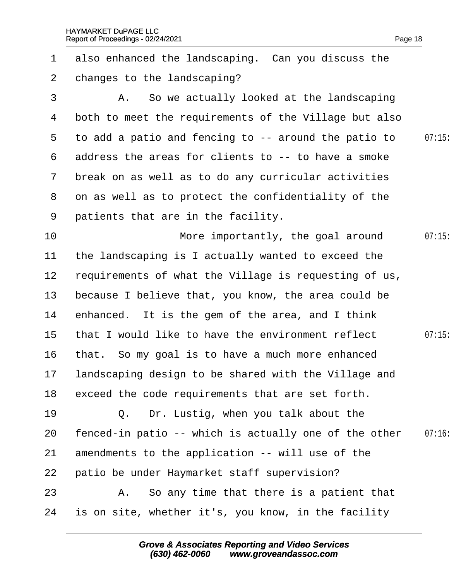| $\mathbf 1$     | also enhanced the landscaping. Can you discuss the      |       |
|-----------------|---------------------------------------------------------|-------|
| $\mathbf{2}$    | changes to the landscaping?                             |       |
| 3               | A. So we actually looked at the landscaping             |       |
| 4               | both to meet the requirements of the Village but also   |       |
| 5               | to add a patio and fencing to -- around the patio to    | 07:15 |
| 6               | address the areas for clients to -- to have a smoke     |       |
|                 | 7 break on as well as to do any curricular activities   |       |
| 8               | on as well as to protect the confidentiality of the     |       |
| 9               | patients that are in the facility.                      |       |
| 10              | More importantly, the goal around                       | 07:15 |
| 11              | the landscaping is I actually wanted to exceed the      |       |
| 12 <sub>2</sub> | requirements of what the Village is requesting of us,   |       |
| 13 <sup>°</sup> | because I believe that, you know, the area could be     |       |
| 14              | enhanced. It is the gem of the area, and I think        |       |
| 15 <sub>1</sub> | that I would like to have the environment reflect       | 07:15 |
| 16              | that. So my goal is to have a much more enhanced        |       |
|                 | 17 landscaping design to be shared with the Village and |       |
| 18              | exceed the code requirements that are set forth.        |       |
| 19              | Q. Dr. Lustig, when you talk about the                  |       |
| 20              | fenced-in patio -- which is actually one of the other   | 07:16 |
| 21              | amendments to the application -- will use of the        |       |
| 22              | patio be under Haymarket staff supervision?             |       |
| 23              | A. So any time that there is a patient that             |       |
| 24              | is on site, whether it's, you know, in the facility     |       |
|                 |                                                         |       |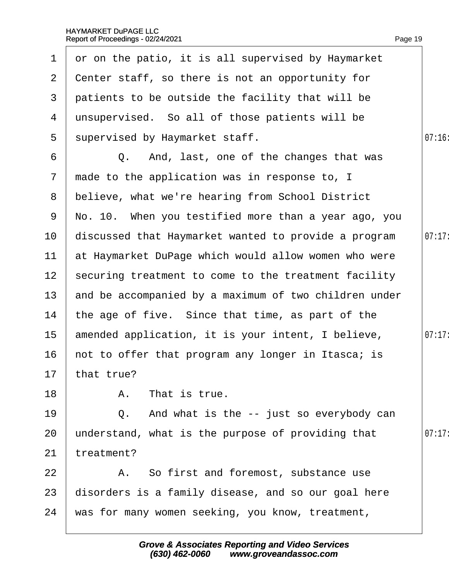| $\mathbf 1$     | or on the patio, it is all supervised by Haymarket    |        |
|-----------------|-------------------------------------------------------|--------|
| $\overline{2}$  | Center staff, so there is not an opportunity for      |        |
| 3               | patients to be outside the facility that will be      |        |
| 4               | unsupervised. So all of those patients will be        |        |
| $5^{\circ}$     | supervised by Haymarket staff.                        | 07:16  |
| 6               | Q. And, last, one of the changes that was             |        |
| $\overline{7}$  | made to the application was in response to, I         |        |
| 8               | believe, what we're hearing from School District      |        |
| 9               | No. 10. When you testified more than a year ago, you  |        |
| 10              | discussed that Haymarket wanted to provide a program  | 07:17: |
| 11              | at Haymarket DuPage which would allow women who were  |        |
| 12 <sub>2</sub> | securing treatment to come to the treatment facility  |        |
| 13 <sup>°</sup> | and be accompanied by a maximum of two children under |        |
| 14              | the age of five. Since that time, as part of the      |        |
| 15 <sub>1</sub> | amended application, it is your intent, I believe,    | 07:17: |
| 16              | not to offer that program any longer in Itasca; is    |        |
|                 | 17 that true?                                         |        |
| 18              | A. That is true.                                      |        |
| 19              | Q. And what is the -- just so everybody can           |        |
| 20              | understand, what is the purpose of providing that     | 07:17  |
| 21              | treatment?                                            |        |
| 22              | A. So first and foremost, substance use               |        |
| 23              | disorders is a family disease, and so our goal here   |        |
| 24              | was for many women seeking, you know, treatment,      |        |
|                 |                                                       |        |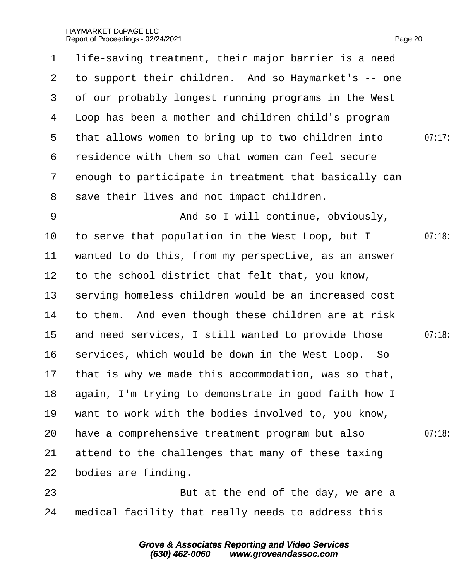|                 | 1 life-saving treatment, their major barrier is a need  |        |
|-----------------|---------------------------------------------------------|--------|
| $\mathbf{2}$    | to support their children. And so Haymarket's -- one    |        |
| 3               | of our probably longest running programs in the West    |        |
| 4               | Lloop has been a mother and children child's program    |        |
| $5^{\circ}$     | that allows women to bring up to two children into      | 07:17: |
| 6               | residence with them so that women can feel secure       |        |
| $\mathbf{7}$    | enough to participate in treatment that basically can   |        |
| 8               | save their lives and not impact children.               |        |
| 9               | And so I will continue, obviously,                      |        |
| 10              | to serve that population in the West Loop, but I        | 07:18  |
| 11              | wanted to do this, from my perspective, as an answer    |        |
| 12 <sub>2</sub> | to the school district that felt that, you know,        |        |
| 13              | serving homeless children would be an increased cost    |        |
| 14              | to them. And even though these children are at risk     |        |
| 15              | and need services, I still wanted to provide those      | 07:18: |
| 16              | services, which would be down in the West Loop. So      |        |
|                 | 17 that is why we made this accommodation, was so that, |        |
| 18              | again, I'm trying to demonstrate in good faith how I    |        |
| 19              | want to work with the bodies involved to, you know,     |        |
| 20              | have a comprehensive treatment program but also         | 07:18  |
| 21              | attend to the challenges that many of these taxing      |        |
| 22              | bodies are finding.                                     |        |
| 23              | But at the end of the day, we are a                     |        |
| 24              | medical facility that really needs to address this      |        |
|                 |                                                         |        |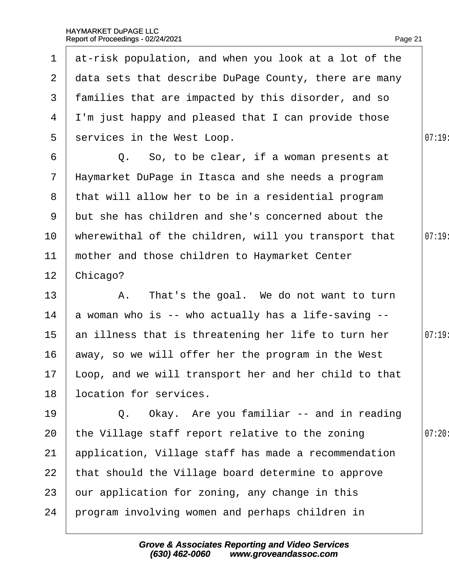|                  | 1 at-risk population, and when you look at a lot of the  |        |
|------------------|----------------------------------------------------------|--------|
| 2 <sup>1</sup>   | data sets that describe DuPage County, there are many    |        |
| 3                | families that are impacted by this disorder, and so      |        |
|                  | 4 I'm just happy and pleased that I can provide those    |        |
| 5                | services in the West Loop.                               | 07:19: |
| 6                | Q. So, to be clear, if a woman presents at               |        |
| 7 <sup>7</sup>   | Haymarket DuPage in Itasca and she needs a program       |        |
|                  | 8 that will allow her to be in a residential program     |        |
| 9                | but she has children and she's concerned about the       |        |
| 10 <sup>°</sup>  | wherewithal of the children, will you transport that     | 07:19  |
| 11               | mother and those children to Haymarket Center            |        |
| 12 <sub>2</sub>  | Chicago?                                                 |        |
| 13               | A. That's the goal. We do not want to turn               |        |
| 14               | a woman who is -- who actually has a life-saving --      |        |
| 15 <sub>15</sub> | an illness that is threatening her life to turn her      | 07:19  |
| 16               | away, so we will offer her the program in the West       |        |
|                  | 17 Loop, and we will transport her and her child to that |        |
| 18               | location for services.                                   |        |
| 19               | Q. Okay. Are you familiar -- and in reading              |        |
| 20               | the Village staff report relative to the zoning          | 07:20  |
| 21               | application, Village staff has made a recommendation     |        |
| 22               | that should the Village board determine to approve       |        |
| 23               | bur application for zoning, any change in this           |        |
| 24               | program involving women and perhaps children in          |        |
|                  |                                                          |        |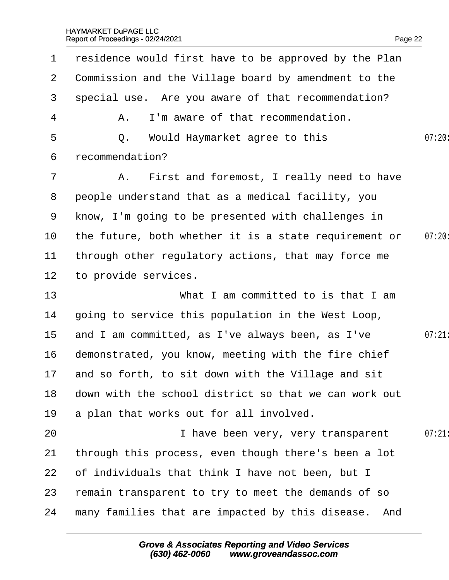| $\mathbf 1$     | residence would first have to be approved by the Plan |        |
|-----------------|-------------------------------------------------------|--------|
| $\overline{2}$  | Commission and the Village board by amendment to the  |        |
| 3               | special use. Are you aware of that recommendation?    |        |
| 4               | A. I'm aware of that recommendation.                  |        |
| 5               | Q. Would Haymarket agree to this                      | 07:20: |
| 6               | recommendation?                                       |        |
| $\overline{7}$  | A. First and foremost, I really need to have          |        |
| 8               | people understand that as a medical facility, you     |        |
| 9               | know, I'm going to be presented with challenges in    |        |
| 10 <sup>°</sup> | the future, both whether it is a state requirement or | 07:20: |
| 11              | through other regulatory actions, that may force me   |        |
| 12              | to provide services.                                  |        |
| 13              | What I am committed to is that I am                   |        |
| 14              | going to service this population in the West Loop,    |        |
| $15\,$          | and I am committed, as I've always been, as I've      | 07:21  |
| 16              | demonstrated, you know, meeting with the fire chief   |        |
|                 | 17 and so forth, to sit down with the Village and sit |        |
| 18              | down with the school district so that we can work out |        |
| 19              | a plan that works out for all involved.               |        |
| 20              | I have been very, very transparent                    | 07:21  |
| 21              | through this process, even though there's been a lot  |        |
| 22              | of individuals that think I have not been, but I      |        |
| 23              | emain transparent to try to meet the demands of so    |        |
| 24              | many families that are impacted by this disease. And  |        |
|                 |                                                       |        |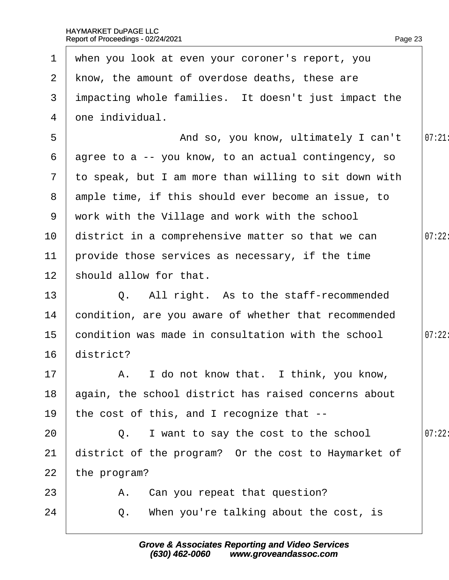| 1              | when you look at even your coroner's report, you      |        |
|----------------|-------------------------------------------------------|--------|
| $\overline{2}$ | know, the amount of overdose deaths, these are        |        |
| 3              | impacting whole families. It doesn't just impact the  |        |
| 4              | dne individual.                                       |        |
| 5              | And so, you know, ultimately I can't                  | 07:21  |
| 6              | agree to a -- you know, to an actual contingency, so  |        |
| $\overline{7}$ | to speak, but I am more than willing to sit down with |        |
| 8              | ample time, if this should ever become an issue, to   |        |
| 9              | work with the Village and work with the school        |        |
| 10             | district in a comprehensive matter so that we can     | 07:22: |
| 11             | provide those services as necessary, if the time      |        |
| 12             | should allow for that.                                |        |
| 13             | Q. All right. As to the staff-recommended             |        |
| 14             | condition, are you aware of whether that recommended  |        |
| 15             | condition was made in consultation with the school    | 07:22: |
| 16             | district?                                             |        |
| 17             | A. I do not know that. I think, you know,             |        |
| 18             | again, the school district has raised concerns about  |        |
| 19             | the cost of this, and I recognize that --             |        |
| 20             | Q. I want to say the cost to the school               | 07:22: |
| 21             | district of the program? Or the cost to Haymarket of  |        |
| 22             | the program?                                          |        |
| 23             | A. Can you repeat that question?                      |        |
| 24             | When you're talking about the cost, is<br>Q.          |        |
|                |                                                       |        |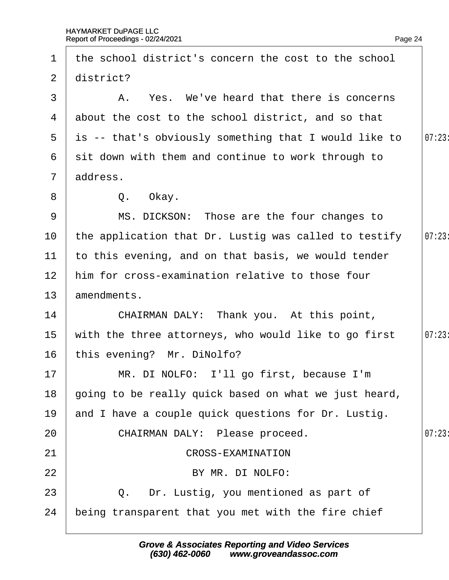13· ·amendments.

1 the school district's concern the cost to the school

| $\mathbf{2}$    | district?                                                |       |
|-----------------|----------------------------------------------------------|-------|
| 3               | A. Yes. We've heard that there is concerns               |       |
| 4               | about the cost to the school district, and so that       |       |
|                 | 5 is -- that's obviously something that I would like to  | 07:23 |
| 6               | sit down with them and continue to work through to       |       |
|                 | 7 address.                                               |       |
| 8               | Q. Okay.                                                 |       |
| 9               | MS. DICKSON: Those are the four changes to               |       |
| 10              | the application that Dr. Lustig was called to testify    | 07:23 |
| 11              | to this evening, and on that basis, we would tender      |       |
| 12 <sub>2</sub> | him for cross-examination relative to those four         |       |
| 13 <sup>°</sup> | amendments.                                              |       |
| 14              | CHAIRMAN DALY: Thank you. At this point,                 |       |
| 15              | with the three attorneys, who would like to go first     | 07:23 |
| 16              | this evening? Mr. DiNolfo?                               |       |
| 17              | MR. DI NOLFO: I'll go first, because I'm                 |       |
|                 | 18 going to be really quick based on what we just heard, |       |
| 19              | and I have a couple quick questions for Dr. Lustig.      |       |
| 20              | CHAIRMAN DALY: Please proceed.                           | 07:23 |
| 21              | <b>CROSS-EXAMINATION</b>                                 |       |
| 22              | BY MR. DI NOLFO:                                         |       |
| 23              | Q. Dr. Lustig, you mentioned as part of                  |       |
| 24              | being transparent that you met with the fire chief       |       |
|                 |                                                          |       |

Page 24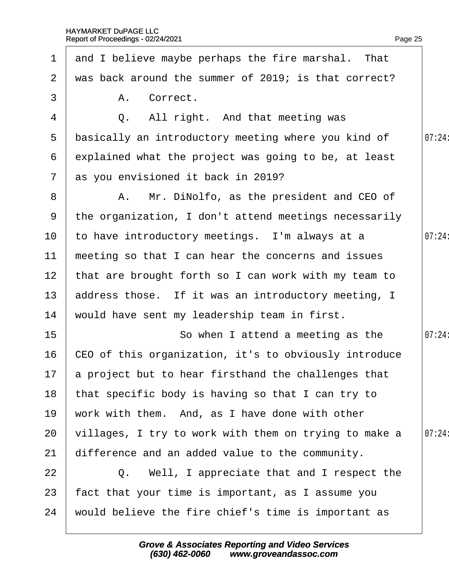| $\mathbf 1$     | and I believe maybe perhaps the fire marshal. That     |        |
|-----------------|--------------------------------------------------------|--------|
| $\overline{2}$  | was back around the summer of 2019; is that correct?   |        |
| 3               | A. Correct.                                            |        |
| 4               | Q. All right. And that meeting was                     |        |
| 5               | basically an introductory meeting where you kind of    | 07:24: |
| 6               | explained what the project was going to be, at least   |        |
|                 | 7 as you envisioned it back in 2019?                   |        |
| 8               | A. Mr. DiNolfo, as the president and CEO of            |        |
| 9               | the organization, I don't attend meetings necessarily  |        |
| 10 <sup>°</sup> | to have introductory meetings. I'm always at a         | 07:24: |
| 11              | meeting so that I can hear the concerns and issues     |        |
| 12 <sub>2</sub> | that are brought forth so I can work with my team to   |        |
| 13 <sup>°</sup> | address those. If it was an introductory meeting, I    |        |
| 14              | would have sent my leadership team in first.           |        |
| 15 <sub>1</sub> | So when I attend a meeting as the                      | 07:24: |
| 16              | CEO of this organization, it's to obviously introduce  |        |
|                 | 17 a project but to hear firsthand the challenges that |        |
| 18              | that specific body is having so that I can try to      |        |
| 19              | work with them. And, as I have done with other         |        |
| 20              | villages, I try to work with them on trying to make a  | 07:24: |
| 21              | difference and an added value to the community.        |        |
| 22              | Q. Well, I appreciate that and I respect the           |        |
| 23              | fact that your time is important, as I assume you      |        |
| 24              | would believe the fire chief's time is important as    |        |
|                 |                                                        |        |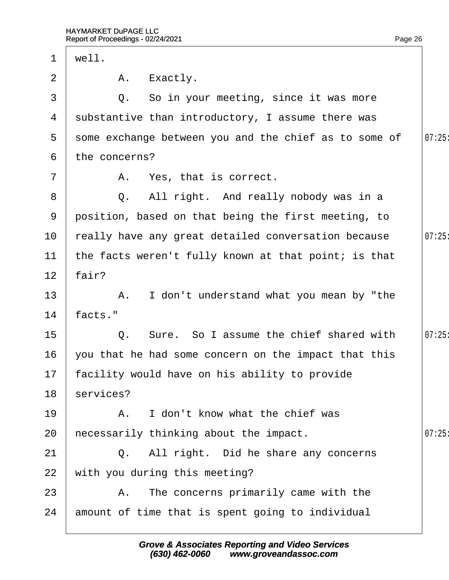| $\mathbf 1$     | well.                                                 |       |
|-----------------|-------------------------------------------------------|-------|
| 2               | A. Exactly.                                           |       |
| 3               | Q. So in your meeting, since it was more              |       |
| 4               | substantive than introductory, I assume there was     |       |
| 5               | some exchange between you and the chief as to some of | 07:25 |
| 6               | the concerns?                                         |       |
| $\overline{7}$  | A. Yes, that is correct.                              |       |
| 8               | Q. All right. And really nobody was in a              |       |
| 9               | position, based on that being the first meeting, to   |       |
| 10              | really have any great detailed conversation because   | 07:25 |
| 11              | the facts weren't fully known at that point; is that  |       |
| 12 <sub>2</sub> | fair?                                                 |       |
| 13              | A. I don't understand what you mean by "the           |       |
| 14              | facts."                                               |       |
| 15              | Q. Sure. So I assume the chief shared with            | 07:25 |
| 16              | you that he had some concern on the impact that this  |       |
|                 | 17 facility would have on his ability to provide      |       |
| 18              | services?                                             |       |
| 19              | A. I don't know what the chief was                    |       |
| 20              | hecessarily thinking about the impact.                | 07:25 |
| 21              | Q. All right. Did he share any concerns               |       |
| 22              | with you during this meeting?                         |       |
| 23              | A. The concerns primarily came with the               |       |
| 24              | amount of time that is spent going to individual      |       |
|                 |                                                       |       |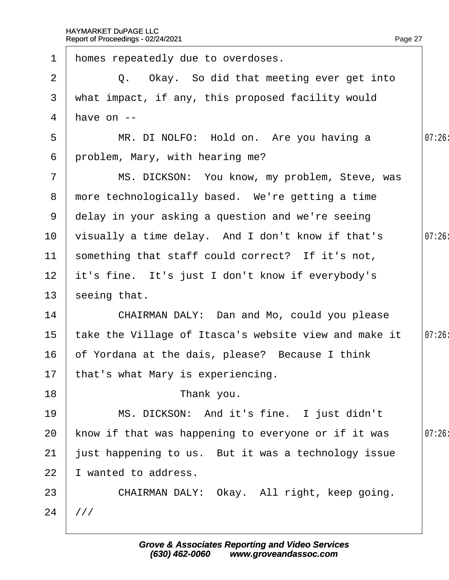| $\mathbf 1$     | homes repeatedly due to overdoses.                    |        |
|-----------------|-------------------------------------------------------|--------|
| 2               | Q. Okay. So did that meeting ever get into            |        |
| 3               | what impact, if any, this proposed facility would     |        |
| 4               | have on --                                            |        |
| 5               | MR. DI NOLFO: Hold on. Are you having a               | 07:26  |
| 6               | problem, Mary, with hearing me?                       |        |
| $\overline{7}$  | MS. DICKSON: You know, my problem, Steve, was         |        |
|                 | 8 more technologically based. We're getting a time    |        |
|                 | 9 delay in your asking a question and we're seeing    |        |
| 10 <sup>°</sup> | visually a time delay. And I don't know if that's     | 07:26  |
| 11              | something that staff could correct? If it's not,      |        |
| 12 <sub>2</sub> | it's fine. It's just I don't know if everybody's      |        |
| 13 <sup>°</sup> | seeing that.                                          |        |
| 14              | CHAIRMAN DALY: Dan and Mo, could you please           |        |
| 15 <sub>2</sub> | take the Village of Itasca's website view and make it | 07:26: |
| 16              | of Yordana at the dais, please? Because I think       |        |
|                 | 17 that's what Mary is experiencing.                  |        |
| 18              | Thank you.                                            |        |
| 19              | MS. DICKSON: And it's fine. I just didn't             |        |
| 20              | know if that was happening to everyone or if it was   | 07:26  |
| 21              | just happening to us. But it was a technology issue   |        |
| 22              | wanted to address.                                    |        |
| 23              | CHAIRMAN DALY: Okay. All right, keep going.           |        |
| 24              | ///                                                   |        |
|                 |                                                       |        |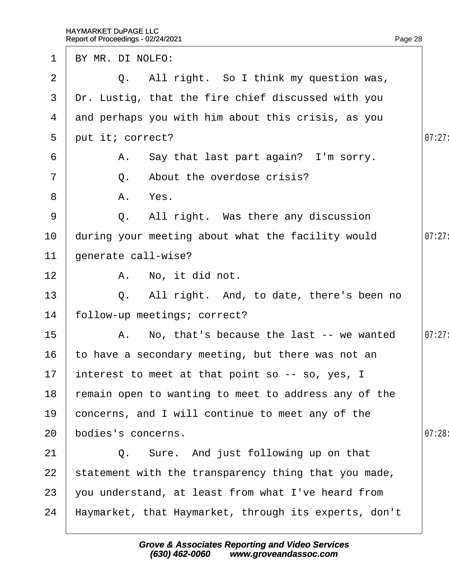| 1  | BY MR. DI NOLFO:                                      |        |
|----|-------------------------------------------------------|--------|
| 2  | Q. All right. So I think my question was,             |        |
| 3  | Dr. Lustig, that the fire chief discussed with you    |        |
| 4  | and perhaps you with him about this crisis, as you    |        |
| 5  | put it; correct?                                      | 07:27  |
| 6  | A. Say that last part again? I'm sorry.               |        |
| 7  | Q. About the overdose crisis?                         |        |
| 8  | A. Yes.                                               |        |
| 9  | Q. All right. Was there any discussion                |        |
| 10 | during your meeting about what the facility would     | 07:27: |
| 11 | generate call-wise?                                   |        |
| 12 | A. No, it did not.                                    |        |
| 13 | Q. All right. And, to date, there's been no           |        |
| 14 | follow-up meetings; correct?                          |        |
| 15 | A. No, that's because the last -- we wanted           | 07:27: |
| 16 | to have a secondary meeting, but there was not an     |        |
|    | 17 interest to meet at that point so -- so, yes, I    |        |
| 18 | remain open to wanting to meet to address any of the  |        |
| 19 | concerns, and I will continue to meet any of the      |        |
| 20 | bodies's concerns.                                    | 07:28  |
| 21 | Q. Sure. And just following up on that                |        |
| 22 | statement with the transparency thing that you made,  |        |
| 23 | you understand, at least from what I've heard from    |        |
| 24 | Haymarket, that Haymarket, through its experts, don't |        |
|    |                                                       |        |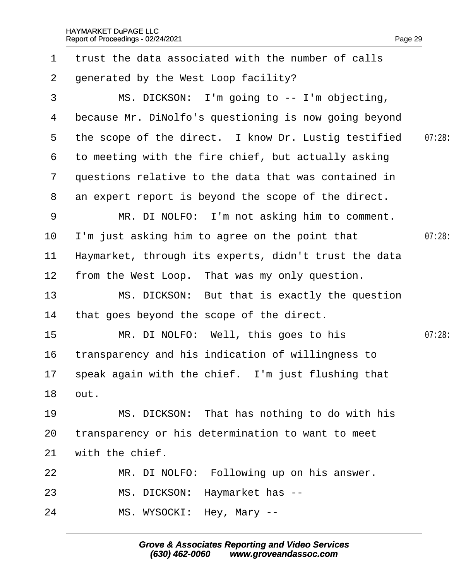| $\mathbf 1$     | trust the data associated with the number of calls    |        |
|-----------------|-------------------------------------------------------|--------|
| $\overline{2}$  | generated by the West Loop facility?                  |        |
| 3               | MS. DICKSON: I'm going to -- I'm objecting,           |        |
| 4               | because Mr. DiNolfo's questioning is now going beyond |        |
| 5               | the scope of the direct. I know Dr. Lustig testified  | 07:28: |
| 6               | to meeting with the fire chief, but actually asking   |        |
| $\overline{7}$  | questions relative to the data that was contained in  |        |
| 8               | an expert report is beyond the scope of the direct.   |        |
| 9               | MR. DI NOLFO: I'm not asking him to comment.          |        |
| 10 <sup>°</sup> | 'm just asking him to agree on the point that         | 07:28  |
| 11              | Haymarket, through its experts, didn't trust the data |        |
| 12 <sub>2</sub> | from the West Loop. That was my only question.        |        |
| 13              | MS. DICKSON: But that is exactly the question         |        |
| 14              | that goes beyond the scope of the direct.             |        |
| 15              | MR. DI NOLFO: Well, this goes to his                  | 07:28: |
| 16              | transparency and his indication of willingness to     |        |
|                 | 17 speak again with the chief. I'm just flushing that |        |
| 18              | but.                                                  |        |
| 19              | MS. DICKSON: That has nothing to do with his          |        |
| 20              | transparency or his determination to want to meet     |        |
| 21              | with the chief.                                       |        |
| 22              | MR. DI NOLFO: Following up on his answer.             |        |
| 23              | MS. DICKSON: Haymarket has --                         |        |
| 24              | MS. WYSOCKI: Hey, Mary --                             |        |
|                 |                                                       |        |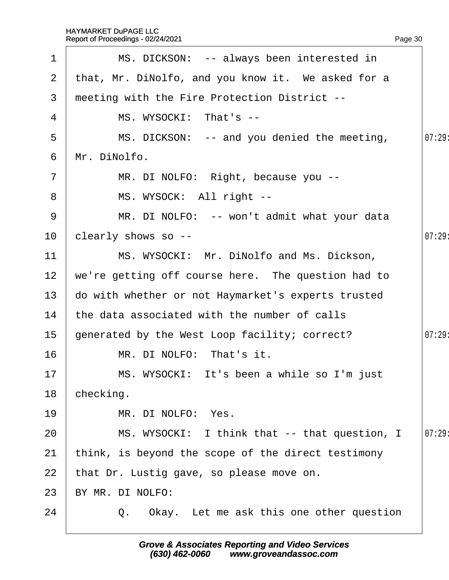| 1               | MS. DICKSON: -- always been interested in          |        |
|-----------------|----------------------------------------------------|--------|
| 2 <sup>1</sup>  | that, Mr. DiNolfo, and you know it. We asked for a |        |
| 3 <sup>°</sup>  | meeting with the Fire Protection District --       |        |
| 4               | MS. WYSOCKI: That's --                             |        |
| 5               | MS. DICKSON: -- and you denied the meeting,        | 07:29: |
| 6               | Mr. DiNolfo.                                       |        |
| $\overline{7}$  | MR. DI NOLFO: Right, because you --                |        |
| 8               | MS. WYSOCK: All right --                           |        |
| 9               | MR. DI NOLFO: -- won't admit what your data        |        |
| 10              | clearly shows so --                                | 07:29  |
| 11              | MS. WYSOCKI: Mr. DiNolfo and Ms. Dickson,          |        |
| 12 <sub>2</sub> | we're getting off course here. The question had to |        |
| 13              | do with whether or not Haymarket's experts trusted |        |
| 14              | the data associated with the number of calls       |        |
| 15 <sub>1</sub> | generated by the West Loop facility; correct?      | 07:29  |
| 16              | MR. DI NOLFO: That's it.                           |        |
| 17              | MS. WYSOCKI: It's been a while so I'm just         |        |
| 18              | checking.                                          |        |
| 19              | MR. DI NOLFO: Yes.                                 |        |
| 20              | MS. WYSOCKI: I think that -- that question, I      | 07:29  |
| 21              | think, is beyond the scope of the direct testimony |        |
| 22              | that Dr. Lustig gave, so please move on.           |        |
| 23              | BY MR. DI NOLFO:                                   |        |
| 24              | Q. Okay. Let me ask this one other question        |        |
|                 |                                                    |        |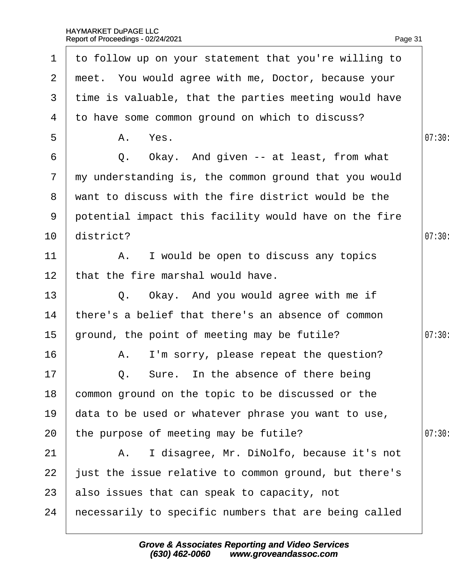| $\mathbf 1$     | to follow up on your statement that you're willing to |        |
|-----------------|-------------------------------------------------------|--------|
| 2               | meet. You would agree with me, Doctor, because your   |        |
| 3               | time is valuable, that the parties meeting would have |        |
| 4               | to have some common ground on which to discuss?       |        |
| 5               | A. Yes.                                               | 07:30  |
| 6               | Q. Okay. And given -- at least, from what             |        |
| $7\phantom{.}$  | my understanding is, the common ground that you would |        |
|                 | 8 want to discuss with the fire district would be the |        |
| 9               | potential impact this facility would have on the fire |        |
| 10              | district?                                             | 07:30  |
| 11              | A. I would be open to discuss any topics              |        |
| 12 <sub>2</sub> | that the fire marshal would have.                     |        |
| 13              | Q. Okay. And you would agree with me if               |        |
| 14              | there's a belief that there's an absence of common    |        |
| 15              | ground, the point of meeting may be futile?           | 07:30: |
| 16              | A. I'm sorry, please repeat the question?             |        |
| 17              | Q. Sure. In the absence of there being                |        |
| 18              | common ground on the topic to be discussed or the     |        |
| 19              | data to be used or whatever phrase you want to use,   |        |
| 20              | the purpose of meeting may be futile?                 | 07:30  |
| 21              | A. I disagree, Mr. DiNolfo, because it's not          |        |
| 22              | just the issue relative to common ground, but there's |        |
| 23              | also issues that can speak to capacity, not           |        |
| 24              | hecessarily to specific numbers that are being called |        |
|                 |                                                       |        |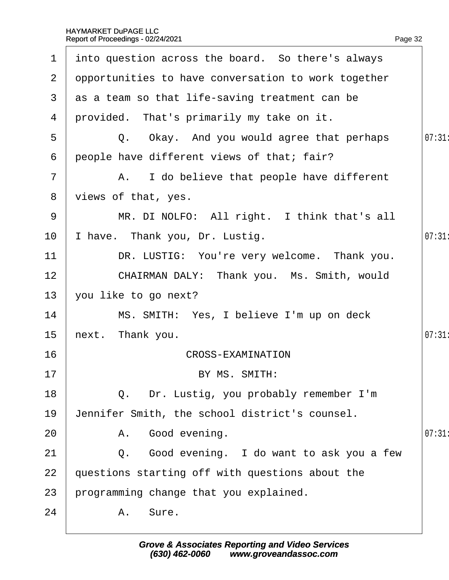| $\mathbf 1$    | into question across the board. So there's always   |       |
|----------------|-----------------------------------------------------|-------|
| $\overline{2}$ | opportunities to have conversation to work together |       |
| 3              | as a team so that life-saving treatment can be      |       |
| 4              | provided. That's primarily my take on it.           |       |
| 5              | Q. Okay. And you would agree that perhaps           | 07:31 |
| 6              | people have different views of that; fair?          |       |
| $\overline{7}$ | A. I do believe that people have different          |       |
| 8              | views of that, yes.                                 |       |
| 9              | MR. DI NOLFO: All right. I think that's all         |       |
| 10             | have. Thank you, Dr. Lustig.                        | 07:31 |
| 11             | DR. LUSTIG: You're very welcome. Thank you.         |       |
| 12             | CHAIRMAN DALY: Thank you. Ms. Smith, would          |       |
| 13             | you like to go next?                                |       |
| 14             | MS. SMITH: Yes, I believe I'm up on deck            |       |
| 15             | hext. Thank you.                                    | 07:31 |
| 16             | <b>CROSS-EXAMINATION</b>                            |       |
| 17             | BY MS. SMITH:                                       |       |
| 18             | Q. Dr. Lustig, you probably remember I'm            |       |
| 19             | Jennifer Smith, the school district's counsel.      |       |
| 20             | A. Good evening.                                    | 07:31 |
| 21             | Q. Good evening. I do want to ask you a few         |       |
| 22             | questions starting off with questions about the     |       |
| 23             | programming change that you explained.              |       |
| 24             | A. Sure.                                            |       |
|                |                                                     |       |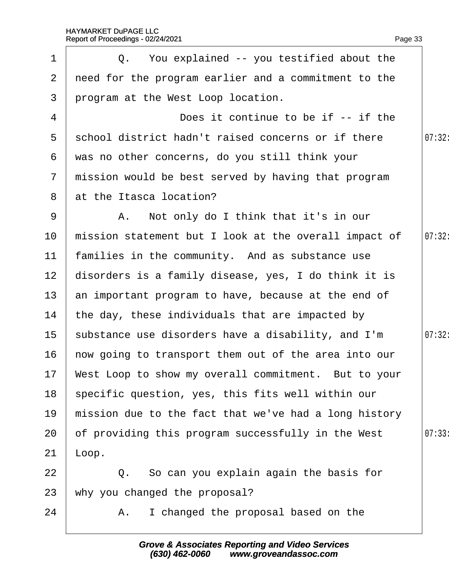| $\mathbf 1$     | Q. You explained -- you testified about the             |        |
|-----------------|---------------------------------------------------------|--------|
| $\overline{2}$  | need for the program earlier and a commitment to the    |        |
| 3               | program at the West Loop location.                      |        |
| 4               | Does it continue to be if -- if the                     |        |
| $5^{\circ}$     | school district hadn't raised concerns or if there      | 07:32: |
| 6               | was no other concerns, do you still think your          |        |
| $7\phantom{.}$  | mission would be best served by having that program     |        |
| 8               | at the Itasca location?                                 |        |
| 9               | A. Not only do I think that it's in our                 |        |
| 10              | mission statement but I look at the overall impact of   | 07:32: |
| 11              | families in the community. And as substance use         |        |
| 12 <sub>2</sub> | disorders is a family disease, yes, I do think it is    |        |
| 13 <sup>°</sup> | an important program to have, because at the end of     |        |
| 14              | the day, these individuals that are impacted by         |        |
| 15 <sup>1</sup> | substance use disorders have a disability, and I'm      | 07:32: |
| 16              | how going to transport them out of the area into our    |        |
|                 | 17 West Loop to show my overall commitment. But to your |        |
| 18              | specific question, yes, this fits well within our       |        |
| 19              | mission due to the fact that we've had a long history   |        |
| 20              | of providing this program successfully in the West      | 07:33  |
| 21              | Loop.                                                   |        |
| 22              | Q. So can you explain again the basis for               |        |
| 23              | why you changed the proposal?                           |        |
| 24              | A. I changed the proposal based on the                  |        |
|                 |                                                         |        |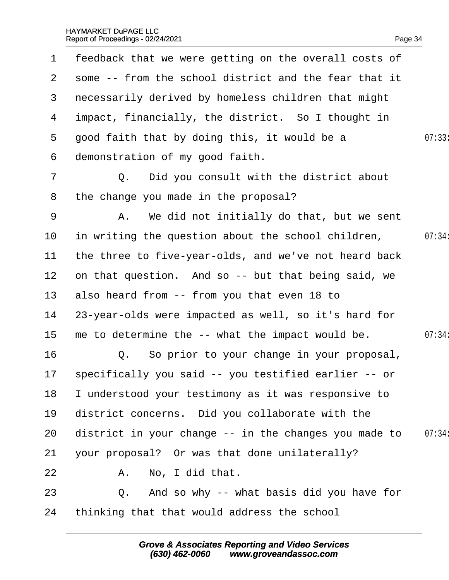| $\mathbf 1$     | feedback that we were getting on the overall costs of   |        |
|-----------------|---------------------------------------------------------|--------|
| $\mathbf{2}$    | some -- from the school district and the fear that it   |        |
| 3               | necessarily derived by homeless children that might     |        |
|                 | 4 impact, financially, the district. So I thought in    |        |
| 5               | good faith that by doing this, it would be a            | 07:33  |
| 6               | demonstration of my good faith.                         |        |
| $\overline{7}$  | Q. Did you consult with the district about              |        |
| 8               | the change you made in the proposal?                    |        |
| 9               | A. We did not initially do that, but we sent            |        |
| 10 <sup>°</sup> | in writing the question about the school children,      | 07:34: |
| $11$            | the three to five-year-olds, and we've not heard back   |        |
| 12 <sub>2</sub> | on that question. And so -- but that being said, we     |        |
| 13              | also heard from -- from you that even 18 to             |        |
| 14              | 23-year-olds were impacted as well, so it's hard for    |        |
| 15              | me to determine the -- what the impact would be.        | 07:34: |
| 16              | Q. So prior to your change in your proposal,            |        |
|                 | 17 specifically you said -- you testified earlier -- or |        |
| 18              | understood your testimony as it was responsive to       |        |
| 19              | district concerns. Did you collaborate with the         |        |
| 20              | district in your change -- in the changes you made to   | 07:34: |
| 21              | your proposal? Or was that done unilaterally?           |        |
| 22              | A. No, I did that.                                      |        |
| 23              | Q. And so why -- what basis did you have for            |        |
| 24              | thinking that that would address the school             |        |
|                 |                                                         |        |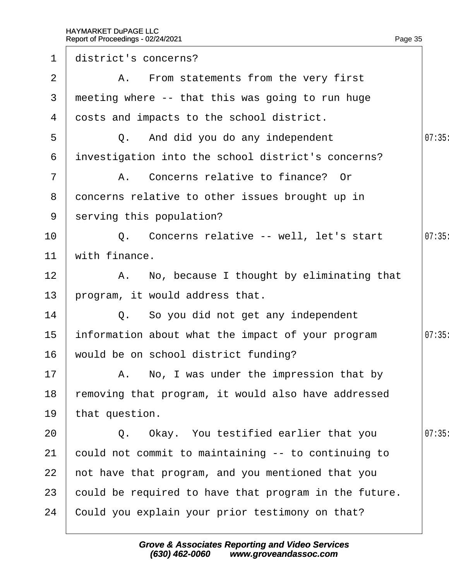| $\mathbf 1$     | district's concerns?                                  |       |
|-----------------|-------------------------------------------------------|-------|
| $\overline{2}$  | A. From statements from the very first                |       |
| 3               | meeting where -- that this was going to run huge      |       |
| 4               | dosts and impacts to the school district.             |       |
| 5               | Q. And did you do any independent                     | 07:35 |
| 6               | investigation into the school district's concerns?    |       |
| $\overline{7}$  | A. Concerns relative to finance? Or                   |       |
| 8               | doncerns relative to other issues brought up in       |       |
|                 | 9 serving this population?                            |       |
| 10              | Q. Concerns relative -- well, let's start             | 07:35 |
| 11              | with finance.                                         |       |
| 12              | A. No, because I thought by eliminating that          |       |
| 13 <sup>°</sup> | program, it would address that.                       |       |
| 14              | Q. So you did not get any independent                 |       |
| 15              | information about what the impact of your program     | 07:35 |
| 16              | would be on school district funding?                  |       |
| 17              | A. No, I was under the impression that by             |       |
| 18              | removing that program, it would also have addressed   |       |
| 19              | that question.                                        |       |
| 20              | Q. Okay. You testified earlier that you               | 07:35 |
| 21              | could not commit to maintaining -- to continuing to   |       |
| 22              | not have that program, and you mentioned that you     |       |
| 23              | could be required to have that program in the future. |       |
| 24              | Could you explain your prior testimony on that?       |       |
|                 |                                                       |       |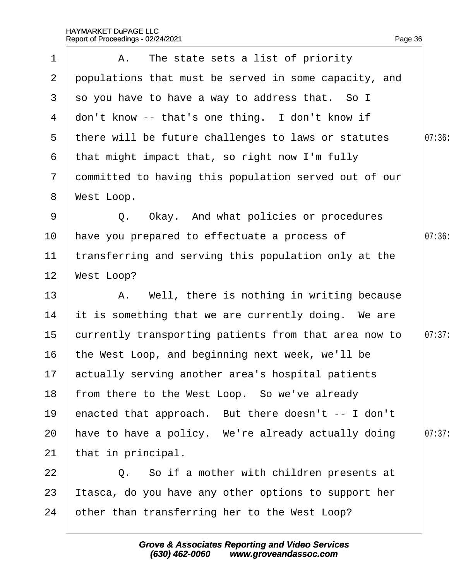| $\mathbf 1$     | A. The state sets a list of priority                  |        |
|-----------------|-------------------------------------------------------|--------|
| $\overline{2}$  | populations that must be served in some capacity, and |        |
| 3               | so you have to have a way to address that. So I       |        |
| 4               | don't know -- that's one thing. I don't know if       |        |
| $5^{\circ}$     | there will be future challenges to laws or statutes   | 07:36  |
| 6               | that might impact that, so right now I'm fully        |        |
| $\overline{7}$  | dommitted to having this population served out of our |        |
| 8               | West Loop.                                            |        |
| 9               | Q. Okay. And what policies or procedures              |        |
| 10              | have you prepared to effectuate a process of          | 07:36  |
| 11              | transferring and serving this population only at the  |        |
| 12              | <b>West Loop?</b>                                     |        |
| 13              | A. Well, there is nothing in writing because          |        |
| 14              | it is something that we are currently doing. We are   |        |
| 15 <sub>1</sub> | currently transporting patients from that area now to | 07:37: |
| 16              | the West Loop, and beginning next week, we'll be      |        |
|                 | 17 actually serving another area's hospital patients  |        |
| 18              | from there to the West Loop. So we've already         |        |
| 19              | enacted that approach. But there doesn't -- I don't   |        |
| 20              | have to have a policy. We're already actually doing   | 07:37: |
| 21              | that in principal.                                    |        |
| 22              | Q. So if a mother with children presents at           |        |
| 23              | tasca, do you have any other options to support her   |        |
| 24              | other than transferring her to the West Loop?         |        |
|                 |                                                       |        |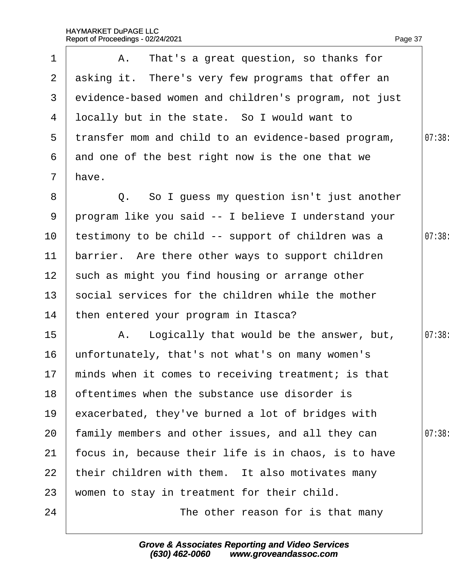| $\mathbf 1$     | A. That's a great question, so thanks for              |        |
|-----------------|--------------------------------------------------------|--------|
|                 | 2 asking it. There's very few programs that offer an   |        |
| 3               | evidence-based women and children's program, not just  |        |
| 4               | Ibcally but in the state. So I would want to           |        |
| 5               | transfer mom and child to an evidence-based program,   | 07:38: |
| 6               | and one of the best right now is the one that we       |        |
| $7\overline{ }$ | have.                                                  |        |
| 8               | Q. So I guess my question isn't just another           |        |
| 9               | program like you said -- I believe I understand your   |        |
| 10              | testimony to be child -- support of children was a     | 07:38  |
| 11              | barrier. Are there other ways to support children      |        |
| 12 <sup>1</sup> | such as might you find housing or arrange other        |        |
| 13 <sup>°</sup> | social services for the children while the mother      |        |
| 14              | then entered your program in Itasca?                   |        |
| 15              | A. Logically that would be the answer, but,            | 07:38: |
| 16              | unfortunately, that's not what's on many women's       |        |
|                 | 17 minds when it comes to receiving treatment; is that |        |
| 18              | oftentimes when the substance use disorder is          |        |
| 19              | exacerbated, they've burned a lot of bridges with      |        |
| 20              | family members and other issues, and all they can      | 07:38: |
| 21              | focus in, because their life is in chaos, is to have   |        |
| 22              | their children with them. It also motivates many       |        |
| 23              | women to stay in treatment for their child.            |        |
| 24              | The other reason for is that many                      |        |
|                 |                                                        |        |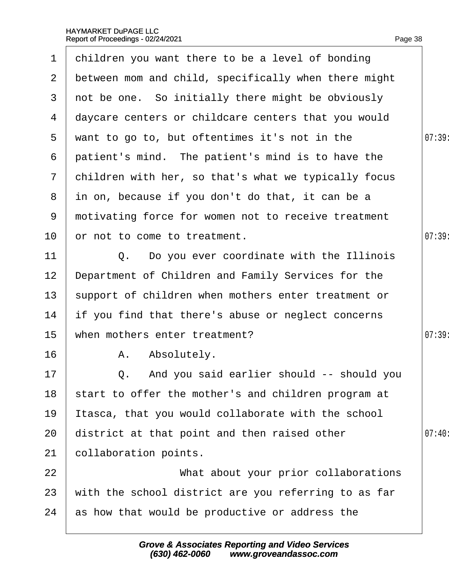| $\mathbf 1$           | children you want there to be a level of bonding     |       |
|-----------------------|------------------------------------------------------|-------|
| $\mathbf{2}^{\prime}$ | between mom and child, specifically when there might |       |
| 3                     | not be one. So initially there might be obviously    |       |
| 4                     | daycare centers or childcare centers that you would  |       |
| 5                     | want to go to, but oftentimes it's not in the        | 07:39 |
| 6                     | patient's mind. The patient's mind is to have the    |       |
| $\mathbf{7}$          | children with her, so that's what we typically focus |       |
| 8                     | in on, because if you don't do that, it can be a     |       |
| 9                     | motivating force for women not to receive treatment  |       |
| 10                    | or not to come to treatment.                         | 07:39 |
| 11                    | Q. Do you ever coordinate with the Illinois          |       |
| 12                    | Department of Children and Family Services for the   |       |
| 13                    | support of children when mothers enter treatment or  |       |
| 14                    | if you find that there's abuse or neglect concerns   |       |
| 15                    | when mothers enter treatment?                        | 07:39 |
| 16                    | A. Absolutely.                                       |       |
| 17                    | Q. And you said earlier should -- should you         |       |
| 18                    | start to offer the mother's and children program at  |       |
| 19                    | tasca, that you would collaborate with the school    |       |
| 20                    | district at that point and then raised other         | 07:40 |
| 21                    | collaboration points.                                |       |
| 22                    | What about your prior collaborations                 |       |
| 23                    | with the school district are you referring to as far |       |
| 24                    | as how that would be productive or address the       |       |
|                       |                                                      |       |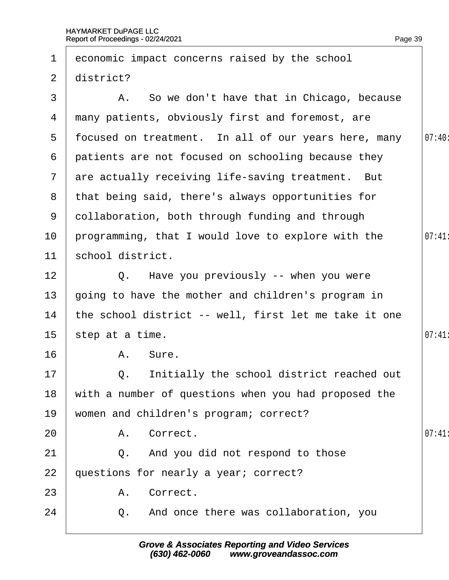| 1              |                  | economic impact concerns raised by the school         |       |
|----------------|------------------|-------------------------------------------------------|-------|
| $\overline{2}$ | district?        |                                                       |       |
| 3              |                  | A. So we don't have that in Chicago, because          |       |
| 4              |                  | many patients, obviously first and foremost, are      |       |
| 5              |                  | focused on treatment. In all of our years here, many  | 07:40 |
| 6              |                  | patients are not focused on schooling because they    |       |
| $\mathcal{I}$  |                  | are actually receiving life-saving treatment. But     |       |
| 8              |                  | that being said, there's always opportunities for     |       |
| 9              |                  | dollaboration, both through funding and through       |       |
| 10             |                  | programming, that I would love to explore with the    | 07:41 |
| 11             | school district. |                                                       |       |
| 12             |                  | Q. Have you previously -- when you were               |       |
| 13             |                  | going to have the mother and children's program in    |       |
| 14             |                  | the school district -- well, first let me take it one |       |
| 15             | step at a time.  |                                                       | 07:41 |
| 16             |                  | A. Sure.                                              |       |
| 17             |                  | Q. Initially the school district reached out          |       |
| 18             |                  | with a number of questions when you had proposed the  |       |
| 19             |                  | women and children's program; correct?                |       |
| 20             |                  | A. Correct.                                           | 07:41 |
| 21             |                  | Q. And you did not respond to those                   |       |
| 22             |                  | questions for nearly a year; correct?                 |       |
| 23             |                  | A. Correct.                                           |       |
| 24             |                  | Q. And once there was collaboration, you              |       |
|                |                  |                                                       |       |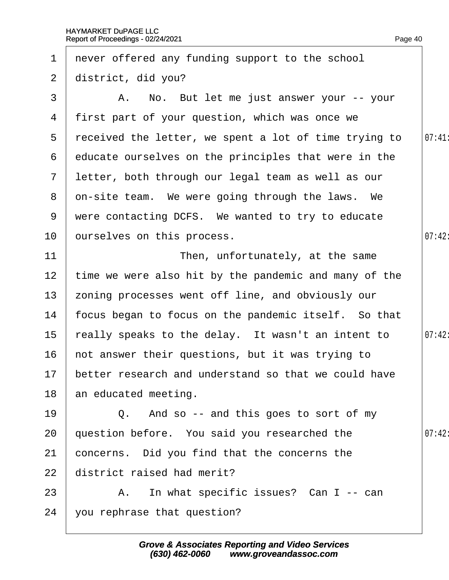| $\mathbf 1$     | never offered any funding support to the school         |        |
|-----------------|---------------------------------------------------------|--------|
| $\overline{2}$  | district, did you?                                      |        |
| 3               | A. No. But let me just answer your -- your              |        |
| 4               | first part of your question, which was once we          |        |
| 5               | received the letter, we spent a lot of time trying to   | 07:41  |
| 6               | educate ourselves on the principles that were in the    |        |
| $\mathbf{7}$    | letter, both through our legal team as well as our      |        |
|                 | 8 dn-site team. We were going through the laws. We      |        |
| 9               | were contacting DCFS. We wanted to try to educate       |        |
| 10 <sup>°</sup> | purselves on this process.                              | 07:42  |
| 11              | Then, unfortunately, at the same                        |        |
| 12 <sub>2</sub> | time we were also hit by the pandemic and many of the   |        |
| 13 <sup>°</sup> | zoning processes went off line, and obviously our       |        |
| 14              | focus began to focus on the pandemic itself. So that    |        |
| $15\,$          | really speaks to the delay. It wasn't an intent to      | 07:42: |
| 16              | hot answer their questions, but it was trying to        |        |
|                 | 17 better research and understand so that we could have |        |
| 18              | an educated meeting.                                    |        |
| 19              | Q. And so -- and this goes to sort of my                |        |
| 20              | question before. You said you researched the            | 07:42: |
| 21              | concerns. Did you find that the concerns the            |        |
| 22              | district raised had merit?                              |        |
| 23              | A. In what specific issues? Can I -- can                |        |
| 24              | you rephrase that question?                             |        |
|                 |                                                         |        |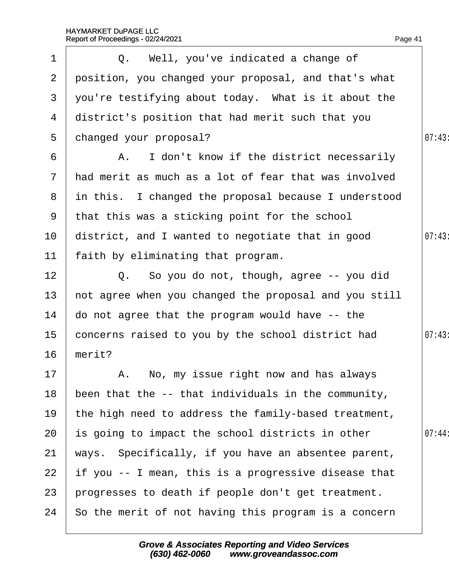| 1               | Q. Well, you've indicated a change of                  |        |
|-----------------|--------------------------------------------------------|--------|
| $\overline{2}$  | position, you changed your proposal, and that's what   |        |
| 3               | you're testifying about today. What is it about the    |        |
| 4               | district's position that had merit such that you       |        |
| 5               | changed your proposal?                                 | 07:43  |
| 6               | A. I don't know if the district necessarily            |        |
|                 | 7 had merit as much as a lot of fear that was involved |        |
| 8               | in this. I changed the proposal because I understood   |        |
|                 | 9 that this was a sticking point for the school        |        |
| 10              | district, and I wanted to negotiate that in good       | 07:43  |
| 11              | faith by eliminating that program.                     |        |
| 12              | Q. So you do not, though, agree -- you did             |        |
| 13              | hot agree when you changed the proposal and you still  |        |
| 14              | do not agree that the program would have -- the        |        |
| 15 <sub>1</sub> | concerns raised to you by the school district had      | 07:43  |
| 16              | merit?                                                 |        |
| 17 <sup>1</sup> | A. No, my issue right now and has always               |        |
| 18              | been that the -- that individuals in the community,    |        |
| 19              | the high need to address the family-based treatment,   |        |
| 20              | is going to impact the school districts in other       | 07:44: |
| 21              | ways. Specifically, if you have an absentee parent,    |        |
| 22              | If you -- I mean, this is a progressive disease that   |        |
| 23              | progresses to death if people don't get treatment.     |        |
| 24              | So the merit of not having this program is a concern   |        |
|                 |                                                        |        |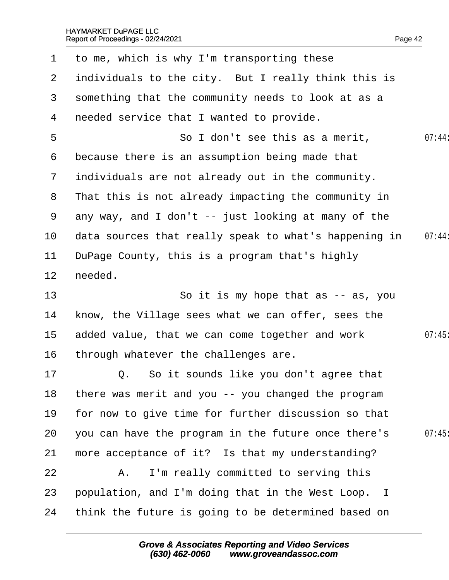| $\mathbf 1$           | to me, which is why I'm transporting these            |        |
|-----------------------|-------------------------------------------------------|--------|
| $\mathbf{2}^{\prime}$ | individuals to the city. But I really think this is   |        |
| 3                     | something that the community needs to look at as a    |        |
| 4                     | needed service that I wanted to provide.              |        |
| 5                     | So I don't see this as a merit,                       | 07:44: |
| 6                     | because there is an assumption being made that        |        |
| $\overline{7}$        | individuals are not already out in the community.     |        |
| 8                     | That this is not already impacting the community in   |        |
| 9                     | any way, and I don't -- just looking at many of the   |        |
| 10                    | data sources that really speak to what's happening in | 07:44: |
| 11                    | DuPage County, this is a program that's highly        |        |
| 12                    | heeded.                                               |        |
| 13                    | So it is my hope that as -- as, you                   |        |
| 14                    | know, the Village sees what we can offer, sees the    |        |
| $15\,$                | added value, that we can come together and work       | 07:45  |
| 16                    | through whatever the challenges are.                  |        |
| 17 <sup>1</sup>       | Q. So it sounds like you don't agree that             |        |
| 18                    | there was merit and you -- you changed the program    |        |
| 19                    | for now to give time for further discussion so that   |        |
| 20                    | you can have the program in the future once there's   | 07:45  |
| 21                    | more acceptance of it? Is that my understanding?      |        |
| 22                    | A. I'm really committed to serving this               |        |
| 23                    | population, and I'm doing that in the West Loop. I    |        |
| 24                    | think the future is going to be determined based on   |        |
|                       |                                                       |        |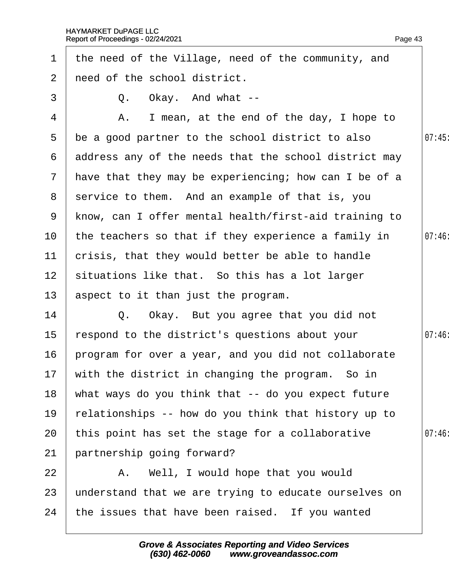| $\mathbf 1$     | the need of the Village, need of the community, and     |       |
|-----------------|---------------------------------------------------------|-------|
| $\overline{2}$  | need of the school district.                            |       |
| 3               | Q. Okay. And what --                                    |       |
| 4               | I mean, at the end of the day, I hope to<br>Α.          |       |
| 5               | be a good partner to the school district to also        | 07:45 |
| 6               | address any of the needs that the school district may   |       |
|                 | 7 have that they may be experiencing; how can I be of a |       |
| 8               | service to them. And an example of that is, you         |       |
| 9               | know, can I offer mental health/first-aid training to   |       |
| 10              | the teachers so that if they experience a family in     | 07:46 |
| 11              | crisis, that they would better be able to handle        |       |
| 12 <sup>1</sup> | situations like that. So this has a lot larger          |       |
| 13 <sup>°</sup> | aspect to it than just the program.                     |       |
| 14              | Q. Okay. But you agree that you did not                 |       |
| 15              | respond to the district's questions about your          | 07:46 |
| 16              | program for over a year, and you did not collaborate    |       |
|                 | 17 with the district in changing the program. So in     |       |
| 18              | what ways do you think that -- do you expect future     |       |
| 19              | relationships -- how do you think that history up to    |       |
| 20              | this point has set the stage for a collaborative        | 07:46 |
| 21              | partnership going forward?                              |       |
| 22              | A. Well, I would hope that you would                    |       |
| 23              | understand that we are trying to educate ourselves on   |       |
| 24              | the issues that have been raised. If you wanted         |       |
|                 |                                                         |       |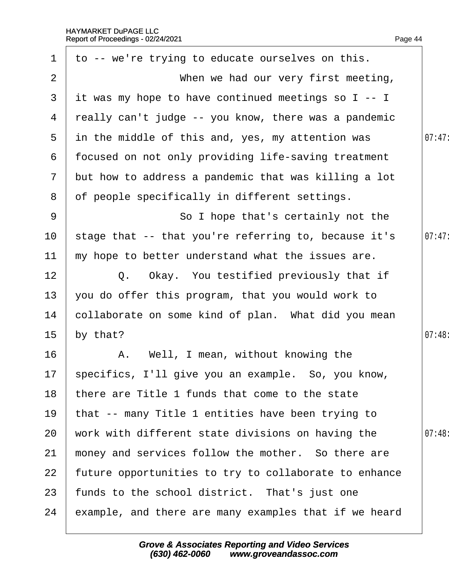| $\mathbf 1$    | to -- we're trying to educate ourselves on this.      |        |
|----------------|-------------------------------------------------------|--------|
| 2              | When we had our very first meeting,                   |        |
| 3              | it was my hope to have continued meetings so I -- I   |        |
| 4              | really can't judge -- you know, there was a pandemic  |        |
| $5^{\circ}$    | in the middle of this and, yes, my attention was      | 07:47: |
| 6              | focused on not only providing life-saving treatment   |        |
| $7\phantom{.}$ | but how to address a pandemic that was killing a lot  |        |
| 8              | of people specifically in different settings.         |        |
| 9              | So I hope that's certainly not the                    |        |
| 10             | stage that -- that you're referring to, because it's  | 07:47: |
| 11             | my hope to better understand what the issues are.     |        |
| 12             | Q. Okay. You testified previously that if             |        |
| 13             | you do offer this program, that you would work to     |        |
| 14             | collaborate on some kind of plan. What did you mean   |        |
| 15             | by that?                                              | 07:48  |
| 16             | A. Well, I mean, without knowing the                  |        |
|                | 17 specifics, I'll give you an example. So, you know, |        |
| 18             | there are Title 1 funds that come to the state        |        |
| 19             | that -- many Title 1 entities have been trying to     |        |
| 20             | work with different state divisions on having the     | 07:48  |
| 21             | money and services follow the mother. So there are    |        |
| 22             | future opportunities to try to collaborate to enhance |        |
| 23             | funds to the school district. That's just one         |        |
| 24             | example, and there are many examples that if we heard |        |
|                |                                                       |        |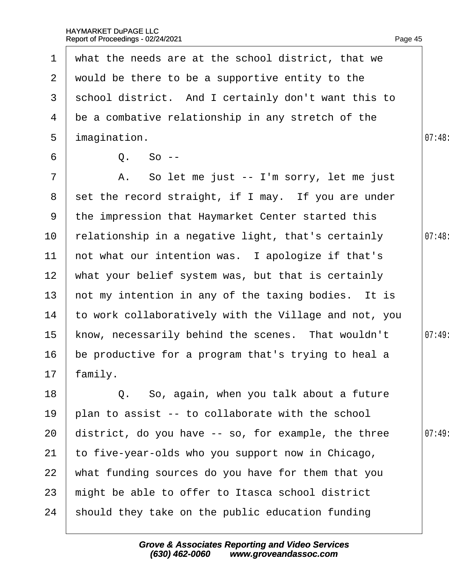| $\mathbf 1$     | what the needs are at the school district, that we    |        |
|-----------------|-------------------------------------------------------|--------|
| $\overline{2}$  | would be there to be a supportive entity to the       |        |
| 3               | school district. And I certainly don't want this to   |        |
| 4               | be a combative relationship in any stretch of the     |        |
| 5               | imagination.                                          | 07:48: |
| 6               | Q. So --                                              |        |
| $\overline{7}$  | A. So let me just -- I'm sorry, let me just           |        |
|                 | 8 set the record straight, if I may. If you are under |        |
| 9               | the impression that Haymarket Center started this     |        |
| 10              | relationship in a negative light, that's certainly    | 07:48  |
| 11              | not what our intention was. I apologize if that's     |        |
| 12 <sub>2</sub> | what your belief system was, but that is certainly    |        |
| 13              | hot my intention in any of the taxing bodies. It is   |        |
| 14              | to work collaboratively with the Village and not, you |        |
| 15 <sub>1</sub> | know, necessarily behind the scenes. That wouldn't    | 07:49: |
| 16              | be productive for a program that's trying to heal a   |        |
|                 | 17 family.                                            |        |
| 18              | Q. So, again, when you talk about a future            |        |
| 19              | plan to assist -- to collaborate with the school      |        |
| 20              | district, do you have -- so, for example, the three   | 07:49  |
| 21              | to five-year-olds who you support now in Chicago,     |        |
| 22              | what funding sources do you have for them that you    |        |
| 23              | might be able to offer to Itasca school district      |        |
| 24              | should they take on the public education funding      |        |
|                 |                                                       |        |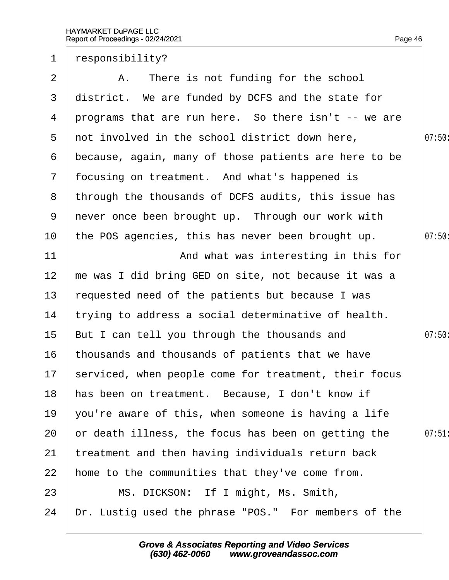| $\mathbf 1$     | responsibility?                                          |        |
|-----------------|----------------------------------------------------------|--------|
| 2               | A. There is not funding for the school                   |        |
| 3               | district. We are funded by DCFS and the state for        |        |
| 4               | programs that are run here. So there isn't -- we are     |        |
| 5               | not involved in the school district down here,           | 07:50: |
| 6               | because, again, many of those patients are here to be    |        |
|                 | 7 focusing on treatment. And what's happened is          |        |
|                 | 8 through the thousands of DCFS audits, this issue has   |        |
| 9               | never once been brought up. Through our work with        |        |
| 10              | the POS agencies, this has never been brought up.        | 07:50  |
| 11              | And what was interesting in this for                     |        |
| 12              | me was I did bring GED on site, not because it was a     |        |
| 13              | requested need of the patients but because I was         |        |
| 14              | trying to address a social determinative of health.      |        |
| 15 <sub>1</sub> | But I can tell you through the thousands and             | 07:50  |
| 16              | thousands and thousands of patients that we have         |        |
|                 | 17 serviced, when people come for treatment, their focus |        |
| 18              | has been on treatment. Because, I don't know if          |        |
| 19              | you're aware of this, when someone is having a life      |        |
| 20              | or death illness, the focus has been on getting the      | 07:51  |
| 21              | treatment and then having individuals return back        |        |
| 22              | home to the communities that they've come from.          |        |
| 23              | MS. DICKSON: If I might, Ms. Smith,                      |        |
| 24              | Dr. Lustig used the phrase "POS." For members of the     |        |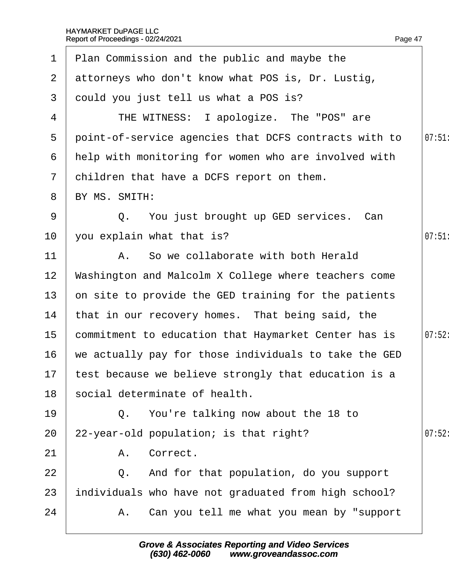|                 | 1 Plan Commission and the public and maybe the          |        |
|-----------------|---------------------------------------------------------|--------|
| 2 <sup>1</sup>  | attorneys who don't know what POS is, Dr. Lustig,       |        |
| 3               | dould you just tell us what a POS is?                   |        |
| 4               | THE WITNESS: I apologize. The "POS" are                 |        |
| $5^{\circ}$     | point-of-service agencies that DCFS contracts with to   | 07:51  |
| 6               | help with monitoring for women who are involved with    |        |
| $\mathbf{7}$    | children that have a DCFS report on them.               |        |
| 8               | BY MS. SMITH:                                           |        |
| 9               | Q. You just brought up GED services. Can                |        |
| 10              | you explain what that is?                               | 07:51  |
| 11              | A. So we collaborate with both Herald                   |        |
| 12              | Washington and Malcolm X College where teachers come    |        |
| 13              | on site to provide the GED training for the patients    |        |
| 14              | that in our recovery homes. That being said, the        |        |
| 15 <sub>1</sub> | commitment to education that Haymarket Center has is    | 07:52: |
| 16              | we actually pay for those individuals to take the GED   |        |
|                 | 17 test because we believe strongly that education is a |        |
| 18              | social determinate of health.                           |        |
| 19              | Q. You're talking now about the 18 to                   |        |
| 20              | 22-year-old population; is that right?                  | 07:52: |
| 21              | A. Correct.                                             |        |
| 22              | Q. And for that population, do you support              |        |
| 23              | individuals who have not graduated from high school?    |        |
| 24              | A. Can you tell me what you mean by "support"           |        |
|                 |                                                         |        |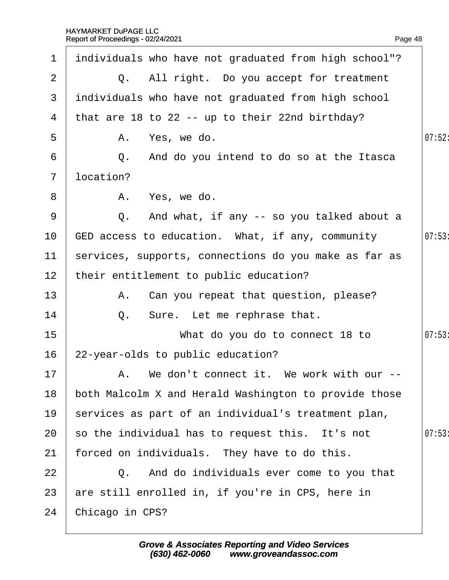| $\mathbf 1$     | individuals who have not graduated from high school"? |        |
|-----------------|-------------------------------------------------------|--------|
| 2               | Q. All right. Do you accept for treatment             |        |
| 3               | individuals who have not graduated from high school   |        |
|                 | 4 that are 18 to 22 -- up to their 22nd birthday?     |        |
| 5               | A. Yes, we do.                                        | 07:52: |
| 6               | Q. And do you intend to do so at the Itasca           |        |
| $7\overline{ }$ | location?                                             |        |
| 8               | A. Yes, we do.                                        |        |
| 9               | Q. And what, if any -- so you talked about a          |        |
| 10              | GED access to education. What, if any, community      | 07:53  |
| 11              | services, supports, connections do you make as far as |        |
| 12 <sub>2</sub> | their entitlement to public education?                |        |
| 13              | A. Can you repeat that question, please?              |        |
| 14              | Q. Sure. Let me rephrase that.                        |        |
| 15              | What do you do to connect 18 to                       | 07:53  |
| 16              | 22-year-olds to public education?                     |        |
| 17 <sub>2</sub> | A. We don't connect it. We work with our --           |        |
| 18              | both Malcolm X and Herald Washington to provide those |        |
| 19              | services as part of an individual's treatment plan,   |        |
| 20              | so the individual has to request this. It's not       | 07:53  |
| 21              | forced on individuals. They have to do this.          |        |
| 22              | Q. And do individuals ever come to you that           |        |
| 23              | are still enrolled in, if you're in CPS, here in      |        |
| 24              | Chicago in CPS?                                       |        |
|                 |                                                       |        |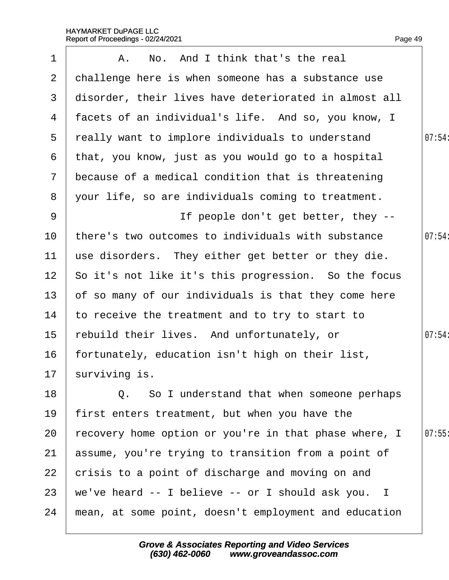| $\mathbf 1$     | A. No. And I think that's the real                    |        |
|-----------------|-------------------------------------------------------|--------|
| $\mathbf{2}$    | challenge here is when someone has a substance use    |        |
| 3               | disorder, their lives have deteriorated in almost all |        |
| 4               | facets of an individual's life. And so, you know, I   |        |
| 5               | really want to implore individuals to understand      | 07:54  |
| 6               | that, you know, just as you would go to a hospital    |        |
| $\overline{7}$  | because of a medical condition that is threatening    |        |
| 8               | your life, so are individuals coming to treatment.    |        |
| 9               | If people don't get better, they --                   |        |
| 10              | there's two outcomes to individuals with substance    | 07:54: |
| 11              | use disorders. They either get better or they die.    |        |
| 12 <sup>°</sup> | So it's not like it's this progression. So the focus  |        |
| 13              | of so many of our individuals is that they come here  |        |
| 14              | to receive the treatment and to try to start to       |        |
| 15              | rebuild their lives. And unfortunately, or            | 07:54: |
| 16              | fortunately, education isn't high on their list,      |        |
|                 | 17 surviving is.                                      |        |
| 18              | Q. So I understand that when someone perhaps          |        |
| 19              | first enters treatment, but when you have the         |        |
| 20              | recovery home option or you're in that phase where, I | 07:55  |
| 21              | assume, you're trying to transition from a point of   |        |
| 22              | crisis to a point of discharge and moving on and      |        |
| 23              | we've heard -- I believe -- or I should ask you. I    |        |
| 24              | mean, at some point, doesn't employment and education |        |
|                 |                                                       |        |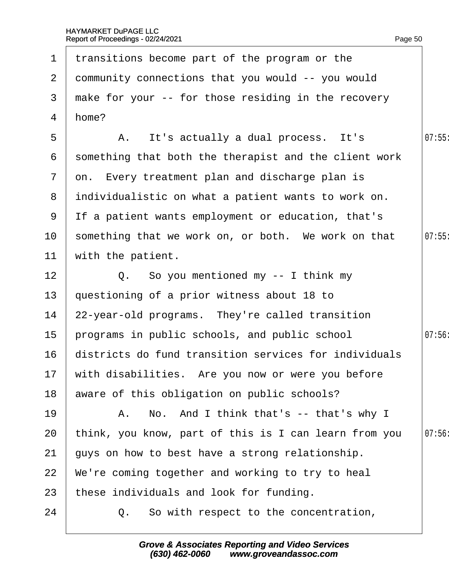|                 | 1 transitions become part of the program or the       |       |
|-----------------|-------------------------------------------------------|-------|
| 2 <sup>1</sup>  | dommunity connections that you would -- you would     |       |
| 3               | make for your -- for those residing in the recovery   |       |
| 4               | home?                                                 |       |
| 5               | A. It's actually a dual process. It's                 | 07:55 |
| 6               | something that both the therapist and the client work |       |
| $\overline{7}$  | on. Every treatment plan and discharge plan is        |       |
| 8               | individualistic on what a patient wants to work on.   |       |
| 9               | If a patient wants employment or education, that's    |       |
| 10 <sup>°</sup> | something that we work on, or both. We work on that   | 07:55 |
| 11              | with the patient.                                     |       |
| 12 <sub>2</sub> | Q. So you mentioned my -- I think my                  |       |
| 13              | questioning of a prior witness about 18 to            |       |
| 14              | 22-year-old programs. They're called transition       |       |
| 15              | programs in public schools, and public school         | 07:56 |
| 16              | districts do fund transition services for individuals |       |
|                 | 17 with disabilities. Are you now or were you before  |       |
| 18              | aware of this obligation on public schools?           |       |
| 19              | A. No. And I think that's -- that's why I             |       |
| 20              | think, you know, part of this is I can learn from you | 07:56 |
| 21              | guys on how to best have a strong relationship.       |       |
| 22              | We're coming together and working to try to heal      |       |
| 23              | these individuals and look for funding.               |       |
| 24              | Q. So with respect to the concentration,              |       |
|                 |                                                       |       |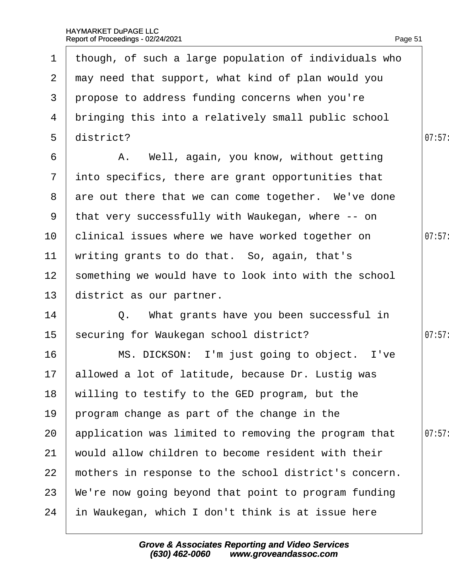|                 | 1 though, of such a large population of individuals who |        |
|-----------------|---------------------------------------------------------|--------|
|                 | 2 may need that support, what kind of plan would you    |        |
| 3               | propose to address funding concerns when you're         |        |
| 4               | bringing this into a relatively small public school     |        |
| $5^{\circ}$     | district?                                               | 07:57: |
| 6               | A. Well, again, you know, without getting               |        |
| $\mathbf{7}$    | into specifics, there are grant opportunities that      |        |
|                 | 8 are out there that we can come together. We've done   |        |
|                 | 9 that very successfully with Waukegan, where -- on     |        |
| 10              | clinical issues where we have worked together on        | 07:57: |
| 11              | writing grants to do that. So, again, that's            |        |
| 12 <sub>2</sub> | something we would have to look into with the school    |        |
| 13 <sup>°</sup> | district as our partner.                                |        |
| 14              | Q. What grants have you been successful in              |        |
| 15              | securing for Waukegan school district?                  | 07:57: |
| 16              | MS. DICKSON: I'm just going to object. I've             |        |
|                 | 17 allowed a lot of latitude, because Dr. Lustig was    |        |
| 18              | willing to testify to the GED program, but the          |        |
| 19              | program change as part of the change in the             |        |
| 20              | application was limited to removing the program that    | 07:57  |
| 21              | would allow children to become resident with their      |        |
| 22              | mothers in response to the school district's concern.   |        |
| 23              | We're now going beyond that point to program funding    |        |
| 24              | in Waukegan, which I don't think is at issue here       |        |
|                 |                                                         |        |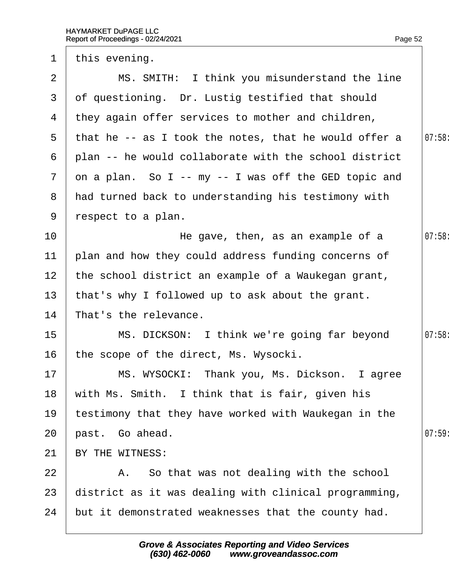1 this evening.

Page 52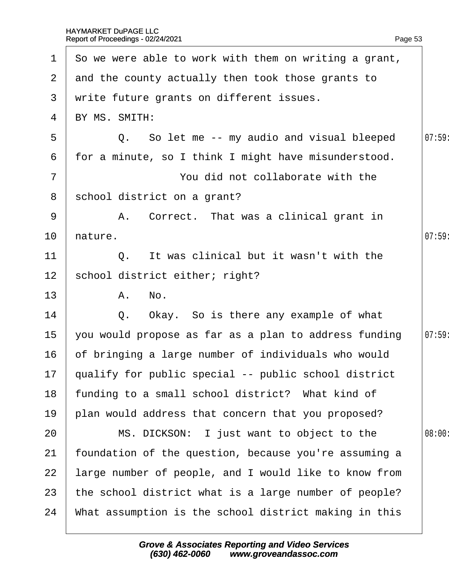| $\mathbf 1$     | So we were able to work with them on writing a grant,   |        |
|-----------------|---------------------------------------------------------|--------|
|                 | 2 and the county actually then took those grants to     |        |
| 3               | write future grants on different issues.                |        |
| 4               | BY MS. SMITH:                                           |        |
| 5               | Q. So let me -- my audio and visual bleeped             | 07:59  |
| 6               | for a minute, so I think I might have misunderstood.    |        |
| $\overline{7}$  | You did not collaborate with the                        |        |
| 8               | school district on a grant?                             |        |
| 9               | A. Correct. That was a clinical grant in                |        |
| 10              | hature.                                                 | 07:59  |
| 11              | Q. It was clinical but it wasn't with the               |        |
| 12 <sub>2</sub> | school district either; right?                          |        |
| 13              | A. No.                                                  |        |
| 14              | Q. Okay. So is there any example of what                |        |
| 15              | you would propose as far as a plan to address funding   | 07:59  |
| 16              | of bringing a large number of individuals who would     |        |
|                 | 17 qualify for public special -- public school district |        |
| 18              | funding to a small school district? What kind of        |        |
| 19              | plan would address that concern that you proposed?      |        |
| 20              | MS. DICKSON: I just want to object to the               | 08:00: |
| 21              | foundation of the question, because you're assuming a   |        |
| 22              | large number of people, and I would like to know from   |        |
| 23              | the school district what is a large number of people?   |        |
| 24              | What assumption is the school district making in this   |        |
|                 |                                                         |        |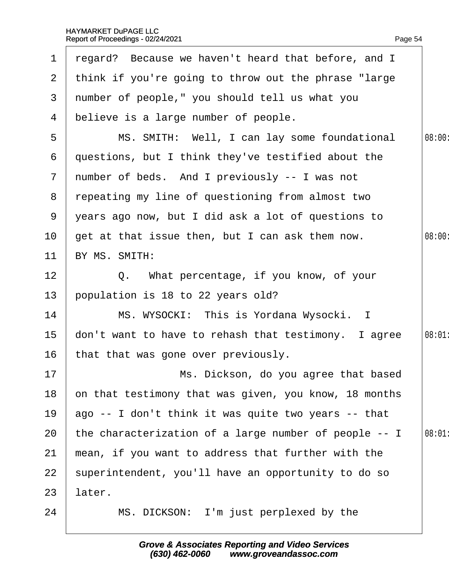| $\mathbf 1$     | regard? Because we haven't heard that before, and I     |        |
|-----------------|---------------------------------------------------------|--------|
|                 | 2 think if you're going to throw out the phrase "large" |        |
| $\mathbf{3}$    | number of people," you should tell us what you          |        |
| 4               | believe is a large number of people.                    |        |
| 5               | MS. SMITH: Well, I can lay some foundational            | 08:00: |
| 6               | questions, but I think they've testified about the      |        |
| $\mathbf{7}$    | number of beds. And I previously -- I was not           |        |
| 8               | repeating my line of questioning from almost two        |        |
| 9               | years ago now, but I did ask a lot of questions to      |        |
| 10 <sup>°</sup> | get at that issue then, but I can ask them now.         | 08:00: |
| 11              | BY MS. SMITH:                                           |        |
| 12 <sub>2</sub> | Q. What percentage, if you know, of your                |        |
| 13              | population is 18 to 22 years old?                       |        |
| 14              | MS. WYSOCKI: This is Yordana Wysocki. I                 |        |
| 15              | don't want to have to rehash that testimony. I agree    | 08:01  |
| 16              | that that was gone over previously.                     |        |
| 17              | Ms. Dickson, do you agree that based                    |        |
| 18              | on that testimony that was given, you know, 18 months   |        |
| 19              | ago -- I don't think it was quite two years -- that     |        |
| 20              | the characterization of a large number of people -- I   | 08:01  |
| 21              | mean, if you want to address that further with the      |        |
| 22              | superintendent, you'll have an opportunity to do so     |        |
| 23              | later.                                                  |        |
| 24              | MS. DICKSON: I'm just perplexed by the                  |        |
|                 |                                                         |        |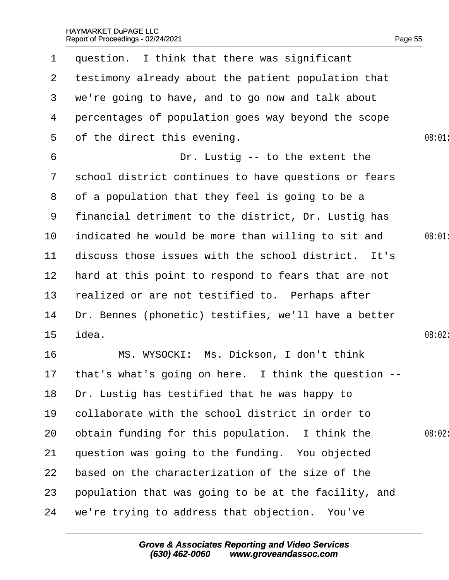| $\mathbf 1$     | question. I think that there was significant            |        |
|-----------------|---------------------------------------------------------|--------|
|                 | 2 testimony already about the patient population that   |        |
| 3 <sup>1</sup>  | we're going to have, and to go now and talk about       |        |
| 4               | percentages of population goes way beyond the scope     |        |
| 5               | of the direct this evening.                             | 08:01  |
| 6               | Dr. Lustig -- to the extent the                         |        |
| $7\phantom{.}$  | school district continues to have questions or fears    |        |
| 8               | of a population that they feel is going to be a         |        |
| 9               | financial detriment to the district, Dr. Lustig has     |        |
| 10              | indicated he would be more than willing to sit and      | 08:01  |
| 11              | discuss those issues with the school district. It's     |        |
| 12 <sub>2</sub> | hard at this point to respond to fears that are not     |        |
| 13              | realized or are not testified to. Perhaps after         |        |
| 14              | Dr. Bennes (phonetic) testifies, we'll have a better    |        |
| 15              | idea.                                                   | 08:02: |
| 16              | MS. WYSOCKI: Ms. Dickson, I don't think                 |        |
|                 | 17 that's what's going on here. I think the question -- |        |
| 18              | Dr. Lustig has testified that he was happy to           |        |
| 19              | collaborate with the school district in order to        |        |
| 20              | obtain funding for this population. I think the         | 08:02: |
| 21              | question was going to the funding. You objected         |        |
| 22              | based on the characterization of the size of the        |        |
| 23              | population that was going to be at the facility, and    |        |
| 24              | we're trying to address that objection. You've          |        |
|                 |                                                         |        |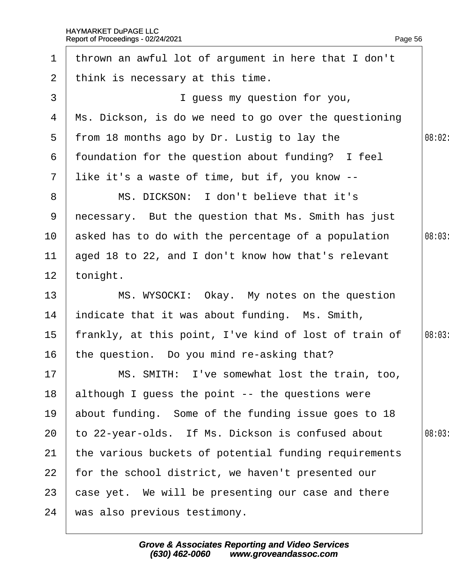| $\mathbf 1$     | thrown an awful lot of argument in here that I don't  |        |
|-----------------|-------------------------------------------------------|--------|
| 2               | think is necessary at this time.                      |        |
| 3               | I guess my question for you,                          |        |
| 4               | Ms. Dickson, is do we need to go over the questioning |        |
| 5               | from 18 months ago by Dr. Lustig to lay the           | 08:02: |
| 6               | foundation for the question about funding? I feel     |        |
| $\overline{7}$  | like it's a waste of time, but if, you know --        |        |
| 8               | MS. DICKSON: I don't believe that it's                |        |
| 9               | necessary. But the question that Ms. Smith has just   |        |
| 10              | asked has to do with the percentage of a population   | 08:03  |
| 11              | aged 18 to 22, and I don't know how that's relevant   |        |
| 12 <sup>2</sup> | tonight.                                              |        |
| 13              | MS. WYSOCKI: Okay. My notes on the question           |        |
| 14              | indicate that it was about funding. Ms. Smith,        |        |
| 15              | frankly, at this point, I've kind of lost of train of | 08:03  |
| 16              | the question. Do you mind re-asking that?             |        |
| 17              | MS. SMITH: I've somewhat lost the train, too,         |        |
| 18              | although I guess the point -- the questions were      |        |
| 19              | about funding. Some of the funding issue goes to 18   |        |
| 20              | to 22-year-olds. If Ms. Dickson is confused about     | 08:03  |
| 21              | the various buckets of potential funding requirements |        |
| 22              | for the school district, we haven't presented our     |        |
| 23              | case yet. We will be presenting our case and there    |        |
| 24              | was also previous testimony.                          |        |
|                 |                                                       |        |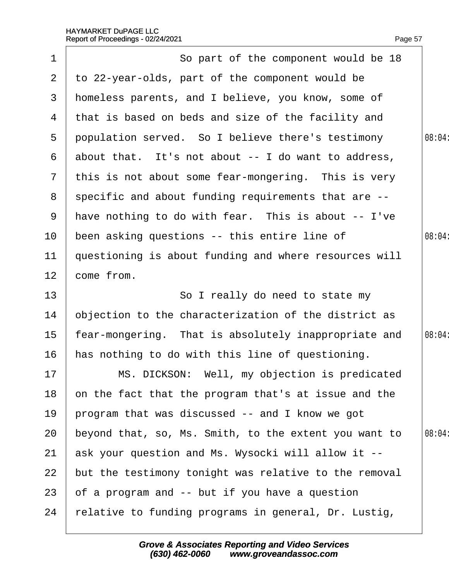|                 | Report of Proceedings - 02/24/2021                    | Page 57 |
|-----------------|-------------------------------------------------------|---------|
| 1               | So part of the component would be 18                  |         |
| $\overline{2}$  | to 22-year-olds, part of the component would be       |         |
| 3               | homeless parents, and I believe, you know, some of    |         |
| 4               | that is based on beds and size of the facility and    |         |
| 5               | population served. So I believe there's testimony     | 08:04   |
| 6               | about that. It's not about -- I do want to address,   |         |
|                 | 7 this is not about some fear-mongering. This is very |         |
| 8               | specific and about funding requirements that are --   |         |
| 9               | have nothing to do with fear. This is about -- I've   |         |
| 10              | been asking questions -- this entire line of          | 08:04   |
| 11              | questioning is about funding and where resources will |         |
| 12 <sub>2</sub> | come from.                                            |         |
| 13              | So I really do need to state my                       |         |
| 14              | objection to the characterization of the district as  |         |
| 15              | fear-mongering. That is absolutely inappropriate and  | 08:04:  |
| 16              | has nothing to do with this line of questioning.      |         |
| 17              | MS. DICKSON: Well, my objection is predicated         |         |
| 18              | on the fact that the program that's at issue and the  |         |
| 19              | program that was discussed -- and I know we got       |         |
| 20              | beyond that, so, Ms. Smith, to the extent you want to | 08:04:  |
| 21              | ask your question and Ms. Wysocki will allow it --    |         |
| 22              | but the testimony tonight was relative to the removal |         |
| 23              | of a program and -- but if you have a question        |         |
| 24              | felative to funding programs in general, Dr. Lustig,  |         |
|                 |                                                       |         |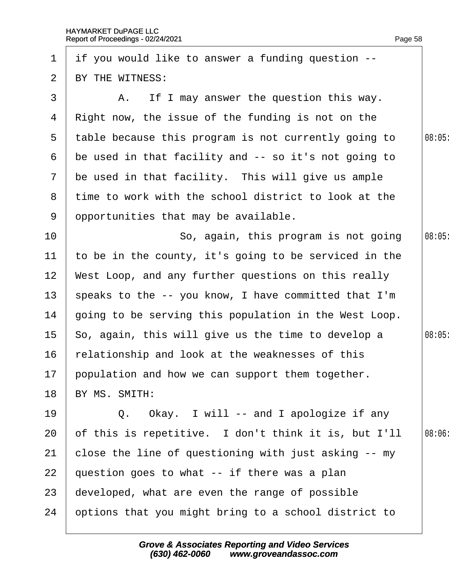| 1             | if you would like to answer a funding question --     |       |
|---------------|-------------------------------------------------------|-------|
| 2             | BY THE WITNESS:                                       |       |
| 3             | A. If I may answer the question this way.             |       |
| 4             | Right now, the issue of the funding is not on the     |       |
| 5             | table because this program is not currently going to  | 08:05 |
| 6             | be used in that facility and -- so it's not going to  |       |
| $\mathcal{I}$ | be used in that facility. This will give us ample     |       |
| 8             | time to work with the school district to look at the  |       |
| 9             | opportunities that may be available.                  |       |
| 10            | So, again, this program is not going                  | 08:05 |
| 11            | to be in the county, it's going to be serviced in the |       |
| 12            | West Loop, and any further questions on this really   |       |
| 13            | speaks to the -- you know, I have committed that I'm  |       |
| 14            | going to be serving this population in the West Loop. |       |
| 15            | So, again, this will give us the time to develop a    | 08:05 |
| 16            | relationship and look at the weaknesses of this       |       |
| 17            | population and how we can support them together.      |       |
| 18            | BY MS. SMITH:                                         |       |
| 19            | Q. Okay. I will -- and I apologize if any             |       |
| 20            | of this is repetitive. I don't think it is, but I'll  | 08:06 |
| 21            | close the line of questioning with just asking -- my  |       |
| 22            | question goes to what -- if there was a plan          |       |
| 23            | developed, what are even the range of possible        |       |
| 24            | options that you might bring to a school district to  |       |
|               |                                                       |       |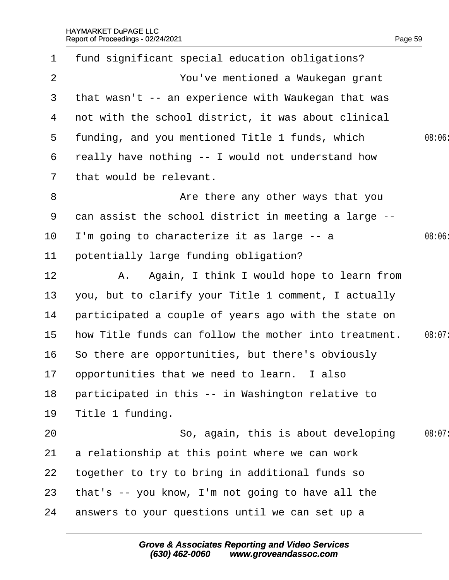| $\mathbf 1$     | fund significant special education obligations?       |        |
|-----------------|-------------------------------------------------------|--------|
| 2               | You've mentioned a Waukegan grant                     |        |
| 3               | that wasn't -- an experience with Waukegan that was   |        |
| 4               | not with the school district, it was about clinical   |        |
|                 | 5 funding, and you mentioned Title 1 funds, which     | 08:06  |
| 6               | really have nothing -- I would not understand how     |        |
| $\mathbf{7}$    | that would be relevant.                               |        |
| 8               | Are there any other ways that you                     |        |
| 9               | dan assist the school district in meeting a large --  |        |
| 10              | I'm going to characterize it as large -- a            | 08:06  |
| 11              | potentially large funding obligation?                 |        |
| 12 <sub>2</sub> | A. Again, I think I would hope to learn from          |        |
| 13              | you, but to clarify your Title 1 comment, I actually  |        |
| 14              | participated a couple of years ago with the state on  |        |
| 15              | how Title funds can follow the mother into treatment. | 08:07: |
| 16              | So there are opportunities, but there's obviously     |        |
|                 | 17 ppportunities that we need to learn. I also        |        |
| 18              | participated in this -- in Washington relative to     |        |
| 19              | Title 1 funding.                                      |        |
| 20              | So, again, this is about developing                   | 08:07: |
| 21              | a relationship at this point where we can work        |        |
| 22              | together to try to bring in additional funds so       |        |
| 23              | that's -- you know, I'm not going to have all the     |        |
| 24              | answers to your questions until we can set up a       |        |
|                 |                                                       |        |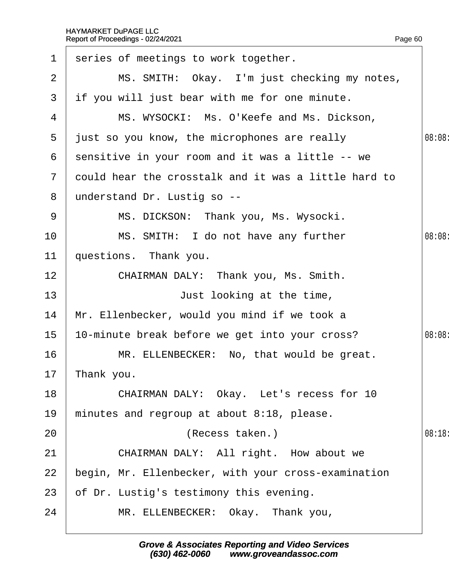| $\mathbf 1$    | series of meetings to work together.                 |        |
|----------------|------------------------------------------------------|--------|
| 2              | MS. SMITH: Okay. I'm just checking my notes,         |        |
| 3              | if you will just bear with me for one minute.        |        |
| 4              | MS. WYSOCKI: Ms. O'Keefe and Ms. Dickson,            |        |
| $5^{\circ}$    | just so you know, the microphones are really         | 08:08: |
| 6              | sensitive in your room and it was a little -- we     |        |
| $\overline{7}$ | dould hear the crosstalk and it was a little hard to |        |
| 8              | understand Dr. Lustig so --                          |        |
| 9              | MS. DICKSON: Thank you, Ms. Wysocki.                 |        |
| 10             | MS. SMITH: I do not have any further                 | 08:08  |
| 11             | questions. Thank you.                                |        |
| 12             | CHAIRMAN DALY: Thank you, Ms. Smith.                 |        |
| 13             | Just looking at the time,                            |        |
| 14             | Mr. Ellenbecker, would you mind if we took a         |        |
| 15             | 10-minute break before we get into your cross?       | 08:08  |
| 16             | MR. ELLENBECKER: No, that would be great.            |        |
|                | 17 Thank you.                                        |        |
| 18             | CHAIRMAN DALY: Okay. Let's recess for 10             |        |
| 19             | minutes and regroup at about 8:18, please.           |        |
| 20             | (Recess taken.)                                      | 08:18  |
| 21             | CHAIRMAN DALY: All right. How about we               |        |
| 22             | begin, Mr. Ellenbecker, with your cross-examination  |        |
| 23             | of Dr. Lustig's testimony this evening.              |        |
| 24             | MR. ELLENBECKER: Okay. Thank you,                    |        |
|                |                                                      |        |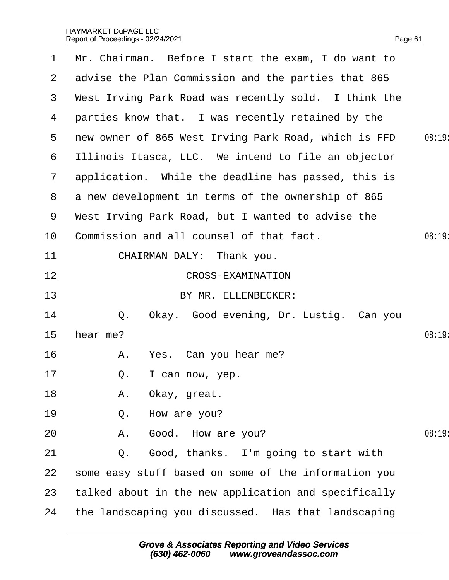| 1             | Mr. Chairman. Before I start the exam, I do want to  |        |
|---------------|------------------------------------------------------|--------|
| $\mathbf{2}$  | advise the Plan Commission and the parties that 865  |        |
| 3             | West Irving Park Road was recently sold. I think the |        |
| 4             | parties know that. I was recently retained by the    |        |
| 5             | new owner of 865 West Irving Park Road, which is FFD | 08:19: |
| 6             | Illinois Itasca, LLC. We intend to file an objector  |        |
| $\mathcal{I}$ | application. While the deadline has passed, this is  |        |
| 8             | a new development in terms of the ownership of 865   |        |
| 9             | West Irving Park Road, but I wanted to advise the    |        |
| 10            | Commission and all counsel of that fact.             | 08:19  |
| 11            | CHAIRMAN DALY: Thank you.                            |        |
| 12            | <b>CROSS-EXAMINATION</b>                             |        |
| 13            | BY MR. ELLENBECKER:                                  |        |
| 14            | Q. Okay. Good evening, Dr. Lustig. Can you           |        |
| 15            | hear me?                                             | 08:19  |
| 16            | A. Yes. Can you hear me?                             |        |
| 17            | Q. I can now, yep.                                   |        |
| 18            | Okay, great.<br>А.                                   |        |
| 19            | How are you?<br>Q.                                   |        |
| 20            | A. Good. How are you?                                | 08:19  |
| 21            | Q. Good, thanks. I'm going to start with             |        |
| 22            | some easy stuff based on some of the information you |        |
| 23            | talked about in the new application and specifically |        |
| 24            | the landscaping you discussed. Has that landscaping  |        |
|               |                                                      |        |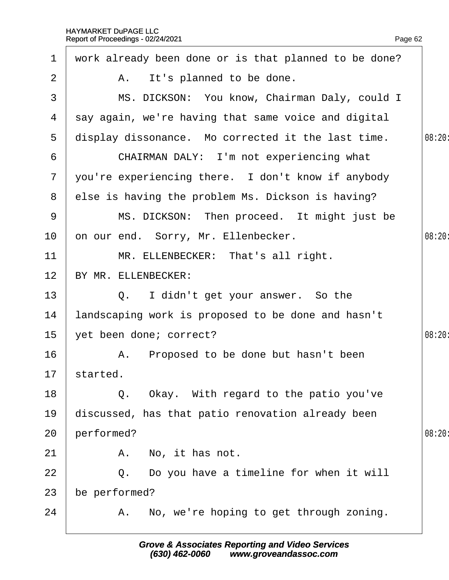| $\mathbf 1$     | work already been done or is that planned to be done? |        |
|-----------------|-------------------------------------------------------|--------|
| 2               | A. It's planned to be done.                           |        |
| 3               | MS. DICKSON: You know, Chairman Daly, could I         |        |
| 4               | say again, we're having that same voice and digital   |        |
| 5               | display dissonance. Mo corrected it the last time.    | 08:20: |
| 6               | CHAIRMAN DALY: I'm not experiencing what              |        |
| $\overline{7}$  | you're experiencing there. I don't know if anybody    |        |
| 8               | else is having the problem Ms. Dickson is having?     |        |
| 9               | MS. DICKSON: Then proceed. It might just be           |        |
| 10              | on our end. Sorry, Mr. Ellenbecker.                   | 08:20  |
| 11              | MR. ELLENBECKER: That's all right.                    |        |
| 12 <sub>2</sub> | BY MR. ELLENBECKER:                                   |        |
| 13              | Q. I didn't get your answer. So the                   |        |
| 14              | landscaping work is proposed to be done and hasn't    |        |
| 15              | yet been done; correct?                               | 08:20: |
| 16              | A. Proposed to be done but hasn't been                |        |
|                 | 17 started.                                           |        |
| 18              | Q. Okay. With regard to the patio you've              |        |
| 19              | discussed, has that patio renovation already been     |        |
| 20              | performed?                                            | 08:20  |
| 21              | A. No, it has not.                                    |        |
| 22              | Q. Do you have a timeline for when it will            |        |
| 23              | be performed?                                         |        |
| 24              | A. No, we're hoping to get through zoning.            |        |
|                 |                                                       |        |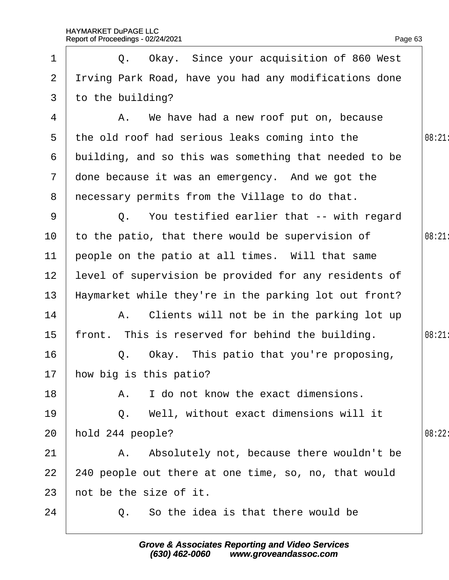1 | Q. Okay. Since your acquisition of 860 West

2 I riving Park Road, have you had any modifications done

Page 63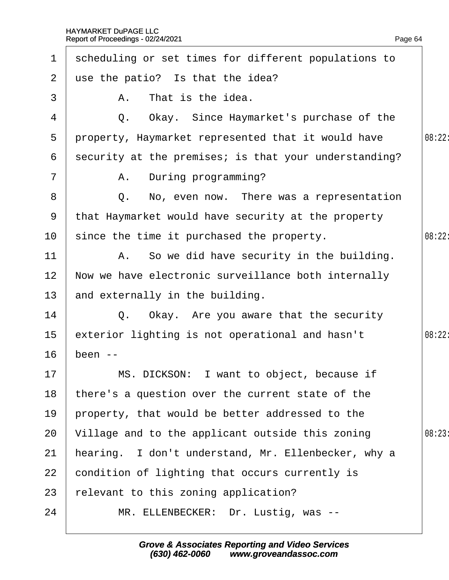| $\mathbf 1$     | scheduling or set times for different populations to  |        |
|-----------------|-------------------------------------------------------|--------|
| $\overline{2}$  | use the patio? Is that the idea?                      |        |
| 3               | A. That is the idea.                                  |        |
| 4               | Q. Okay. Since Haymarket's purchase of the            |        |
| 5               | property, Haymarket represented that it would have    | 08:22: |
| 6               | security at the premises; is that your understanding? |        |
| $\overline{7}$  | A. During programming?                                |        |
| 8               | Q. No, even now. There was a representation           |        |
| 9               | that Haymarket would have security at the property    |        |
| 10 <sup>°</sup> | since the time it purchased the property.             | 08:22: |
| 11              | A. So we did have security in the building.           |        |
| 12 <sub>2</sub> | Now we have electronic surveillance both internally   |        |
| 13 <sup>°</sup> | and externally in the building.                       |        |
| 14              | Q. Okay. Are you aware that the security              |        |
| 15 <sub>1</sub> | exterior lighting is not operational and hasn't       | 08:22: |
| 16              | been --                                               |        |
| 17 <sup>2</sup> | MS. DICKSON: I want to object, because if             |        |
| 18              | there's a question over the current state of the      |        |
| 19              | property, that would be better addressed to the       |        |
| 20              | Village and to the applicant outside this zoning      | 08:23: |
| 21              | hearing. I don't understand, Mr. Ellenbecker, why a   |        |
| 22              | condition of lighting that occurs currently is        |        |
| 23              | elevant to this zoning application?                   |        |
| 24              | MR. ELLENBECKER: Dr. Lustig, was --                   |        |
|                 |                                                       |        |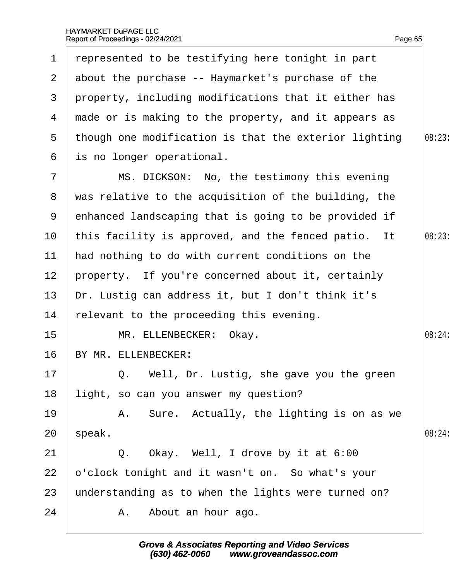| $\mathbf 1$     | represented to be testifying here tonight in part     |        |
|-----------------|-------------------------------------------------------|--------|
| $\mathbf{2}$    | about the purchase -- Haymarket's purchase of the     |        |
| 3               | property, including modifications that it either has  |        |
| 4               | made or is making to the property, and it appears as  |        |
| $5\overline{)}$ | though one modification is that the exterior lighting | 08:23  |
| 6               | is no longer operational.                             |        |
| $\overline{7}$  | MS. DICKSON: No, the testimony this evening           |        |
| 8               | was relative to the acquisition of the building, the  |        |
| 9               | enhanced landscaping that is going to be provided if  |        |
| 10              | this facility is approved, and the fenced patio. It   | 08:23  |
| 11              | had nothing to do with current conditions on the      |        |
| 12 <sub>2</sub> | property. If you're concerned about it, certainly     |        |
| 13              | Dr. Lustig can address it, but I don't think it's     |        |
| 14              | relevant to the proceeding this evening.              |        |
| 15              | MR. ELLENBECKER: Okay.                                | 08:24: |
| 16              | BY MR. ELLENBECKER:                                   |        |
| 17              | Q. Well, Dr. Lustig, she gave you the green           |        |
| 18              | light, so can you answer my question?                 |        |
| 19              | A. Sure. Actually, the lighting is on as we           |        |
| 20              | speak.                                                | 08:24: |
| 21              | Q. Okay. Well, I drove by it at 6:00                  |        |
| 22              | p'clock tonight and it wasn't on. So what's your      |        |
| 23              | understanding as to when the lights were turned on?   |        |
| 24              | A. About an hour ago.                                 |        |
|                 |                                                       |        |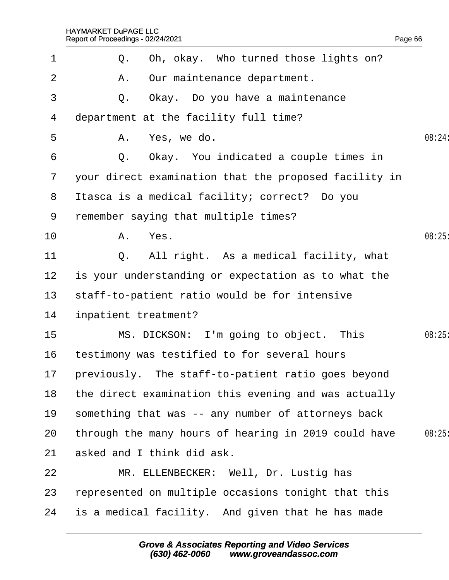|              | Report of Proceedings - 02/24/2021                    | Page 66 |
|--------------|-------------------------------------------------------|---------|
| $\mathbf 1$  | Q. Oh, okay. Who turned those lights on?              |         |
| 2            | A. Our maintenance department.                        |         |
| 3            | Q. Okay. Do you have a maintenance                    |         |
| 4            | department at the facility full time?                 |         |
| 5            | A. Yes, we do.                                        | 08:24:  |
| 6            | Q. Okay. You indicated a couple times in              |         |
| $\mathbf{7}$ | your direct examination that the proposed facility in |         |
| 8            | Itasca is a medical facility; correct? Do you         |         |
| 9            | remember saying that multiple times?                  |         |
| 10           | A. Yes.                                               | 08:25   |
| 11           | Q. All right. As a medical facility, what             |         |
| 12           | is your understanding or expectation as to what the   |         |
| 13           | staff-to-patient ratio would be for intensive         |         |
| 14           | inpatient treatment?                                  |         |
| 15           | MS. DICKSON: I'm going to object. This                | 08:25   |
| 16           | testimony was testified to for several hours          |         |
| 17           | previously. The staff-to-patient ratio goes beyond    |         |
| 18           | the direct examination this evening and was actually  |         |
| 19           | something that was -- any number of attorneys back    |         |
| 20           | through the many hours of hearing in 2019 could have  | 08:25   |
| 21           | asked and I think did ask.                            |         |
| 22           | MR. ELLENBECKER: Well, Dr. Lustig has                 |         |
| 23           | epresented on multiple occasions tonight that this    |         |
| 24           | is a medical facility. And given that he has made     |         |
|              |                                                       |         |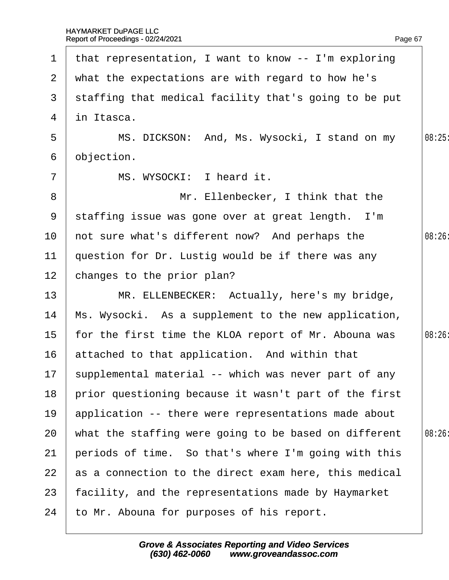| $\mathbf 1$     | that representation, I want to know -- I'm exploring    |       |
|-----------------|---------------------------------------------------------|-------|
|                 | 2 what the expectations are with regard to how he's     |       |
| 3               | staffing that medical facility that's going to be put   |       |
| 4               | in Itasca.                                              |       |
| 5               | MS. DICKSON: And, Ms. Wysocki, I stand on my            | 08:25 |
| 6               | objection.                                              |       |
| $\overline{7}$  | MS. WYSOCKI: I heard it.                                |       |
| 8               | Mr. Ellenbecker, I think that the                       |       |
| 9               | staffing issue was gone over at great length. I'm       |       |
| 10              | not sure what's different now? And perhaps the          | 08:26 |
| 11              | question for Dr. Lustig would be if there was any       |       |
| 12 <sub>2</sub> | changes to the prior plan?                              |       |
| 13              | MR. ELLENBECKER: Actually, here's my bridge,            |       |
| 14              | Ms. Wysocki. As a supplement to the new application,    |       |
| 15 <sub>1</sub> | for the first time the KLOA report of Mr. Abouna was    | 08:26 |
| 16              | attached to that application. And within that           |       |
|                 | 17 supplemental material -- which was never part of any |       |
| 18              | prior questioning because it wasn't part of the first   |       |
| 19              | application -- there were representations made about    |       |
| 20              | what the staffing were going to be based on different   | 08:26 |
| 21              | periods of time. So that's where I'm going with this    |       |
| 22              | as a connection to the direct exam here, this medical   |       |
| 23              | facility, and the representations made by Haymarket     |       |
| 24              | to Mr. Abouna for purposes of his report.               |       |
|                 |                                                         |       |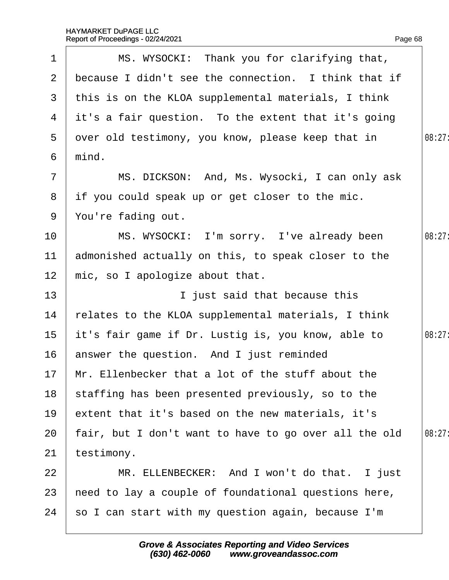| $\mathbf 1$     | MS. WYSOCKI: Thank you for clarifying that,           |        |
|-----------------|-------------------------------------------------------|--------|
| 2 <sup>1</sup>  | because I didn't see the connection. I think that if  |        |
|                 | 3 this is on the KLOA supplemental materials, I think |        |
|                 | 4 it's a fair question. To the extent that it's going |        |
| 5               | dver old testimony, you know, please keep that in     | 08:27: |
| 6               | mind.                                                 |        |
| $\overline{7}$  | MS. DICKSON: And, Ms. Wysocki, I can only ask         |        |
| 8               | if you could speak up or get closer to the mic.       |        |
| 9               | You're fading out.                                    |        |
| 10              | MS. WYSOCKI: I'm sorry. I've already been             | 08:27  |
| 11              | admonished actually on this, to speak closer to the   |        |
| 12 <sub>2</sub> | mic, so I apologize about that.                       |        |
| 13              | I just said that because this                         |        |
| 14              | relates to the KLOA supplemental materials, I think   |        |
| 15 <sub>1</sub> | it's fair game if Dr. Lustig is, you know, able to    | 08:27: |
| 16              | answer the question. And I just reminded              |        |
|                 | 17 Mr. Ellenbecker that a lot of the stuff about the  |        |
| 18              | staffing has been presented previously, so to the     |        |
| 19              | extent that it's based on the new materials, it's     |        |
| 20              | fair, but I don't want to have to go over all the old | 08:27  |
| 21              | testimony.                                            |        |
| 22              | MR. ELLENBECKER: And I won't do that. I just          |        |
| 23              | heed to lay a couple of foundational questions here,  |        |
| 24              | so I can start with my question again, because I'm    |        |
|                 |                                                       |        |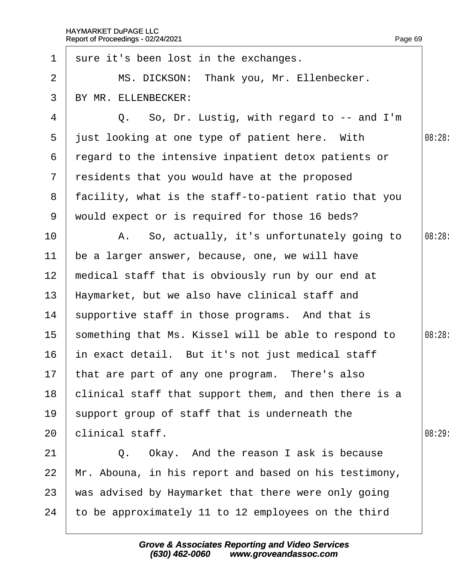| 1               | sure it's been lost in the exchanges.                 |        |
|-----------------|-------------------------------------------------------|--------|
| 2               | MS. DICKSON: Thank you, Mr. Ellenbecker.              |        |
| 3               | BY MR. ELLENBECKER:                                   |        |
| 4               | Q. So, Dr. Lustig, with regard to -- and I'm          |        |
| 5               | just looking at one type of patient here. With        | 08:28  |
| 6               | regard to the intensive inpatient detox patients or   |        |
| $7\overline{ }$ | residents that you would have at the proposed         |        |
| 8               | facility, what is the staff-to-patient ratio that you |        |
| 9               | would expect or is required for those 16 beds?        |        |
| 10              | A. So, actually, it's unfortunately going to          | 08:28: |
| 11              | be a larger answer, because, one, we will have        |        |
| 12              | medical staff that is obviously run by our end at     |        |
| 13              | Haymarket, but we also have clinical staff and        |        |
| 14              | supportive staff in those programs. And that is       |        |
| 15              | something that Ms. Kissel will be able to respond to  | 08:28: |
| 16              | in exact detail. But it's not just medical staff      |        |
|                 | 17 that are part of any one program. There's also     |        |
| 18              | clinical staff that support them, and then there is a |        |
| 19              | support group of staff that is underneath the         |        |
| 20              | clinical staff.                                       | 08:29  |
| 21              | Q. Okay. And the reason I ask is because              |        |
| 22              | Mr. Abouna, in his report and based on his testimony, |        |
| 23              | was advised by Haymarket that there were only going   |        |
| 24              | to be approximately 11 to 12 employees on the third   |        |
|                 |                                                       |        |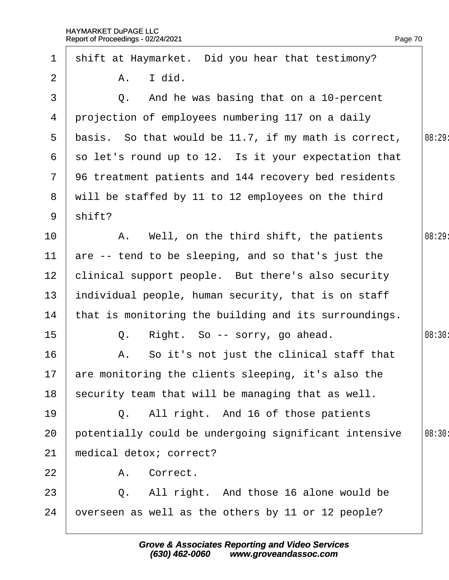| $\mathbf 1$     | shift at Haymarket. Did you hear that testimony?      |        |
|-----------------|-------------------------------------------------------|--------|
| 2               | A. I did.                                             |        |
| 3               | Q. And he was basing that on a 10-percent             |        |
| 4               | projection of employees numbering 117 on a daily      |        |
| $5^{\circ}$     | basis. So that would be 11.7, if my math is correct,  | 08:29  |
| 6               | so let's round up to 12. Is it your expectation that  |        |
| $\mathbf{7}$    | 96 treatment patients and 144 recovery bed residents  |        |
| 8               | will be staffed by 11 to 12 employees on the third    |        |
| 9               | shift?                                                |        |
| 10              | A. Well, on the third shift, the patients             | 08:29  |
| $11$            | are -- tend to be sleeping, and so that's just the    |        |
| 12 <sub>2</sub> | clinical support people. But there's also security    |        |
| 13              | individual people, human security, that is on staff   |        |
| 14              | that is monitoring the building and its surroundings. |        |
| 15              | Q. Right. So -- sorry, go ahead.                      | 08:30  |
| 16              | A. So it's not just the clinical staff that           |        |
|                 | 17 are monitoring the clients sleeping, it's also the |        |
| 18              | security team that will be managing that as well.     |        |
| 19              | Q. All right. And 16 of those patients                |        |
| 20              | potentially could be undergoing significant intensive | 08:30: |
| 21              | medical detox; correct?                               |        |
| 22              | Correct.<br>A.                                        |        |
| 23              | Q. All right. And those 16 alone would be             |        |
| 24              | overseen as well as the others by 11 or 12 people?    |        |
|                 |                                                       |        |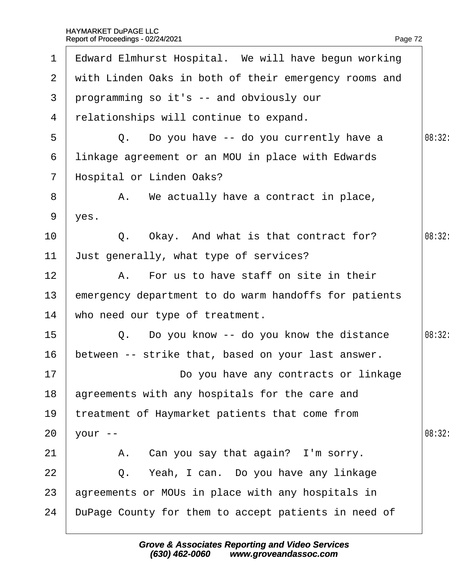|                 | 1 Edward Elmhurst Hospital. We will have begun working  |        |
|-----------------|---------------------------------------------------------|--------|
|                 | 2 with Linden Oaks in both of their emergency rooms and |        |
| 3               | programming so it's -- and obviously our                |        |
| 4               | relationships will continue to expand.                  |        |
| 5               | Q. Do you have -- do you currently have a               | 08:32: |
| 6               | linkage agreement or an MOU in place with Edwards       |        |
| $7\overline{ }$ | Hospital or Linden Oaks?                                |        |
| 8               | A. We actually have a contract in place,                |        |
| 9               | yes.                                                    |        |
| 10              | Q. Okay. And what is that contract for?                 | 08:32: |
| 11              | Just generally, what type of services?                  |        |
| 12 <sub>2</sub> | A. For us to have staff on site in their                |        |
| 13              | emergency department to do warm handoffs for patients   |        |
| 14              | who need our type of treatment.                         |        |
| 15              | Q. Do you know -- do you know the distance              | 08:32: |
| 16              | between -- strike that, based on your last answer.      |        |
| 17              | Do you have any contracts or linkage                    |        |
| 18              | agreements with any hospitals for the care and          |        |
| 19              | treatment of Haymarket patients that come from          |        |
| 20              | your --                                                 | 08:32  |
| 21              | A. Can you say that again? I'm sorry.                   |        |
| 22              | Q. Yeah, I can. Do you have any linkage                 |        |
| 23              | agreements or MOUs in place with any hospitals in       |        |
| 24              | DuPage County for them to accept patients in need of    |        |
|                 |                                                         |        |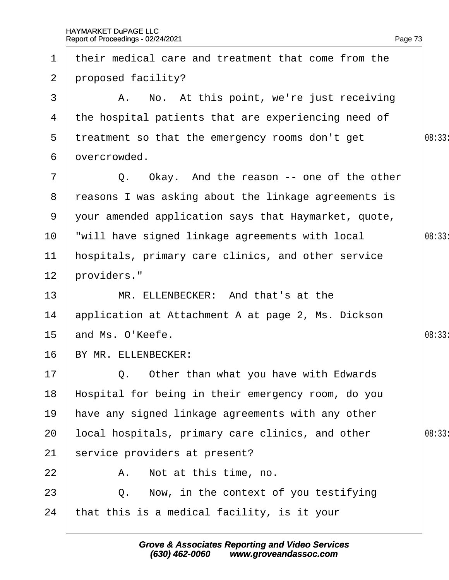| $\mathbf 1$     | their medical care and treatment that come from the  |       |
|-----------------|------------------------------------------------------|-------|
| $\mathbf{2}$    | proposed facility?                                   |       |
| 3               | A. No. At this point, we're just receiving           |       |
| 4               | the hospital patients that are experiencing need of  |       |
| 5               | treatment so that the emergency rooms don't get      | 08:33 |
| 6               | dvercrowded.                                         |       |
| $\overline{7}$  | Q. Okay. And the reason -- one of the other          |       |
| 8               | reasons I was asking about the linkage agreements is |       |
| 9               | your amended application says that Haymarket, quote, |       |
| 10              | will have signed linkage agreements with local       | 08:33 |
| 11              | hospitals, primary care clinics, and other service   |       |
| 12 <sup>2</sup> | providers."                                          |       |
| 13              | MR. ELLENBECKER: And that's at the                   |       |
| 14              | application at Attachment A at page 2, Ms. Dickson   |       |
| 15 <sup>1</sup> | and Ms. O'Keefe.                                     | 08:33 |
| 16              | BY MR. ELLENBECKER:                                  |       |
| 17 <sup>7</sup> | $\vert$ Q. Other than what you have with Edwards     |       |
| 18              | Hospital for being in their emergency room, do you   |       |
| 19              | have any signed linkage agreements with any other    |       |
| 20              | local hospitals, primary care clinics, and other     | 08:33 |
| 21              | service providers at present?                        |       |
| 22              | A. Not at this time, no.                             |       |
| 23              | Now, in the context of you testifying<br>Q.          |       |
| 24              | that this is a medical facility, is it your          |       |
|                 |                                                      |       |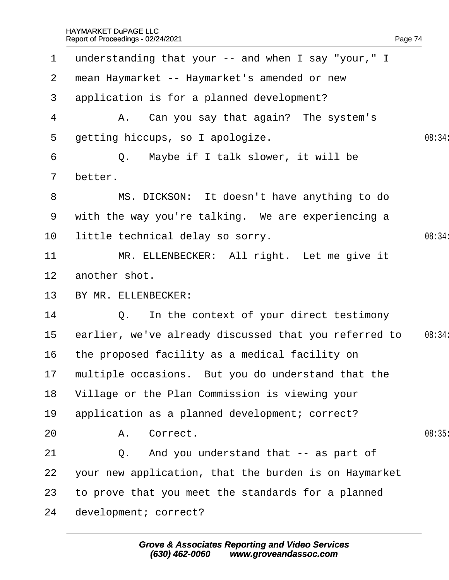| $\mathbf 1$     | understanding that your -- and when I say "your," I   |        |
|-----------------|-------------------------------------------------------|--------|
|                 | 2 mean Haymarket -- Haymarket's amended or new        |        |
| 3 <sup>1</sup>  | application is for a planned development?             |        |
| 4               | A. Can you say that again? The system's               |        |
| 5 <sup>5</sup>  | getting hiccups, so I apologize.                      | 08:34: |
| 6               | Q. Maybe if I talk slower, it will be                 |        |
| $\overline{7}$  | better.                                               |        |
| 8               | MS. DICKSON: It doesn't have anything to do           |        |
| 9               | with the way you're talking. We are experiencing a    |        |
| 10              | little technical delay so sorry.                      | 08:34  |
| 11              | MR. ELLENBECKER: All right. Let me give it            |        |
| 12 <sub>2</sub> | another shot.                                         |        |
| 13 <sup>°</sup> | BY MR. ELLENBECKER:                                   |        |
| 14              | Q. In the context of your direct testimony            |        |
| 15 <sub>1</sub> | earlier, we've already discussed that you referred to | 08:34: |
| 16              | the proposed facility as a medical facility on        |        |
|                 | 17 multiple occasions. But you do understand that the |        |
| 18              | Village or the Plan Commission is viewing your        |        |
| 19              | application as a planned development; correct?        |        |
| 20              | A. Correct.                                           | 08:35  |
| 21              | Q. And you understand that -- as part of              |        |
| 22              | your new application, that the burden is on Haymarket |        |
| 23              | to prove that you meet the standards for a planned    |        |
| 24              | development; correct?                                 |        |
|                 |                                                       |        |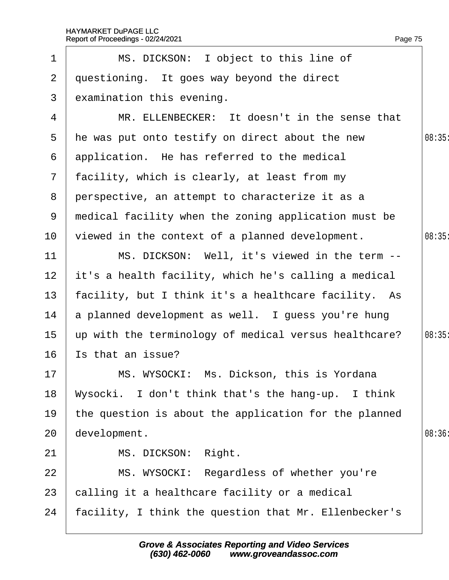|                 | Report of Proceedings - 02/24/2021                    | Page 75 |
|-----------------|-------------------------------------------------------|---------|
| 1               | MS. DICKSON: I object to this line of                 |         |
| $\overline{2}$  | questioning. It goes way beyond the direct            |         |
| 3               | examination this evening.                             |         |
| 4               | MR. ELLENBECKER: It doesn't in the sense that         |         |
| 5               | the was put onto testify on direct about the new      | 08:35   |
| 6               | application. He has referred to the medical           |         |
| $\mathbf{7}$    | facility, which is clearly, at least from my          |         |
| 8               | perspective, an attempt to characterize it as a       |         |
| 9               | medical facility when the zoning application must be  |         |
| 10              | viewed in the context of a planned development.       | 08:35   |
| 11              | MS. DICKSON: Well, it's viewed in the term --         |         |
| 12 <sub>2</sub> | it's a health facility, which he's calling a medical  |         |
| 13              | facility, but I think it's a healthcare facility. As  |         |
| 14              | a planned development as well. I guess you're hung    |         |
| 15              | up with the terminology of medical versus healthcare? | 08:35   |
| 16              | Is that an issue?                                     |         |
| 17              | MS. WYSOCKI: Ms. Dickson, this is Yordana             |         |
| 18              | Wysocki. I don't think that's the hang-up. I think    |         |
| 19              | the question is about the application for the planned |         |
| 20              | development.                                          | 08:36   |
| 21              | MS. DICKSON: Right.                                   |         |
| 22              | MS. WYSOCKI: Regardless of whether you're             |         |
| 23              | calling it a healthcare facility or a medical         |         |
| 24              | facility, I think the question that Mr. Ellenbecker's |         |
|                 |                                                       |         |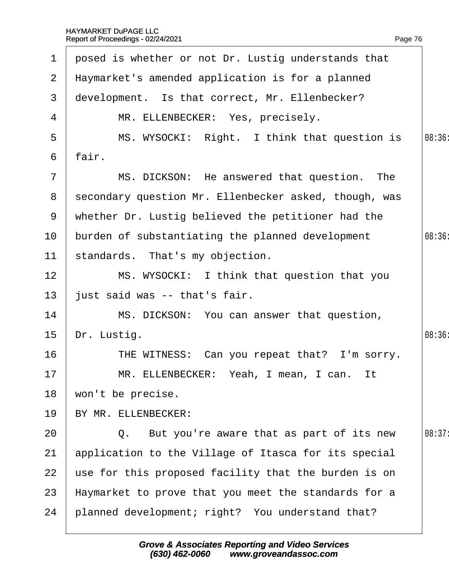| $\mathbf{1}$   | posed is whether or not Dr. Lustig understands that     |        |
|----------------|---------------------------------------------------------|--------|
|                | 2 Haymarket's amended application is for a planned      |        |
| 3              | development. Is that correct, Mr. Ellenbecker?          |        |
| 4              | MR. ELLENBECKER: Yes, precisely.                        |        |
| 5              | MS. WYSOCKI: Right. I think that question is            | 08:36  |
| 6              | fair.                                                   |        |
| $\overline{7}$ | MS. DICKSON: He answered that question. The             |        |
|                | 8 secondary question Mr. Ellenbecker asked, though, was |        |
|                | 9 whether Dr. Lustig believed the petitioner had the    |        |
| 10             | burden of substantiating the planned development        | 08:36  |
| 11             | standards. That's my objection.                         |        |
| 12             | MS. WYSOCKI: I think that question that you             |        |
| 13             | just said was -- that's fair.                           |        |
| 14             | MS. DICKSON: You can answer that question,              |        |
| 15             | Dr. Lustig.                                             | 08:36: |
| 16             | THE WITNESS: Can you repeat that? I'm sorry.            |        |
| 17             | MR. ELLENBECKER: Yeah, I mean, I can. It                |        |
| 18             | won't be precise.                                       |        |
| 19             | BY MR. ELLENBECKER:                                     |        |
| 20             | Q. But you're aware that as part of its new             | 08:37: |
| 21             | application to the Village of Itasca for its special    |        |
| 22             | use for this proposed facility that the burden is on    |        |
| 23             | Haymarket to prove that you meet the standards for a    |        |
| 24             | planned development; right? You understand that?        |        |
|                |                                                         |        |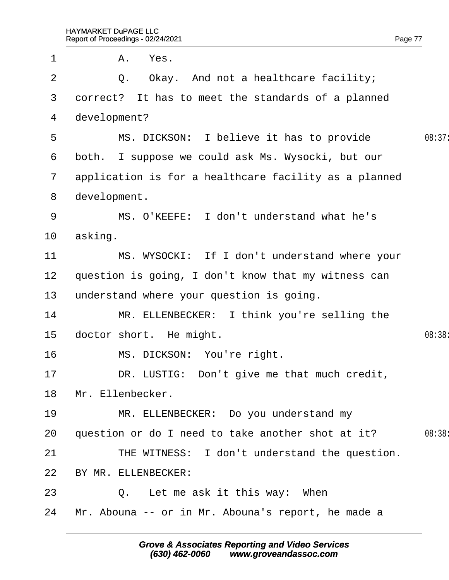| $\mathbf 1$     | A. Yes.                                               |        |
|-----------------|-------------------------------------------------------|--------|
| 2               | Q. Okay. And not a healthcare facility;               |        |
| 3               | dorrect? It has to meet the standards of a planned    |        |
| 4               | development?                                          |        |
| 5               | MS. DICKSON: I believe it has to provide              | 08:37: |
| 6               | both. I suppose we could ask Ms. Wysocki, but our     |        |
| $\overline{7}$  | application is for a healthcare facility as a planned |        |
| 8               | development.                                          |        |
| 9               | MS. O'KEEFE: I don't understand what he's             |        |
| 10              | asking.                                               |        |
| 11              | MS. WYSOCKI: If I don't understand where your         |        |
| 12 <sub>2</sub> | question is going, I don't know that my witness can   |        |
| 13              | understand where your question is going.              |        |
| 14              | MR. ELLENBECKER: I think you're selling the           |        |
| 15              | doctor short. He might.                               | 08:38: |
| 16              | MS. DICKSON: You're right.                            |        |
| 17              | DR. LUSTIG: Don't give me that much credit,           |        |
| 18              | Mr. Ellenbecker.                                      |        |
| 19              | MR. ELLENBECKER: Do you understand my                 |        |
| 20              | question or do I need to take another shot at it?     | 08:38: |
| 21              | THE WITNESS: I don't understand the question.         |        |
| 22              | BY MR. ELLENBECKER:                                   |        |
| 23              | Q. Let me ask it this way: When                       |        |
| 24              | Mr. Abouna -- or in Mr. Abouna's report, he made a    |        |
|                 |                                                       |        |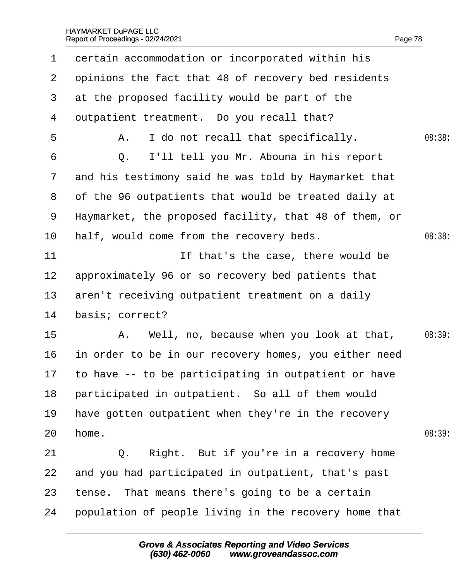| 1               | dertain accommodation or incorporated within his        |        |
|-----------------|---------------------------------------------------------|--------|
| $\overline{2}$  | dpinions the fact that 48 of recovery bed residents     |        |
| 3               | at the proposed facility would be part of the           |        |
| 4               | dutpatient treatment. Do you recall that?               |        |
| 5               | A. I do not recall that specifically.                   | 08:38: |
| 6               | Q. I'll tell you Mr. Abouna in his report               |        |
| $7\phantom{.}$  | and his testimony said he was told by Haymarket that    |        |
| 8               | of the 96 outpatients that would be treated daily at    |        |
| 9               | Haymarket, the proposed facility, that 48 of them, or   |        |
| 10              | half, would come from the recovery beds.                | 08:38  |
| 11              | If that's the case, there would be                      |        |
| 12 <sub>2</sub> | approximately 96 or so recovery bed patients that       |        |
| 13 <sup>°</sup> | aren't receiving outpatient treatment on a daily        |        |
| 14              | basis; correct?                                         |        |
| $15\,$          | A. Well, no, because when you look at that,             | 08:39  |
| 16              | in order to be in our recovery homes, you either need   |        |
|                 | 17 to have -- to be participating in outpatient or have |        |
| 18              | participated in outpatient. So all of them would        |        |
| 19              | have gotten outpatient when they're in the recovery     |        |
| 20              | home.                                                   | 08:39  |
| 21              | Q. Right. But if you're in a recovery home              |        |
| 22              | and you had participated in outpatient, that's past     |        |
| 23              | tense. That means there's going to be a certain         |        |
| 24              | population of people living in the recovery home that   |        |
|                 |                                                         |        |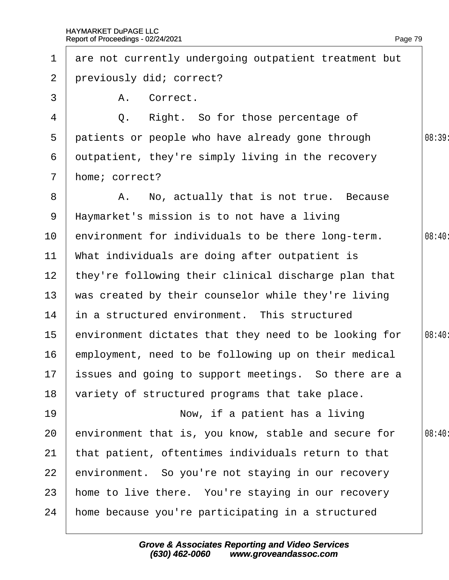| 1               | are not currently undergoing outpatient treatment but   |        |
|-----------------|---------------------------------------------------------|--------|
| $\overline{2}$  | previously did; correct?                                |        |
| 3               | A. Correct.                                             |        |
| 4               | Q. Right. So for those percentage of                    |        |
| 5               | patients or people who have already gone through        | 08:39  |
| 6               | dutpatient, they're simply living in the recovery       |        |
| $\mathbf{7}$    | home; correct?                                          |        |
| 8               | A. No, actually that is not true. Because               |        |
| 9               | Haymarket's mission is to not have a living             |        |
| 10              | environment for individuals to be there long-term.      | 08:40: |
| 11              | What individuals are doing after outpatient is          |        |
| 12 <sub>2</sub> | they're following their clinical discharge plan that    |        |
| 13              | was created by their counselor while they're living     |        |
| 14              | in a structured environment. This structured            |        |
| 15              | environment dictates that they need to be looking for   | 08:40  |
| 16              | employment, need to be following up on their medical    |        |
|                 | 17 issues and going to support meetings. So there are a |        |
| 18              | variety of structured programs that take place.         |        |
| 19              | Now, if a patient has a living                          |        |
| 20              | environment that is, you know, stable and secure for    | 08:40: |
| 21              | that patient, oftentimes individuals return to that     |        |
| 22              | environment. So you're not staying in our recovery      |        |
| 23              | home to live there. You're staying in our recovery      |        |
| 24              | home because you're participating in a structured       |        |
|                 |                                                         |        |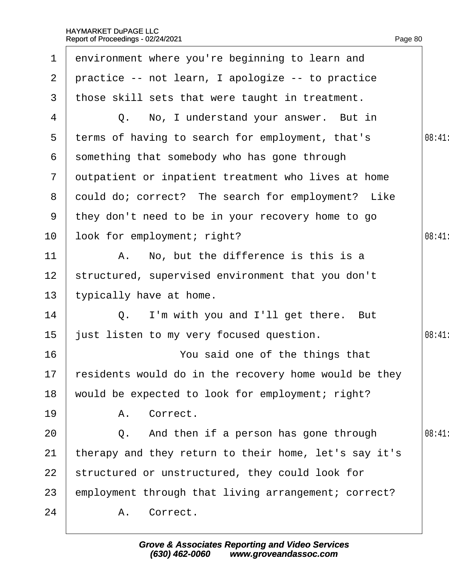| $\mathbf 1$     | environment where you're beginning to learn and          |       |
|-----------------|----------------------------------------------------------|-------|
| $\overline{2}$  | practice -- not learn, I apologize -- to practice        |       |
| 3               | those skill sets that were taught in treatment.          |       |
| 4               | Q. No, I understand your answer. But in                  |       |
| 5               | terms of having to search for employment, that's         | 08:41 |
| 6               | something that somebody who has gone through             |       |
| $\overline{7}$  | dutpatient or inpatient treatment who lives at home      |       |
| 8               | dould do; correct? The search for employment? Like       |       |
| 9               | they don't need to be in your recovery home to go        |       |
| 10              | look for employment; right?                              | 08:41 |
| 11              | A. No, but the difference is this is a                   |       |
| 12 <sub>2</sub> | structured, supervised environment that you don't        |       |
| 13              | typically have at home.                                  |       |
| 14              | Q. I'm with you and I'll get there. But                  |       |
| 15              | just listen to my very focused question.                 | 08:41 |
| 16              | You said one of the things that                          |       |
|                 | 17 residents would do in the recovery home would be they |       |
| 18              | would be expected to look for employment; right?         |       |
| 19              | A. Correct.                                              |       |
| 20              | Q. And then if a person has gone through                 | 08:41 |
| 21              | therapy and they return to their home, let's say it's    |       |
| 22              | structured or unstructured, they could look for          |       |
| 23              | employment through that living arrangement; correct?     |       |
| 24              | A. Correct.                                              |       |
|                 |                                                          |       |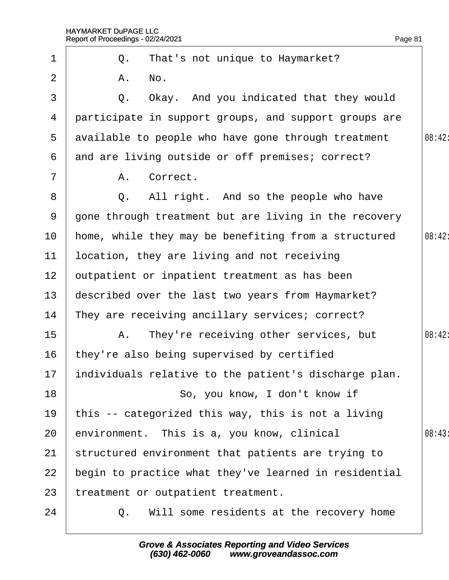|    | Report of Proceedings - 02/24/2021                    | Page 81 |
|----|-------------------------------------------------------|---------|
| 1  | Q. That's not unique to Haymarket?                    |         |
| 2  | A. No.                                                |         |
| 3  | Q. Okay. And you indicated that they would            |         |
| 4  | participate in support groups, and support groups are |         |
| 5  | available to people who have gone through treatment   | 08:42:  |
| 6  | and are living outside or off premises; correct?      |         |
| 7  | Correct.<br>А.                                        |         |
| 8  | Q. All right. And so the people who have              |         |
| 9  | gone through treatment but are living in the recovery |         |
| 10 | home, while they may be benefiting from a structured  | 08:42:  |
| 11 | location, they are living and not receiving           |         |
| 12 | putpatient or inpatient treatment as has been         |         |
| 13 | described over the last two years from Haymarket?     |         |
| 14 | They are receiving ancillary services; correct?       |         |
| 15 | A. They're receiving other services, but              | 08:42:  |
| 16 | they're also being supervised by certified            |         |
| 17 | individuals relative to the patient's discharge plan. |         |
| 18 | So, you know, I don't know if                         |         |
| 19 | this -- categorized this way, this is not a living    |         |
| 20 | environment. This is a, you know, clinical            | 08:43   |
| 21 | structured environment that patients are trying to    |         |
| 22 | begin to practice what they've learned in residential |         |
| 23 | treatment or outpatient treatment.                    |         |
| 24 | Will some residents at the recovery home<br>Q.        |         |
|    |                                                       |         |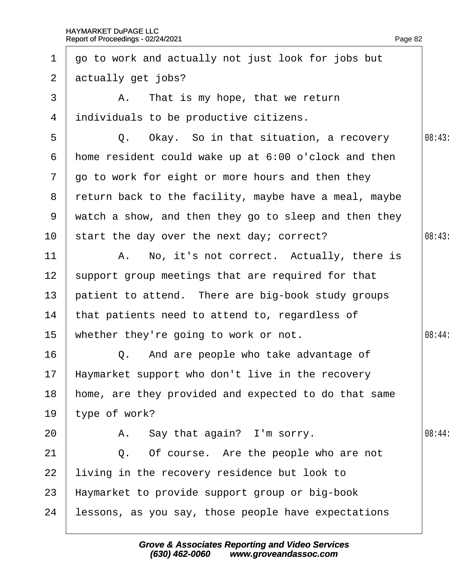| $\mathbf 1$       | go to work and actually not just look for jobs but    |        |
|-------------------|-------------------------------------------------------|--------|
| $\mathbf{2}$      | actually get jobs?                                    |        |
| 3                 | A. That is my hope, that we return                    |        |
| 4                 | individuals to be productive citizens.                |        |
| 5                 | Q. Okay. So in that situation, a recovery             | 08:43  |
| 6                 | home resident could wake up at 6:00 o'clock and then  |        |
| $\mathbf{7}$      | go to work for eight or more hours and then they      |        |
| 8                 | return back to the facility, maybe have a meal, maybe |        |
| 9                 | watch a show, and then they go to sleep and then they |        |
| 10                | start the day over the next day; correct?             | 08:43  |
| 11                | A. No, it's not correct. Actually, there is           |        |
| $12 \overline{ }$ | support group meetings that are required for that     |        |
| 13                | patient to attend. There are big-book study groups    |        |
| 14                | that patients need to attend to, regardless of        |        |
| 15                | whether they're going to work or not.                 | 08:44: |
| 16                | Q. And are people who take advantage of               |        |
|                   | 17 Haymarket support who don't live in the recovery   |        |
| 18                | home, are they provided and expected to do that same  |        |
| 19                | type of work?                                         |        |
| 20                | A. Say that again? I'm sorry.                         | 08:44  |
| 21                | Q. Of course. Are the people who are not              |        |
| 22                | living in the recovery residence but look to          |        |
| 23                | Haymarket to provide support group or big-book        |        |
| 24                | lessons, as you say, those people have expectations   |        |
|                   |                                                       |        |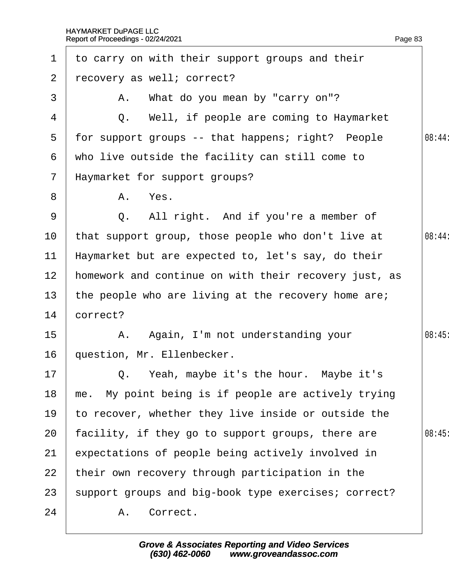| $\mathbf 1$     | to carry on with their support groups and their       |        |
|-----------------|-------------------------------------------------------|--------|
| $\overline{2}$  | recovery as well; correct?                            |        |
| 3               | A. What do you mean by "carry on"?                    |        |
| 4               | Q. Well, if people are coming to Haymarket            |        |
| 5               | for support groups -- that happens; right? People     | 08:44: |
| 6               | who live outside the facility can still come to       |        |
| $\mathbf{7}$    | Haymarket for support groups?                         |        |
| 8               | A. Yes.                                               |        |
| 9               | Q. All right. And if you're a member of               |        |
| 10 <sup>°</sup> | that support group, those people who don't live at    | 08:44: |
| $11$            | Haymarket but are expected to, let's say, do their    |        |
| 12              | homework and continue on with their recovery just, as |        |
| 13              | the people who are living at the recovery home are;   |        |
| 14              | correct?                                              |        |
| 15              | A. Again, I'm not understanding your                  | 08:45  |
| 16              | question, Mr. Ellenbecker.                            |        |
| 17 <sup>7</sup> | Q. Yeah, maybe it's the hour. Maybe it's              |        |
| 18              | me. My point being is if people are actively trying   |        |
| 19              | to recover, whether they live inside or outside the   |        |
| 20              | facility, if they go to support groups, there are     | 08:45  |
| 21              | expectations of people being actively involved in     |        |
| 22              | their own recovery through participation in the       |        |
| 23              | support groups and big-book type exercises; correct?  |        |
| 24              | A. Correct.                                           |        |
|                 |                                                       |        |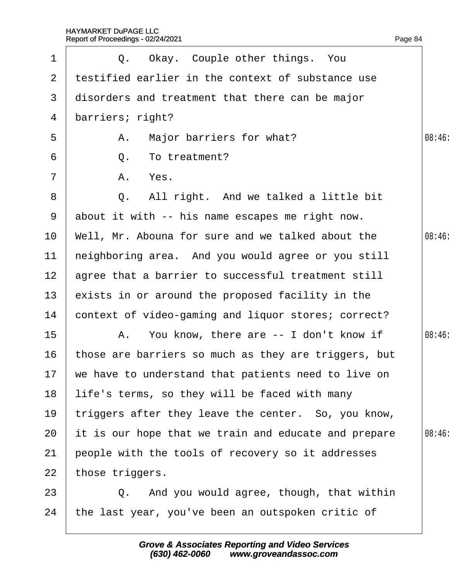| $\mathbf 1$           | Q. Okay. Couple other things. You                      |       |
|-----------------------|--------------------------------------------------------|-------|
| $\mathbf{2}^{\prime}$ | testified earlier in the context of substance use      |       |
| 3                     | disorders and treatment that there can be major        |       |
| 4                     | barriers; right?                                       |       |
| 5                     | A. Major barriers for what?                            | 08:46 |
| 6                     | Q. To treatment?                                       |       |
| $\overline{7}$        | A. Yes.                                                |       |
| 8                     | Q. All right. And we talked a little bit               |       |
| 9                     | about it with -- his name escapes me right now.        |       |
| 10                    | Well, Mr. Abouna for sure and we talked about the      | 08:46 |
| 11                    | heighboring area. And you would agree or you still     |       |
| 12 <sub>2</sub>       | agree that a barrier to successful treatment still     |       |
| 13 <sup>°</sup>       | exists in or around the proposed facility in the       |       |
| 14                    | context of video-gaming and liquor stores; correct?    |       |
| 15                    | A. You know, there are -- I don't know if              | 08:46 |
| 16                    | those are barriers so much as they are triggers, but   |       |
|                       | 17 we have to understand that patients need to live on |       |
| 18                    | life's terms, so they will be faced with many          |       |
| 19                    | triggers after they leave the center. So, you know,    |       |
| 20                    | It is our hope that we train and educate and prepare   | 08:46 |
| 21                    | people with the tools of recovery so it addresses      |       |
| 22                    | those triggers.                                        |       |
| 23                    | Q. And you would agree, though, that within            |       |
| 24                    | the last year, you've been an outspoken critic of      |       |
|                       |                                                        |       |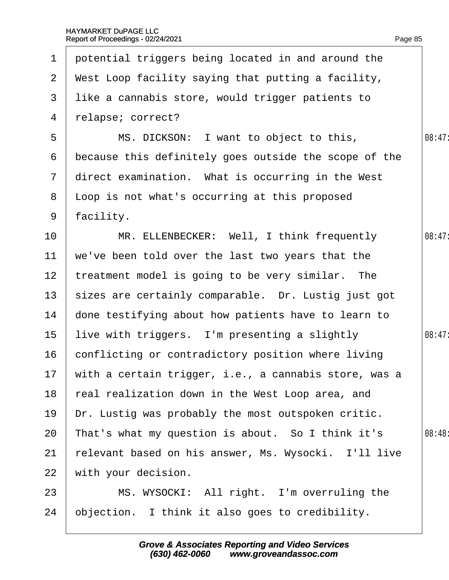| $\mathbf 1$     | potential triggers being located in and around the       |        |
|-----------------|----------------------------------------------------------|--------|
| $\overline{2}$  | West Loop facility saying that putting a facility,       |        |
| 3               | like a cannabis store, would trigger patients to         |        |
| 4               | relapse; correct?                                        |        |
| 5               | MS. DICKSON: I want to object to this,                   | 08:47: |
| 6               | because this definitely goes outside the scope of the    |        |
| $\overline{7}$  | direct examination. What is occurring in the West        |        |
| 8               | Loop is not what's occurring at this proposed            |        |
| 9               | facility.                                                |        |
| 10              | MR. ELLENBECKER: Well, I think frequently                | 08:47: |
| 11              | we've been told over the last two years that the         |        |
| 12 <sup>2</sup> | treatment model is going to be very similar. The         |        |
| 13 <sup>°</sup> | sizes are certainly comparable. Dr. Lustig just got      |        |
| 14              | done testifying about how patients have to learn to      |        |
| 15              | live with triggers. I'm presenting a slightly            | 08:47: |
| 16              | conflicting or contradictory position where living       |        |
|                 | 17 with a certain trigger, i.e., a cannabis store, was a |        |
| 18              | real realization down in the West Loop area, and         |        |
| 19              | Dr. Lustig was probably the most outspoken critic.       |        |
| 20              | That's what my question is about. So I think it's        | 08:48: |
| 21              | relevant based on his answer, Ms. Wysocki. I'll live     |        |
| 22              | with your decision.                                      |        |
| 23              | MS. WYSOCKI: All right. I'm overruling the               |        |
| 24              | objection. I think it also goes to credibility.          |        |
|                 |                                                          |        |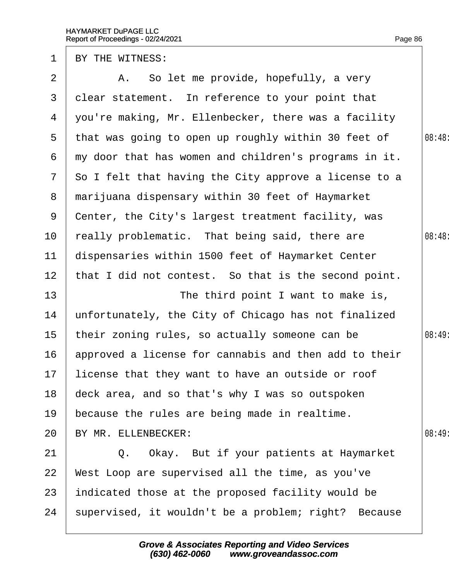| BY THE WITNESS:                                                         |        |
|-------------------------------------------------------------------------|--------|
| A. So let me provide, hopefully, a very                                 |        |
| dear statement. In reference to your point that                         |        |
| you're making, Mr. Ellenbecker, there was a facility                    |        |
| that was going to open up roughly within 30 feet of                     | 08:48  |
| my door that has women and children's programs in it.                   |        |
| So I felt that having the City approve a license to a                   |        |
| marijuana dispensary within 30 feet of Haymarket                        |        |
| Center, the City's largest treatment facility, was                      |        |
| really problematic. That being said, there are                          | 08:48  |
| dispensaries within 1500 feet of Haymarket Center                       |        |
| 12 <sub>2</sub><br>that I did not contest. So that is the second point. |        |
| The third point I want to make is,                                      |        |
| unfortunately, the City of Chicago has not finalized                    |        |
| their zoning rules, so actually someone can be                          | 08:49: |
| approved a license for cannabis and then add to their<br>16             |        |
| 17 license that they want to have an outside or roof                    |        |
| deck area, and so that's why I was so outspoken                         |        |
| because the rules are being made in realtime.                           |        |
| BY MR. ELLENBECKER:                                                     | 08:49  |
| Q. Okay. But if your patients at Haymarket                              |        |
| West Loop are supervised all the time, as you've                        |        |
| indicated those at the proposed facility would be                       |        |
| supervised, it wouldn't be a problem; right? Because                    |        |
|                                                                         |        |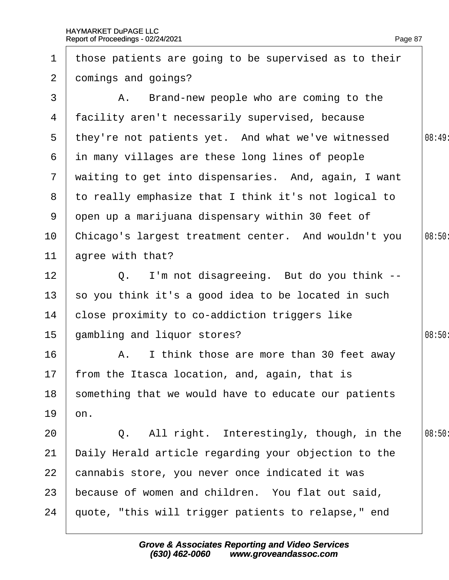| $\mathbf 1$    | those patients are going to be supervised as to their  |        |
|----------------|--------------------------------------------------------|--------|
| $\overline{2}$ | domings and goings?                                    |        |
| 3              | A. Brand-new people who are coming to the              |        |
| 4              | facility aren't necessarily supervised, because        |        |
| 5              | they're not patients yet. And what we've witnessed     | 08:49  |
| 6              | in many villages are these long lines of people        |        |
|                | 7 waiting to get into dispensaries. And, again, I want |        |
| 8              | to really emphasize that I think it's not logical to   |        |
|                | 9 open up a marijuana dispensary within 30 feet of     |        |
| 10             | Chicago's largest treatment center. And wouldn't you   | 08:50  |
| 11             | agree with that?                                       |        |
| 12             | Q. I'm not disagreeing. But do you think --            |        |
| 13             | so you think it's a good idea to be located in such    |        |
| 14             | close proximity to co-addiction triggers like          |        |
| $15\,$         | gambling and liquor stores?                            | 08:50  |
| 16             | A. I think those are more than 30 feet away            |        |
|                | 17 from the Itasca location, and, again, that is       |        |
| 18             | something that we would have to educate our patients   |        |
| 19             | on.                                                    |        |
| 20             | Q. All right. Interestingly, though, in the            | 08:50: |
| 21             | Daily Herald article regarding your objection to the   |        |
| 22             | cannabis store, you never once indicated it was        |        |
| 23             | because of women and children. You flat out said,      |        |
| 24             | quote, "this will trigger patients to relapse," end    |        |
|                |                                                        |        |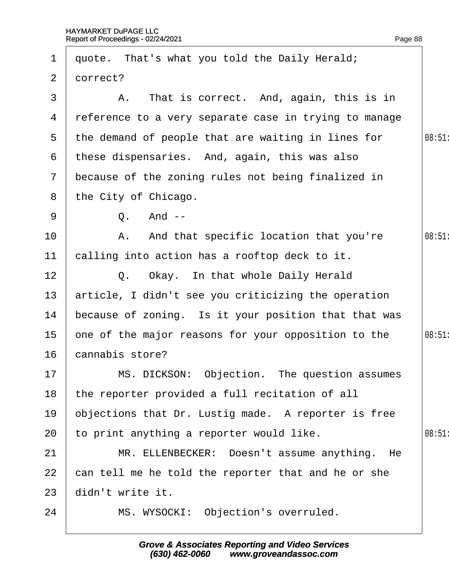| $\mathbf 1$   | quote. That's what you told the Daily Herald;         |       |
|---------------|-------------------------------------------------------|-------|
| $\mathbf{2}$  | dorrect?                                              |       |
| 3             | A. That is correct. And, again, this is in            |       |
| 4             | reference to a very separate case in trying to manage |       |
| 5             | the demand of people that are waiting in lines for    | 08:51 |
| 6             | these dispensaries. And, again, this was also         |       |
| $\mathcal{I}$ | because of the zoning rules not being finalized in    |       |
| 8             | the City of Chicago.                                  |       |
| 9             | Q. And --                                             |       |
| 10            | A. And that specific location that you're             | 08:51 |
| 11            | calling into action has a rooftop deck to it.         |       |
| 12            | Q. Okay. In that whole Daily Herald                   |       |
| 13            | article, I didn't see you criticizing the operation   |       |
| 14            | because of zoning. Is it your position that that was  |       |
| 15            | one of the major reasons for your opposition to the   | 08:51 |
| 16            | cannabis store?                                       |       |
| 17            | MS. DICKSON: Objection. The question assumes          |       |
| 18            | the reporter provided a full recitation of all        |       |
| 19            | objections that Dr. Lustig made. A reporter is free   |       |
| 20            | to print anything a reporter would like.              | 08:51 |
| 21            | MR. ELLENBECKER: Doesn't assume anything. He          |       |
| 22            | can tell me he told the reporter that and he or she   |       |
| 23            | didn't write it.                                      |       |
| 24            | MS. WYSOCKI: Objection's overruled.                   |       |
|               |                                                       |       |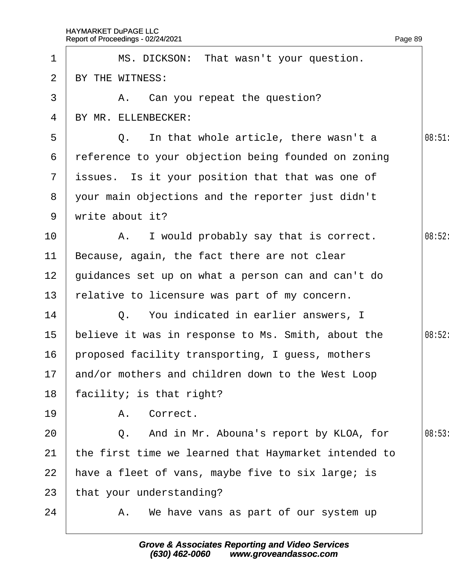|                 | Report of Proceedings - 02/24/2021<br>Page 89        |        |
|-----------------|------------------------------------------------------|--------|
| 1               | MS. DICKSON: That wasn't your question.              |        |
| 2               | BY THE WITNESS:                                      |        |
| 3               | A. Can you repeat the question?                      |        |
| 4               | BY MR. ELLENBECKER:                                  |        |
| 5               | Q. In that whole article, there wasn't a             | 08:51  |
| 6               | reference to your objection being founded on zoning  |        |
|                 | 7 issues. Is it your position that that was one of   |        |
| 8               | your main objections and the reporter just didn't    |        |
| 9               | write about it?                                      |        |
| 10              | A. I would probably say that is correct.             | 08:52: |
| 11              | Because, again, the fact there are not clear         |        |
| 12 <sub>2</sub> | guidances set up on what a person can and can't do   |        |
| 13              | felative to licensure was part of my concern.        |        |
| 14              | Q. You indicated in earlier answers, I               |        |
| 15              | believe it was in response to Ms. Smith, about the   | 08:52: |
| 16              | proposed facility transporting, I guess, mothers     |        |
| 17              | and/or mothers and children down to the West Loop    |        |
| 18              | facility; is that right?                             |        |
| 19              | A. Correct.                                          |        |
| 20              | Q. And in Mr. Abouna's report by KLOA, for           | 08:53  |
| 21              | the first time we learned that Haymarket intended to |        |
| 22              | have a fleet of vans, maybe five to six large; is    |        |
| 23              | that your understanding?                             |        |
| 24              | A. We have vans as part of our system up             |        |
|                 |                                                      |        |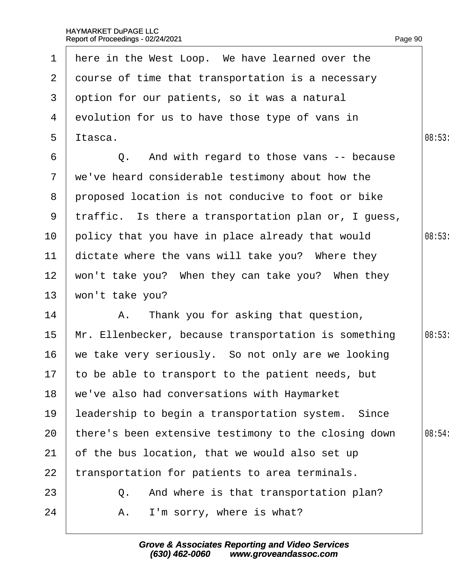|                 | 1 Here in the West Loop. We have learned over the    |        |
|-----------------|------------------------------------------------------|--------|
|                 | 2 dourse of time that transportation is a necessary  |        |
|                 | 3 dption for our patients, so it was a natural       |        |
|                 | 4 evolution for us to have those type of vans in     |        |
| 5               | Itasca.                                              | 08:53  |
| 6               | Q. And with regard to those vans -- because          |        |
|                 | 7 we've heard considerable testimony about how the   |        |
|                 | 8 proposed location is not conducive to foot or bike |        |
| 9               | traffic. Is there a transportation plan or, I guess, |        |
| 10 <sup>°</sup> | policy that you have in place already that would     | 08:53  |
| 11              | dictate where the vans will take you? Where they     |        |
| 12 <sup>2</sup> | won't take you? When they can take you? When they    |        |
| 13              | won't take you?                                      |        |
| 14              | A. Thank you for asking that question,               |        |
| 15 <sub>1</sub> | Mr. Ellenbecker, because transportation is something | 08:53  |
| 16              | we take very seriously. So not only are we looking   |        |
|                 | 17 to be able to transport to the patient needs, but |        |
| 18              | we've also had conversations with Haymarket          |        |
| 19              | leadership to begin a transportation system. Since   |        |
| 20              | there's been extensive testimony to the closing down | 08:54: |
| 21              | of the bus location, that we would also set up       |        |
| 22              | transportation for patients to area terminals.       |        |
| 23              | Q. And where is that transportation plan?            |        |
| 24              | A. I'm sorry, where is what?                         |        |
|                 |                                                      |        |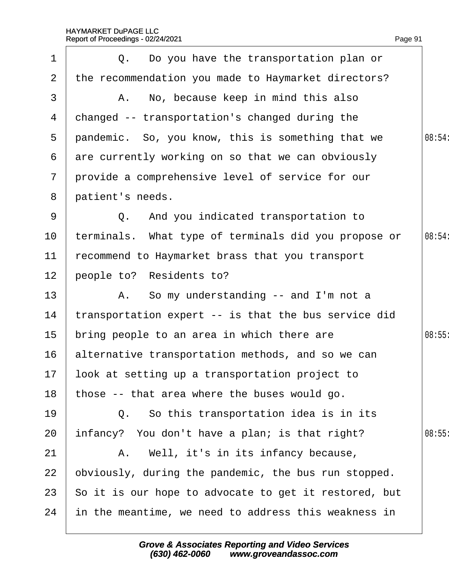Page 91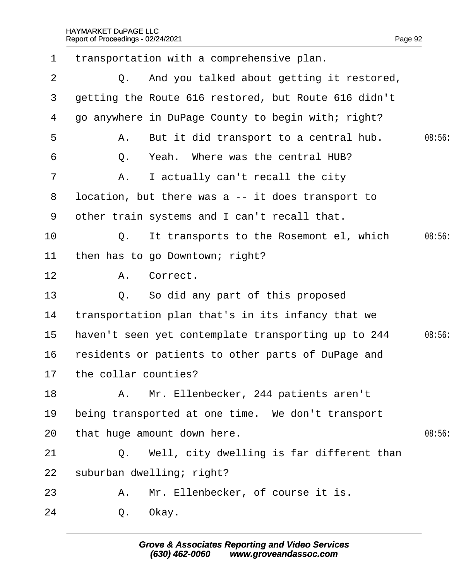| 1              | transportation with a comprehensive plan.            |        |
|----------------|------------------------------------------------------|--------|
| 2              | Q. And you talked about getting it restored,         |        |
| 3              | detting the Route 616 restored, but Route 616 didn't |        |
| 4              | go anywhere in DuPage County to begin with; right?   |        |
| 5              | A. But it did transport to a central hub.            | 08:56  |
| 6              | Q. Yeah. Where was the central HUB?                  |        |
| $\overline{7}$ | A. I actually can't recall the city                  |        |
| 8              | Ipcation, but there was a -- it does transport to    |        |
| 9              | other train systems and I can't recall that.         |        |
| 10             | Q. It transports to the Rosemont el, which           | 08:56  |
| 11             | then has to go Downtown; right?                      |        |
| 12             | A. Correct.                                          |        |
| 13             | Q. So did any part of this proposed                  |        |
| 14             | transportation plan that's in its infancy that we    |        |
| 15             | haven't seen yet contemplate transporting up to 244  | 08:56: |
| 16             | residents or patients to other parts of DuPage and   |        |
|                | 17 the collar counties?                              |        |
| 18             | A. Mr. Ellenbecker, 244 patients aren't              |        |
| 19             | being transported at one time. We don't transport    |        |
| 20             | that huge amount down here.                          | 08:56  |
| 21             | Q. Well, city dwelling is far different than         |        |
| 22             | suburban dwelling; right?                            |        |
| 23             | A. Mr. Ellenbecker, of course it is.                 |        |
| 24             | Q. Okay.                                             |        |
|                |                                                      |        |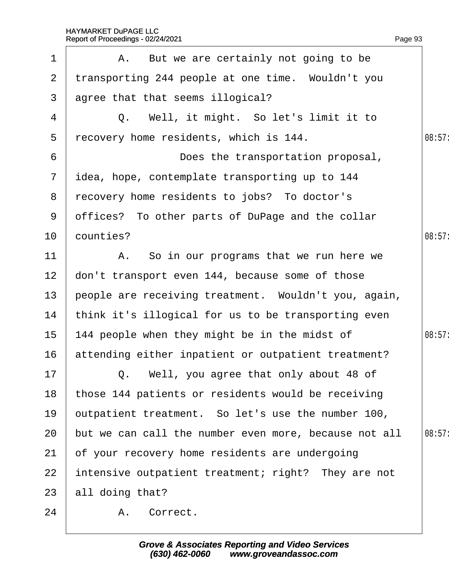| $\mathbf 1$     | A. But we are certainly not going to be               |        |
|-----------------|-------------------------------------------------------|--------|
| $\overline{2}$  | transporting 244 people at one time. Wouldn't you     |        |
| $\mathbf{3}$    | agree that that seems illogical?                      |        |
| 4               | Q. Well, it might. So let's limit it to               |        |
| 5               | recovery home residents, which is 144.                | 08:57: |
| 6               | Does the transportation proposal,                     |        |
| $7\overline{ }$ | idea, hope, contemplate transporting up to 144        |        |
| 8               | recovery home residents to jobs? To doctor's          |        |
| 9               | offices? To other parts of DuPage and the collar      |        |
| 10 <sub>1</sub> | counties?                                             | 08:57  |
| 11              | A. So in our programs that we run here we             |        |
| 12 <sub>2</sub> | don't transport even 144, because some of those       |        |
| 13 <sup>°</sup> | people are receiving treatment. Wouldn't you, again,  |        |
| 14              | think it's illogical for us to be transporting even   |        |
| 15 <sub>1</sub> | 144 people when they might be in the midst of         | 08:57: |
| 16              | attending either inpatient or outpatient treatment?   |        |
| 17              | Q. Well, you agree that only about 48 of              |        |
| 18              | those 144 patients or residents would be receiving    |        |
| 19              | putpatient treatment. So let's use the number 100,    |        |
| 20              | but we can call the number even more, because not all | 08:57: |
| 21              | of your recovery home residents are undergoing        |        |
| 22              | intensive outpatient treatment; right? They are not   |        |
| 23              | all doing that?                                       |        |
| 24              | A. Correct.                                           |        |
|                 |                                                       |        |

Page 93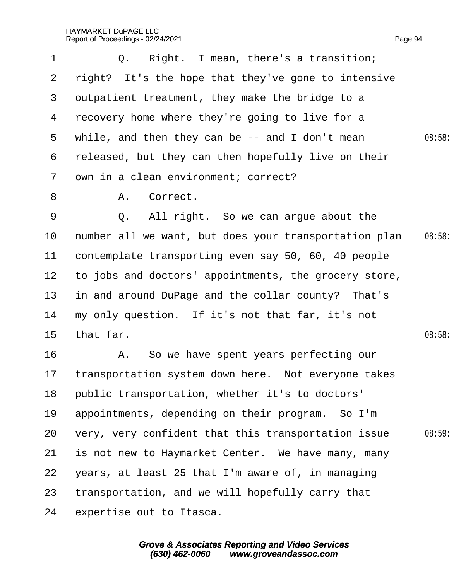| 1                 | Q. Right. I mean, there's a transition;                |       |
|-------------------|--------------------------------------------------------|-------|
| $\overline{2}$    | right? It's the hope that they've gone to intensive    |       |
| 3                 | dutpatient treatment, they make the bridge to a        |       |
| 4                 | recovery home where they're going to live for a        |       |
| 5                 | while, and then they can be -- and I don't mean        | 08:58 |
| 6                 | released, but they can then hopefully live on their    |       |
| $\overline{7}$    | dwn in a clean environment; correct?                   |       |
| 8                 | Correct.<br>А.                                         |       |
| 9                 | Q. All right. So we can argue about the                |       |
| 10                | humber all we want, but does your transportation plan  | 08:58 |
| 11                | contemplate transporting even say 50, 60, 40 people    |       |
| $12 \overline{ }$ | to jobs and doctors' appointments, the grocery store,  |       |
| 13                | in and around DuPage and the collar county? That's     |       |
| 14                | my only question. If it's not that far, it's not       |       |
| 15                | that far.                                              | 08:58 |
| 16                | A. So we have spent years perfecting our               |       |
|                   | 17 transportation system down here. Not everyone takes |       |
| 18                | public transportation, whether it's to doctors'        |       |
| 19                | appointments, depending on their program. So I'm       |       |
| 20                | very, very confident that this transportation issue    | 08:59 |
| 21                | is not new to Haymarket Center. We have many, many     |       |
| 22                | years, at least 25 that I'm aware of, in managing      |       |
| 23                | transportation, and we will hopefully carry that       |       |
| 24                | expertise out to Itasca.                               |       |
|                   |                                                        |       |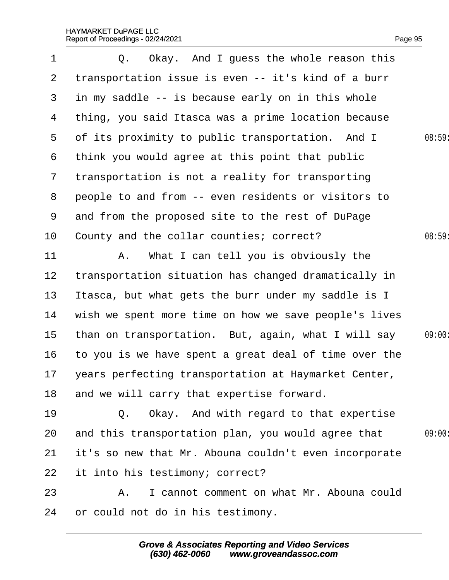| 1              | Q. Okay. And I guess the whole reason this              |        |
|----------------|---------------------------------------------------------|--------|
| 2 <sup>1</sup> | transportation issue is even -- it's kind of a burr     |        |
| 3              | in my saddle -- is because early on in this whole       |        |
| 4              | thing, you said Itasca was a prime location because     |        |
| 5              | of its proximity to public transportation. And I        | 08:59  |
| 6              | think you would agree at this point that public         |        |
| $7\phantom{.}$ | transportation is not a reality for transporting        |        |
| 8              | people to and from -- even residents or visitors to     |        |
| 9              | and from the proposed site to the rest of DuPage        |        |
| 10             | County and the collar counties; correct?                | 08:59  |
| 11             | A. What I can tell you is obviously the                 |        |
| 12             | transportation situation has changed dramatically in    |        |
| 13             | Itasca, but what gets the burr under my saddle is I     |        |
| 14             | wish we spent more time on how we save people's lives   |        |
| 15             | than on transportation. But, again, what I will say     | 09:00: |
| 16             | to you is we have spent a great deal of time over the   |        |
|                | 17 years perfecting transportation at Haymarket Center, |        |
| 18             | and we will carry that expertise forward.               |        |
| 19             | Q. Okay. And with regard to that expertise              |        |
| 20             | and this transportation plan, you would agree that      | 09:00  |
| 21             | it's so new that Mr. Abouna couldn't even incorporate   |        |
| 22             | it into his testimony; correct?                         |        |
| 23             | A. I cannot comment on what Mr. Abouna could            |        |
| 24             | or could not do in his testimony.                       |        |
|                |                                                         |        |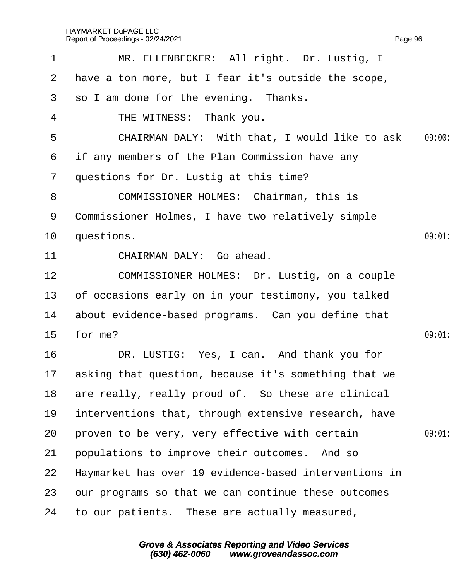| $\mathbf 1$     | MR. ELLENBECKER: All right. Dr. Lustig, I               |        |
|-----------------|---------------------------------------------------------|--------|
| 2 <sup>1</sup>  | have a ton more, but I fear it's outside the scope,     |        |
| 3               | so I am done for the evening. Thanks.                   |        |
| 4               | THE WITNESS: Thank you.                                 |        |
| 5               | CHAIRMAN DALY: With that, I would like to ask           | 09:00: |
| 6               | if any members of the Plan Commission have any          |        |
| $7\phantom{.}$  | questions for Dr. Lustig at this time?                  |        |
| 8               | <b>COMMISSIONER HOLMES: Chairman, this is</b>           |        |
| 9               | Commissioner Holmes, I have two relatively simple       |        |
| 10 <sup>°</sup> | questions.                                              | 09:01  |
| 11              | CHAIRMAN DALY: Go ahead.                                |        |
| 12              | COMMISSIONER HOLMES: Dr. Lustig, on a couple            |        |
| 13 <sub>2</sub> | of occasions early on in your testimony, you talked     |        |
| 14              | about evidence-based programs. Can you define that      |        |
| 15 <sub>1</sub> | for me?                                                 | 09:01  |
| 16              | DR. LUSTIG: Yes, I can. And thank you for               |        |
|                 | 17 asking that question, because it's something that we |        |
| 18              | are really, really proud of. So these are clinical      |        |
| 19              | interventions that, through extensive research, have    |        |
| 20              | proven to be very, very effective with certain          | 09:01  |
| 21              | populations to improve their outcomes. And so           |        |
| 22              | Haymarket has over 19 evidence-based interventions in   |        |
| 23              | bur programs so that we can continue these outcomes     |        |
| 24              | to our patients. These are actually measured,           |        |
|                 |                                                         |        |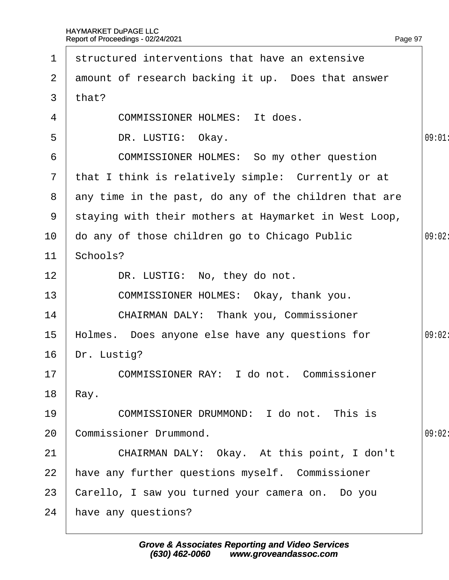| $\mathbf 1$    | structured interventions that have an extensive         |       |
|----------------|---------------------------------------------------------|-------|
| $\mathbf{2}$   | amount of research backing it up. Does that answer      |       |
| 3              | that?                                                   |       |
| $\overline{4}$ | <b>COMMISSIONER HOLMES: It does.</b>                    |       |
| 5              | DR. LUSTIG: Okay.                                       | 09:01 |
| 6              | COMMISSIONER HOLMES: So my other question               |       |
| $7\phantom{.}$ | that I think is relatively simple: Currently or at      |       |
|                | 8 any time in the past, do any of the children that are |       |
| 9              | staying with their mothers at Haymarket in West Loop,   |       |
| 10             | do any of those children go to Chicago Public           | 09:02 |
| 11             | Schools?                                                |       |
| 12             | DR. LUSTIG: No, they do not.                            |       |
| 13             | COMMISSIONER HOLMES: Okay, thank you.                   |       |
| 14             | <b>CHAIRMAN DALY: Thank you, Commissioner</b>           |       |
| 15             | Holmes. Does anyone else have any questions for         | 09:02 |
| 16             | Dr. Lustig?                                             |       |
| 17             | COMMISSIONER RAY: I do not. Commissioner                |       |
| 18             | Ray.                                                    |       |
| 19             | COMMISSIONER DRUMMOND: I do not. This is                |       |
| 20             | <b>Commissioner Drummond.</b>                           | 09:02 |
| 21             | CHAIRMAN DALY: Okay. At this point, I don't             |       |
| 22             | have any further questions myself. Commissioner         |       |
| 23             | Carello, I saw you turned your camera on. Do you        |       |
| 24             | have any questions?                                     |       |
|                |                                                         |       |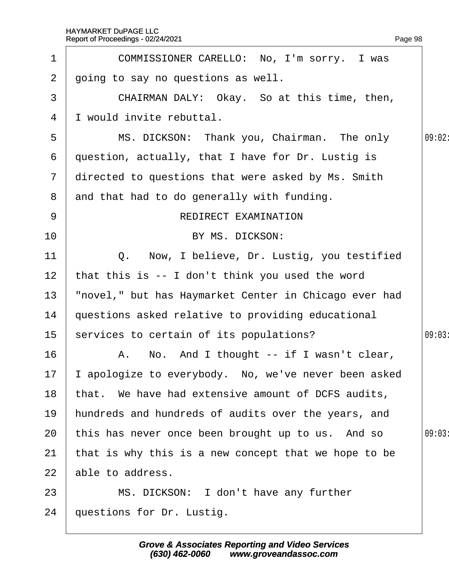|                | Report of Proceedings - 02/24/2021                    | Page 98 |
|----------------|-------------------------------------------------------|---------|
| 1              | COMMISSIONER CARELLO: No, I'm sorry. I was            |         |
| $\overline{2}$ | going to say no questions as well.                    |         |
| 3              | CHAIRMAN DALY: Okay. So at this time, then,           |         |
| 4              | I would invite rebuttal.                              |         |
| 5              | MS. DICKSON: Thank you, Chairman. The only            | 09:02:  |
| 6              | question, actually, that I have for Dr. Lustig is     |         |
| $\mathbf{7}$   | directed to questions that were asked by Ms. Smith    |         |
| 8              | and that had to do generally with funding.            |         |
| 9              | <b>REDIRECT EXAMINATION</b>                           |         |
| 10             | BY MS. DICKSON:                                       |         |
| 11             | Q. Now, I believe, Dr. Lustig, you testified          |         |
| 12             | that this is -- I don't think you used the word       |         |
| 13             | "novel," but has Haymarket Center in Chicago ever had |         |
| 14             | questions asked relative to providing educational     |         |
| 15             | services to certain of its populations?               | 09:03   |
| 16             | A. No. And I thought -- if I wasn't clear,            |         |
| 17             | apologize to everybody. No, we've never been asked    |         |
| 18             | that. We have had extensive amount of DCFS audits,    |         |
| 19             | hundreds and hundreds of audits over the years, and   |         |
| 20             | this has never once been brought up to us. And so     | 09:03   |
| 21             | that is why this is a new concept that we hope to be  |         |
| 22             | able to address.                                      |         |
| 23             | MS. DICKSON: I don't have any further                 |         |
| 24             | questions for Dr. Lustig.                             |         |
|                |                                                       |         |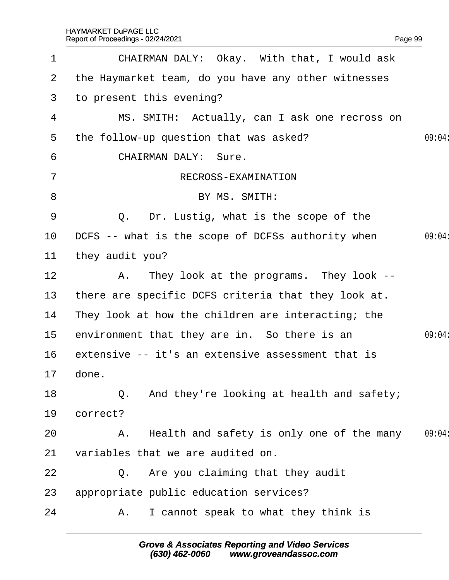| 1            | CHAIRMAN DALY: Okay. With that, I would ask         |        |
|--------------|-----------------------------------------------------|--------|
|              |                                                     |        |
| $\mathbf{2}$ | the Haymarket team, do you have any other witnesses |        |
| 3            | to present this evening?                            |        |
| 4            | MS. SMITH: Actually, can I ask one recross on       |        |
| 5            | the follow-up question that was asked?              | 09:04: |
| 6            | <b>CHAIRMAN DALY: Sure.</b>                         |        |
| 7            | RECROSS-EXAMINATION                                 |        |
| 8            | BY MS. SMITH:                                       |        |
| 9            | Q. Dr. Lustig, what is the scope of the             |        |
| 10           | DCFS -- what is the scope of DCFSs authority when   | 09:04: |
| 11           | they audit you?                                     |        |
| 12           | A. They look at the programs. They look --          |        |
| 13           | there are specific DCFS criteria that they look at. |        |
| 14           | They look at how the children are interacting; the  |        |
| 15           | environment that they are in. So there is an        | 09:04  |
| 16           | extensive -- it's an extensive assessment that is   |        |
|              | 17 done                                             |        |
| 18           | Q. And they're looking at health and safety;        |        |
| 19           | correct?                                            |        |
| 20           | A. Health and safety is only one of the many        | 09:04: |
| 21           | variables that we are audited on.                   |        |
| 22           | Q. Are you claiming that they audit                 |        |
| 23           | appropriate public education services?              |        |
| 24           | A. I cannot speak to what they think is             |        |
|              |                                                     |        |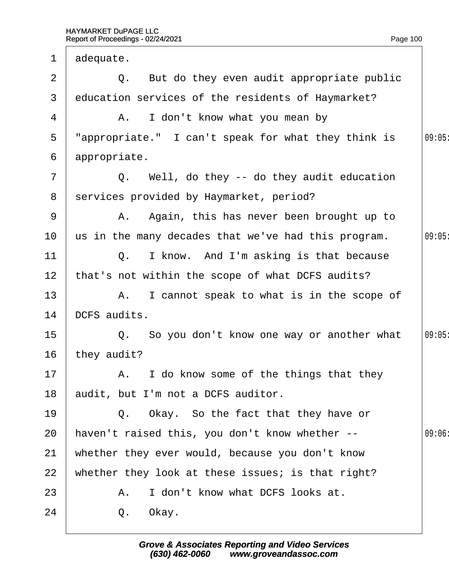| $\mathbf 1$     | adequate.                                           |       |
|-----------------|-----------------------------------------------------|-------|
| 2               | Q. But do they even audit appropriate public        |       |
| 3               | education services of the residents of Haymarket?   |       |
| 4               | A. I don't know what you mean by                    |       |
| 5               | "appropriate." I can't speak for what they think is | 09:05 |
| 6               | appropriate.                                        |       |
| $\overline{7}$  | Q. Well, do they -- do they audit education         |       |
| 8               | services provided by Haymarket, period?             |       |
| 9               | A. Again, this has never been brought up to         |       |
| 10              | us in the many decades that we've had this program. | 09:05 |
| 11              | Q. I know. And I'm asking is that because           |       |
| 12 <sub>2</sub> | that's not within the scope of what DCFS audits?    |       |
| 13              | A. I cannot speak to what is in the scope of        |       |
| 14              | DCFS audits.                                        |       |
| 15              | Q. So you don't know one way or another what        | 09:05 |
| 16              | they audit?                                         |       |
| 17 <sub>2</sub> | A. I do know some of the things that they           |       |
| 18              | audit, but I'm not a DCFS auditor.                  |       |
| 19              | Q. Okay. So the fact that they have or              |       |
| 20              | haven't raised this, you don't know whether --      | 09:06 |
| 21              | whether they ever would, because you don't know     |       |
| 22              | whether they look at these issues; is that right?   |       |
| 23              | I don't know what DCFS looks at.<br>A.              |       |
| 24              | Q. Okay.                                            |       |
|                 |                                                     |       |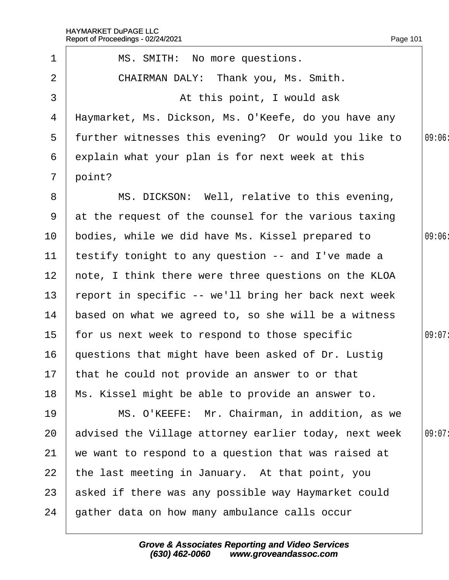7 point?

1 | MS. SMITH: No more questions.

2 | CHAIRMAN DALY: Thank you, Ms. Smith.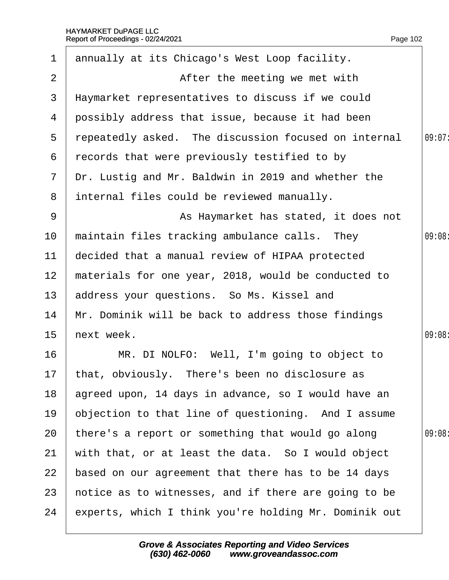| 1               | annually at its Chicago's West Loop facility.         |        |
|-----------------|-------------------------------------------------------|--------|
| $\overline{2}$  | After the meeting we met with                         |        |
| 3               | Haymarket representatives to discuss if we could      |        |
| 4               | possibly address that issue, because it had been      |        |
| 5               | repeatedly asked. The discussion focused on internal  | 09:07: |
| 6               | records that were previously testified to by          |        |
| $\mathbf{7}$    | Dr. Lustig and Mr. Baldwin in 2019 and whether the    |        |
| 8               | internal files could be reviewed manually.            |        |
| 9               | As Haymarket has stated, it does not                  |        |
| 10              | maintain files tracking ambulance calls. They         | 09:08  |
| $11$            | decided that a manual review of HIPAA protected       |        |
| 12 <sup>2</sup> | materials for one year, 2018, would be conducted to   |        |
| 13              | address your questions. So Ms. Kissel and             |        |
| 14              | Mr. Dominik will be back to address those findings    |        |
| 15              | hext week.                                            | 09:08  |
| 16              | MR. DI NOLFO: Well, I'm going to object to            |        |
|                 | 17 that, obviously. There's been no disclosure as     |        |
| 18              | agreed upon, 14 days in advance, so I would have an   |        |
| 19              | objection to that line of questioning. And I assume   |        |
| 20              | there's a report or something that would go along     | 09:08  |
| 21              | with that, or at least the data. So I would object    |        |
| 22              | based on our agreement that there has to be 14 days   |        |
| 23              | hotice as to witnesses, and if there are going to be  |        |
| 24              | experts, which I think you're holding Mr. Dominik out |        |
|                 |                                                       |        |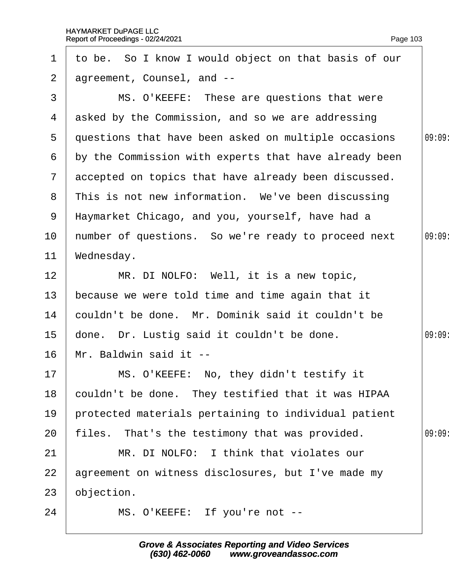| 1               | to be. So I know I would object on that basis of our  |       |
|-----------------|-------------------------------------------------------|-------|
| $\overline{2}$  | agreement, Counsel, and --                            |       |
| 3               | MS. O'KEEFE: These are questions that were            |       |
| 4               | asked by the Commission, and so we are addressing     |       |
| 5               | questions that have been asked on multiple occasions  | 09:09 |
| 6               | by the Commission with experts that have already been |       |
| $\mathbf{7}$    | accepted on topics that have already been discussed.  |       |
| 8               | This is not new information. We've been discussing    |       |
| 9               | Haymarket Chicago, and you, yourself, have had a      |       |
| 10 <sup>°</sup> | humber of questions. So we're ready to proceed next   | 09:09 |
| 11              | Wednesday.                                            |       |
| 12              | MR. DI NOLFO: Well, it is a new topic,                |       |
| 13              | because we were told time and time again that it      |       |
| 14              | couldn't be done. Mr. Dominik said it couldn't be     |       |
| 15 <sub>2</sub> | done. Dr. Lustig said it couldn't be done.            | 09:09 |
| 16              | Mr. Baldwin said it --                                |       |
| 17              | MS. O'KEEFE: No, they didn't testify it               |       |
| 18              | couldn't be done. They testified that it was HIPAA    |       |
| 19              | protected materials pertaining to individual patient  |       |
| 20              | files. That's the testimony that was provided.        | 09:09 |
| 21              | MR. DI NOLFO: I think that violates our               |       |
| 22              | agreement on witness disclosures, but I've made my    |       |
| 23              | objection.                                            |       |
| 24              | MS. O'KEEFE: If you're not --                         |       |
|                 |                                                       |       |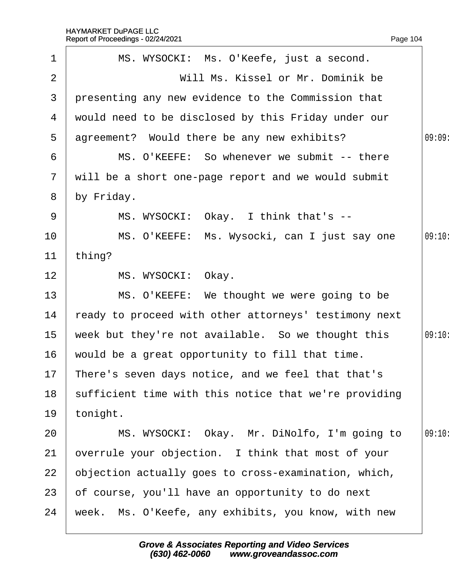|                 | Report of Proceedings - 02/24/2021                    | Page 104 |
|-----------------|-------------------------------------------------------|----------|
| $\mathbf 1$     | MS. WYSOCKI: Ms. O'Keefe, just a second.              |          |
| $\overline{2}$  | Will Ms. Kissel or Mr. Dominik be                     |          |
| 3               | presenting any new evidence to the Commission that    |          |
| 4               | would need to be disclosed by this Friday under our   |          |
| 5               | agreement? Would there be any new exhibits?           | 09:09    |
| 6               | MS. O'KEEFE: So whenever we submit -- there           |          |
| $\mathbf{7}$    | will be a short one-page report and we would submit   |          |
| 8               | by Friday.                                            |          |
| 9               | MS. WYSOCKI: Okay. I think that's --                  |          |
| 10              | MS. O'KEEFE: Ms. Wysocki, can I just say one          | 09:10:   |
| 11              | thing?                                                |          |
| 12 <sub>2</sub> | MS. WYSOCKI: Okay.                                    |          |
| 13              | MS. O'KEEFE: We thought we were going to be           |          |
| 14              | ready to proceed with other attorneys' testimony next |          |
| 15              | week but they're not available. So we thought this    | 09:10:   |
| 16              | would be a great opportunity to fill that time.       |          |
| 17              | There's seven days notice, and we feel that that's    |          |
| 18              | sufficient time with this notice that we're providing |          |
| 19              | tonight.                                              |          |
| 20              | MS. WYSOCKI: Okay. Mr. DiNolfo, I'm going to          | 09:10:   |
| 21              | overrule your objection. I think that most of your    |          |
| 22              | objection actually goes to cross-examination, which,  |          |
| 23              | of course, you'll have an opportunity to do next      |          |
| 24              | week. Ms. O'Keefe, any exhibits, you know, with new   |          |
|                 |                                                       |          |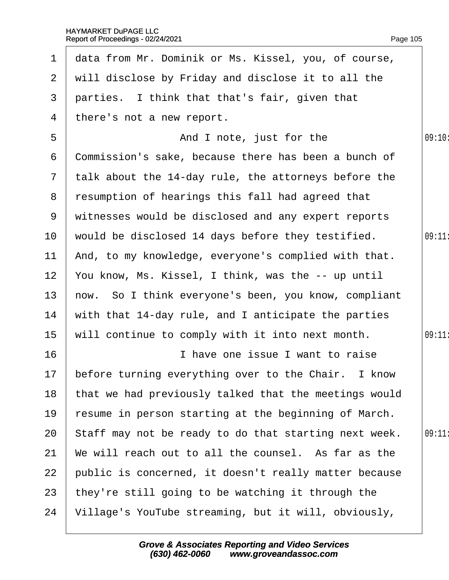| $\mathbf 1$     | data from Mr. Dominik or Ms. Kissel, you, of course,  |        |
|-----------------|-------------------------------------------------------|--------|
| 2 <sup>1</sup>  | will disclose by Friday and disclose it to all the    |        |
| 3               | parties. I think that that's fair, given that         |        |
| 4               | there's not a new report.                             |        |
| 5               | And I note, just for the                              | 09:10: |
| 6               | Commission's sake, because there has been a bunch of  |        |
| $\overline{7}$  | talk about the 14-day rule, the attorneys before the  |        |
| 8               | resumption of hearings this fall had agreed that      |        |
| 9               | witnesses would be disclosed and any expert reports   |        |
| 10 <sup>°</sup> | would be disclosed 14 days before they testified.     | 09:11  |
| 11              | And, to my knowledge, everyone's complied with that.  |        |
| 12 <sub>2</sub> | You know, Ms. Kissel, I think, was the -- up until    |        |
| 13 <sup>2</sup> | how. So I think everyone's been, you know, compliant  |        |
| 14              | with that 14-day rule, and I anticipate the parties   |        |
| 15              | will continue to comply with it into next month.      | 09:11: |
| 16              | I have one issue I want to raise                      |        |
| 17              | before turning everything over to the Chair. I know   |        |
| 18              | that we had previously talked that the meetings would |        |
| 19              | fesume in person starting at the beginning of March.  |        |
| 20              | Staff may not be ready to do that starting next week. | 09:11  |
| 21              | We will reach out to all the counsel. As far as the   |        |
| 22              | public is concerned, it doesn't really matter because |        |
| 23              | they're still going to be watching it through the     |        |
| 24              | Village's YouTube streaming, but it will, obviously,  |        |
|                 |                                                       |        |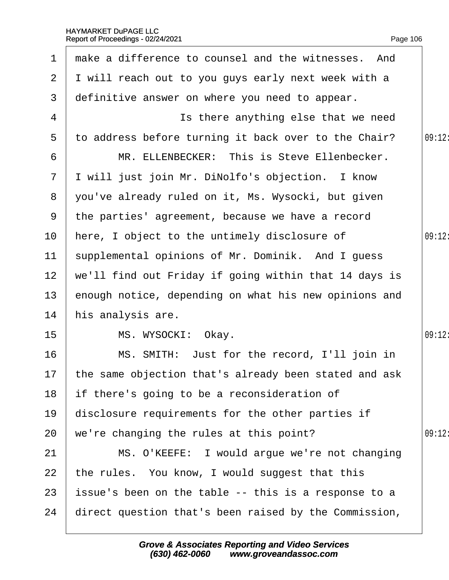| 1              | make a difference to counsel and the witnesses. And      |        |
|----------------|----------------------------------------------------------|--------|
| $\overline{2}$ | I will reach out to you guys early next week with a      |        |
| 3              | definitive answer on where you need to appear.           |        |
| 4              | Is there anything else that we need                      |        |
| 5              | to address before turning it back over to the Chair?     | 09:12: |
| 6              | MR. ELLENBECKER: This is Steve Ellenbecker.              |        |
| $\mathbf{7}$   | I will just join Mr. DiNolfo's objection. I know         |        |
| 8              | you've already ruled on it, Ms. Wysocki, but given       |        |
| 9              | the parties' agreement, because we have a record         |        |
| 10             | here, I object to the untimely disclosure of             | 09:12: |
| 11             | supplemental opinions of Mr. Dominik. And I guess        |        |
| 12             | we'll find out Friday if going within that 14 days is    |        |
| 13             | enough notice, depending on what his new opinions and    |        |
| 14             | his analysis are.                                        |        |
| 15             | MS. WYSOCKI: Okay.                                       | 09:12: |
| 16             | MS. SMITH: Just for the record, I'll join in             |        |
|                | 17 the same objection that's already been stated and ask |        |
| 18             | If there's going to be a reconsideration of              |        |
| 19             | disclosure requirements for the other parties if         |        |
| 20             | we're changing the rules at this point?                  | 09:12: |
| 21             | MS. O'KEEFE: I would argue we're not changing            |        |
| 22             | the rules. You know, I would suggest that this           |        |
| 23             | issue's been on the table -- this is a response to a     |        |
| 24             | direct question that's been raised by the Commission,    |        |
|                |                                                          |        |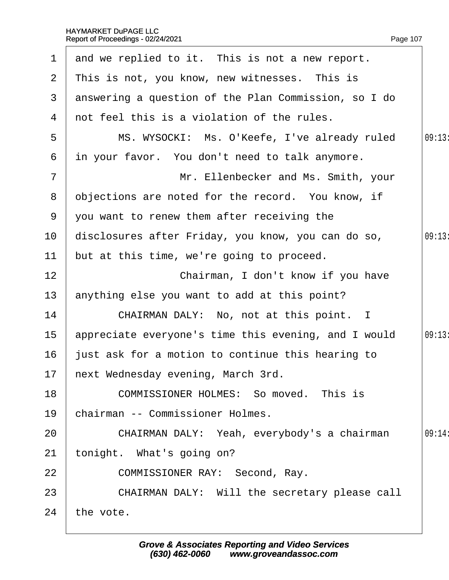| $\mathbf 1$    | and we replied to it. This is not a new report.      |        |
|----------------|------------------------------------------------------|--------|
| 2 <sup>1</sup> | This is not, you know, new witnesses. This is        |        |
| 3              | answering a question of the Plan Commission, so I do |        |
| 4              | not feel this is a violation of the rules.           |        |
| 5              | MS. WYSOCKI: Ms. O'Keefe, I've already ruled         | 09:13: |
| 6              | in your favor. You don't need to talk anymore.       |        |
| $\overline{7}$ | Mr. Ellenbecker and Ms. Smith, your                  |        |
| 8              | objections are noted for the record. You know, if    |        |
| 9              | you want to renew them after receiving the           |        |
| 10             | disclosures after Friday, you know, you can do so,   | 09:13  |
| 11             | but at this time, we're going to proceed.            |        |
| 12             | Chairman, I don't know if you have                   |        |
| 13             | anything else you want to add at this point?         |        |
| 14             | CHAIRMAN DALY: No, not at this point. I              |        |
| $15\,$         | appreciate everyone's time this evening, and I would | 09:13: |
| 16             | just ask for a motion to continue this hearing to    |        |
|                | 17 hext Wednesday evening, March 3rd.                |        |
| 18             | <b>COMMISSIONER HOLMES: So moved. This is</b>        |        |
| 19             | chairman -- Commissioner Holmes.                     |        |
| 20             | CHAIRMAN DALY: Yeah, everybody's a chairman          | 09:14  |
| 21             | tonight. What's going on?                            |        |
| 22             | COMMISSIONER RAY: Second, Ray.                       |        |
| 23             | CHAIRMAN DALY: Will the secretary please call        |        |
| 24             | the vote.                                            |        |
|                |                                                      |        |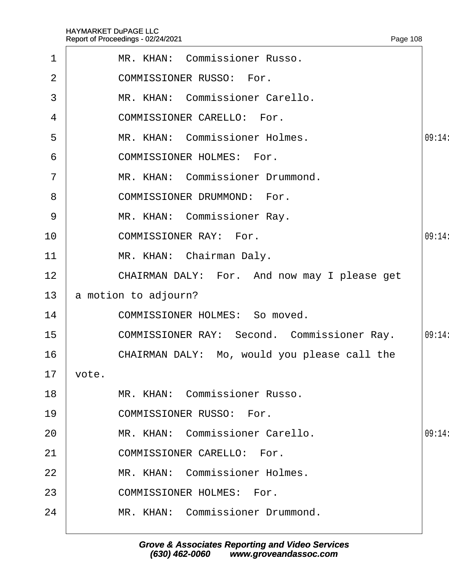<span id="page-108-0"></span>

| $\mathbf 1$    | MR. KHAN: Commissioner Russo.                      |        |
|----------------|----------------------------------------------------|--------|
| 2              | <b>COMMISSIONER RUSSO: For.</b>                    |        |
| 3              | MR. KHAN: Commissioner Carello.                    |        |
| 4              | <b>COMMISSIONER CARELLO: For.</b>                  |        |
| 5              | MR. KHAN: Commissioner Holmes.                     | 09:14: |
| 6              | <b>COMMISSIONER HOLMES: For.</b>                   |        |
| $\overline{7}$ | MR. KHAN: Commissioner Drummond.                   |        |
| 8              | <b>COMMISSIONER DRUMMOND: For.</b>                 |        |
| 9              | MR. KHAN: Commissioner Ray.                        |        |
| 10             | <b>COMMISSIONER RAY: For.</b>                      | 09:14  |
| 11             | MR. KHAN: Chairman Daly.                           |        |
| 12             | CHAIRMAN DALY: For. And now may I please get       |        |
| 13             | a motion to adjourn?                               |        |
| 14             | <b>COMMISSIONER HOLMES: So moved.</b>              |        |
| 15             | <b>COMMISSIONER RAY: Second. Commissioner Ray.</b> | 09:14  |
| 16             | CHAIRMAN DALY: Mo, would you please call the       |        |
| 17 vote.       |                                                    |        |
| 18             | MR. KHAN: Commissioner Russo.                      |        |
| 19             | <b>COMMISSIONER RUSSO: For.</b>                    |        |
| 20             | MR. KHAN: Commissioner Carello.                    | 09:14: |
| 21             | <b>COMMISSIONER CARELLO: For.</b>                  |        |
| 22             | MR. KHAN: Commissioner Holmes.                     |        |
| 23             | <b>COMMISSIONER HOLMES: For.</b>                   |        |
| 24             | MR. KHAN: Commissioner Drummond.                   |        |
|                |                                                    |        |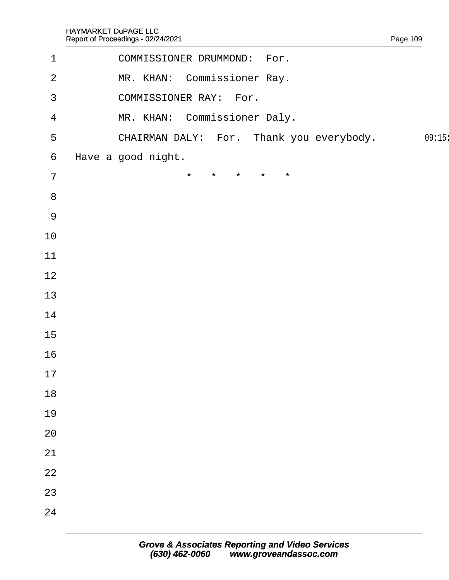<span id="page-109-0"></span>

| $\mathbf 1$     | COMMISSIONER DRUMMOND: For.              |        |
|-----------------|------------------------------------------|--------|
| $\overline{2}$  | MR. KHAN: Commissioner Ray.              |        |
| $\mathfrak{S}$  | <b>COMMISSIONER RAY: For.</b>            |        |
| $\overline{4}$  | MR. KHAN: Commissioner Daly.             |        |
| $\sqrt{5}$      | CHAIRMAN DALY: For. Thank you everybody. | 09:15: |
| $6\phantom{1}6$ | Have a good night.                       |        |
| $\overline{7}$  | * * * * *                                |        |
| $\bf 8$         |                                          |        |
| $9\,$           |                                          |        |
| 10              |                                          |        |
| 11              |                                          |        |
| 12              |                                          |        |
| 13              |                                          |        |
| 14              |                                          |        |
| 15              |                                          |        |
| 16              |                                          |        |
| 17              |                                          |        |
| 18              |                                          |        |
| 19              |                                          |        |
| 20              |                                          |        |
| 21              |                                          |        |
| 22              |                                          |        |
| 23              |                                          |        |
| 24              |                                          |        |
|                 |                                          |        |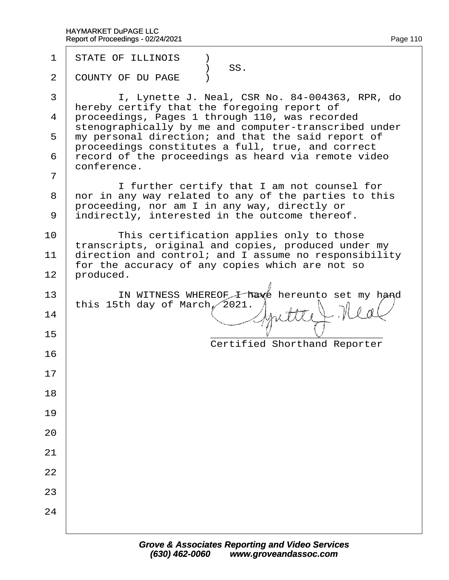| 1                             | <b>STATE OF ILLINOIS</b><br>) SS.                                                                                                                                                                                                                                                                                                                                                                                                                                                                                                                                                                        |
|-------------------------------|----------------------------------------------------------------------------------------------------------------------------------------------------------------------------------------------------------------------------------------------------------------------------------------------------------------------------------------------------------------------------------------------------------------------------------------------------------------------------------------------------------------------------------------------------------------------------------------------------------|
| 2                             | <b>COUNTY OF DU PAGE</b> )                                                                                                                                                                                                                                                                                                                                                                                                                                                                                                                                                                               |
| 3<br>4<br>6<br>$\overline{7}$ | I, Lynette J. Neal, CSR No. 84-004363, RPR, do<br>hereby certify that the foregoing report of<br>proceedings, Pages 1 through 110, was recorded<br>stenographically by me and computer-transcribed under<br>5 my personal direction; and that the said report of<br>proceedings constitutes a full, true, and correct<br>record of the proceedings as heard via remote video<br>conference.<br>I further certify that I am not counsel for<br>8 nor in any way related to any of the parties to this<br>proceeding, nor am I in any way, directly or<br>9 indirectly, interested in the outcome thereof. |
| 10<br>11<br>12                | This certification applies only to those<br>transcripts, original and copies, produced under my<br>direction and control; and I assume no responsibility<br>for the accuracy of any copies which are not so<br>produced.                                                                                                                                                                                                                                                                                                                                                                                 |
| 13<br>14                      | IN WITNESS WHEREOF I have hereunto set my hand<br>this 15th day of March, 2021.                                                                                                                                                                                                                                                                                                                                                                                                                                                                                                                          |
| 15                            |                                                                                                                                                                                                                                                                                                                                                                                                                                                                                                                                                                                                          |
| 16                            | <b>Certified Shorthand Reporter</b>                                                                                                                                                                                                                                                                                                                                                                                                                                                                                                                                                                      |
| 17                            |                                                                                                                                                                                                                                                                                                                                                                                                                                                                                                                                                                                                          |
| 18                            |                                                                                                                                                                                                                                                                                                                                                                                                                                                                                                                                                                                                          |
| 19                            |                                                                                                                                                                                                                                                                                                                                                                                                                                                                                                                                                                                                          |
| 20                            |                                                                                                                                                                                                                                                                                                                                                                                                                                                                                                                                                                                                          |
| 21                            |                                                                                                                                                                                                                                                                                                                                                                                                                                                                                                                                                                                                          |
| 22                            |                                                                                                                                                                                                                                                                                                                                                                                                                                                                                                                                                                                                          |
| 23                            |                                                                                                                                                                                                                                                                                                                                                                                                                                                                                                                                                                                                          |
| 24                            |                                                                                                                                                                                                                                                                                                                                                                                                                                                                                                                                                                                                          |
|                               |                                                                                                                                                                                                                                                                                                                                                                                                                                                                                                                                                                                                          |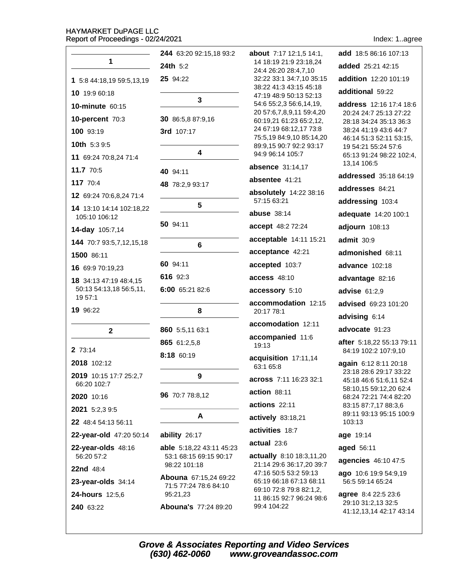|                                                   | 244 63:20 92:15,18 93:2                | about 7:17 12:1,5 14:1,                              | add 18:5 86:16 107:13                                                       |
|---------------------------------------------------|----------------------------------------|------------------------------------------------------|-----------------------------------------------------------------------------|
| $\mathbf{1}$                                      | 24th 5:2                               | 14 18:19 21:9 23:18,24<br>24:4 26:20 28:4,7,10       | added 25:21 42:15                                                           |
| 1 5:8 44:18,19 59:5,13,19                         | 25 94:22                               | 32:22 33:1 34:7,10 35:15                             | addition 12:20 101:19                                                       |
| 10 19:9 60:18                                     |                                        | 38:22 41:3 43:15 45:18<br>47:19 48:9 50:13 52:13     | additional 59:22                                                            |
| 10-minute 60:15                                   | $\mathbf{3}$                           | 54:6 55:2,3 56:6,14,19,                              | address 12:16 17:4 18:6                                                     |
| 10-percent 70:3                                   | 30 86:5,8 87:9,16                      | 20 57:6,7,8,9,11 59:4,20<br>60:19,21 61:23 65:2,12,  | 20:24 24:7 25:13 27:22<br>28:18 34:24 35:13 36:3                            |
| 100 93:19                                         | 3rd 107:17                             | 24 67:19 68:12,17 73:8<br>75:5,19 84:9,10 85:14,20   | 38:24 41:19 43:6 44:7                                                       |
| <b>10th</b> $5:39:5$                              |                                        | 89:9,15 90:7 92:2 93:17                              | 46:14 51:3 52:11 53:15,<br>19 54:21 55:24 57:6                              |
| 11 69:24 70:8,24 71:4                             | $\overline{\mathbf{4}}$                | 94:9 96:14 105:7                                     | 65:13 91:24 98:22 102:4,                                                    |
| 11.7 70:5                                         | 40 94:11                               | absence 31:14,17                                     | 13,14 106:5<br>addressed 35:18 64:19                                        |
| 117 70:4                                          | 48 78:2,9 93:17                        | absentee 41:21                                       | addresses 84:21                                                             |
| 12 69:24 70:6,8,24 71:4                           |                                        | absolutely 14:22 38:16<br>57:15 63:21                |                                                                             |
| 14 13:10 14:14 102:18,22                          | 5                                      | abuse $38:14$                                        | addressing 103:4                                                            |
| 105:10 106:12                                     | 50 94:11                               | accept 48:2 72:24                                    | adequate 14:20 100:1                                                        |
| 14-day 105:7,14                                   |                                        | acceptable 14:11 15:21                               | adjourn 108:13                                                              |
| 144 70:7 93:5,7,12,15,18                          | 6                                      | acceptance 42:21                                     | admit 30:9                                                                  |
| 1500 86:11                                        | 60 94:11                               |                                                      | admonished 68:11                                                            |
| 16 69:9 70:19,23                                  | 616 92:3                               | accepted 103:7                                       | <b>advance</b> 102:18                                                       |
| 18 34:13 47:19 48:4,15<br>50:13 54:13,18 56:5,11, |                                        | <b>access 48:10</b>                                  | advantage 82:16                                                             |
| 19 57:1                                           | 6:00 65:21 82:6                        | accessory 5:10                                       | advise $61:2,9$                                                             |
| 19 96:22                                          | 8                                      | accommodation 12:15<br>20:17 78:1                    | advised 69:23 101:20                                                        |
|                                                   |                                        | accomodation 12:11                                   | advising 6:14                                                               |
| $\mathbf{2}$                                      | 860 5:5,11 63:1                        | accompanied 11:6                                     | advocate 91:23                                                              |
| 2 73:14                                           | 865 61:2,5,8                           | 19:13                                                | after 5:18,22 55:13 79:11<br>84:19 102:2 107:9,10                           |
| 2018 102:12                                       | 8:18 60:19                             | acquisition 17:11,14                                 | again 6:12 8:11 20:18                                                       |
| 2019 10:15 17:7 25:2,7                            | 9                                      | 63:1 65:8                                            | 23:18 28:6 29:17 33:22                                                      |
| 66:20 102:7                                       |                                        | <b>across</b> 7:11 16:23 32:1                        | 45:18 46:6 51:6,11 52:4<br>58:10,15 59:12,20 62:4                           |
| 2020 10:16                                        | 96 70:7 78:8,12                        | action 88:11                                         | 68:24 72:21 74:4 82:20                                                      |
| 2021 5:2,3 9:5                                    |                                        | actions 22:11                                        | 83:15 87:7,17 88:3,6<br>89:11 93:13 95:15 100:9                             |
| 22 48:4 54:13 56:11                               | A                                      | actively 83:18,21                                    | 103:13                                                                      |
| 22-year-old 47:20 50:14                           | ability 26:17                          | activities 18:7                                      | age 19:14                                                                   |
| 22-year-olds 48:16                                | able 5:18,22 43:11 45:23               | actual 23:6                                          | aged 56:11                                                                  |
| 56:20 57:2                                        | 53:1 68:15 69:15 90:17<br>98:22 101:18 | actually 8:10 18:3,11,20<br>21:14 29:6 36:17,20 39:7 | agencies 46:10 47:5                                                         |
| 22nd 48:4                                         | Abouna 67:15,24 69:22                  | 47:16 50:5 53:2 59:13                                | <b>ago</b> 10:6 19:9 54:9,19                                                |
| $23$ -year-olds $34:14$                           | 71:5 77:24 78:6 84:10                  | 65:19 66:18 67:13 68:11<br>69:10 72:8 79:8 82:1,2,   | 56:5 59:14 65:24                                                            |
| 24-hours 12:5,6<br>240 63:22                      | 95:21,23<br>Abouna's 77:24 89:20       | 11 86:15 92:7 96:24 98:6<br>99:4 104:22              | <b>agree</b> 8:4 22:5 23:6<br>29:10 31:2,13 32:5<br>41:12,13,14 42:17 43:14 |
|                                                   |                                        |                                                      |                                                                             |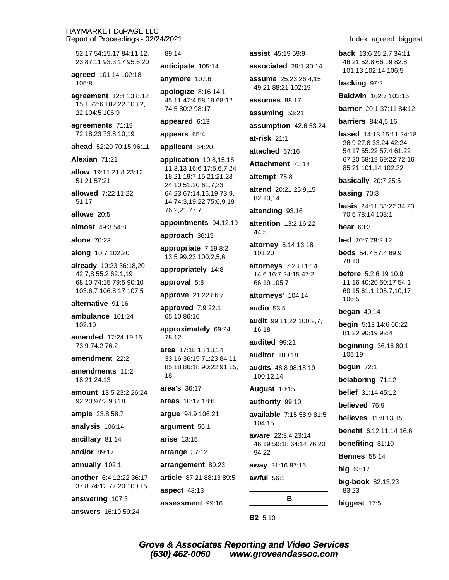52:17 54:15.17 84:11.12. 23 87:11 93:3.17 95:6.20

agreed 101:14 102:18 105:8

agreement 12:4 13:8,12 15:1 72:6 102:22 103:2, 22 104:5 106:9

agreements 71:19 72:18,23 73:8,10,19

ahead 52:20 70:15 96:11

Alexian 71:21

allow 19:11 21:8 23:12 51:21 57:21

allowed 7:22 11:22  $51:17$ 

allows 20:5

almost 49:3 54:8

**alone 70:23** 

along 10:7 102:20

already 10:23 36:18,20 42:7,8 55:2 62:1,19 68:10 74:15 79:5 90:10 103:6,7 106:8,17 107:5

#### alternative 91:16

ambulance 101:24 102:10

amended 17:24 19:15 73:9 74:2 76:2

amendment  $22.2$ 

amendments 11:2 18:21 24:13

amount 13:5 23:2 26:24  $92.2097.298.18$ 

ample 23:8 58:7

analysis 106:14

ancillary 81:14

and/or 89:17

annually 102:1

another 6:4 12:22 36:17 37:8 74:12 77:20 100:15

answering 107:3

answers 16:19 59:24

#### 89:14

anticipate 105:14

anymore 107:6

apologize  $8:16$  14:1 45:11 47:4 58:19 68:12 74:5 80:2 98:17

appeared 6:13

appears 65:4

applicant 64:20

application  $10:8,15,16$ 11:3,13 16:6 17:5,6,7,24 18:21 19:7,15 21:21,23 24:10 51:20 61:7,23 64:23 67:14,16,19 73:9, 14 74:3,19,22 75:6,9,19 76:2,21 77:7

appointments 94:12,19

approach 36:19

appropriate 7:19 8:2 13:5 99:23 100:2,5,6

appropriately 14:8

approval 5:8

approve 21:22 86:7

approved 7:9 22:1 65:10 86:16

approximately 69:24 78:12

area 17:18 18:13.14 33:16 36:15 71:23 84:11 85:18 86:18 90:22 91:15, 18

area's 36:17

areas 10:17 18:6

argue 94:9 106:21

argument 56:1

arise 13:15

arrange 37:12

arrangement 80:23

article 87:21 88:13 89:5

aspect 43:13

(630) 462-0060

assessment 99:16

assist 45:19 59:9 associated 29:1 30:14

assume 25:23 26:4.15

49:21 88:21 102:19

assumes 88:17

assuming 53:21

assumption 42:6 53:24

 $at-risk$  21:1

attached 67:16

Attachment 73:14

attempt 75:8

attend 20:21 25:9,15 82:13,14

attending 93:16

attention 13:2 16:22 44:5

attorney 6:14 13:18 101:20

attorneys 7:23 11:14 14:6 16:7 24:15 47:2 66:19 105:7

attorneys' 104:14

audio 53:5

audit 99:11,22 100:2,7, 16.18

audited 99:21

auditor 100:18

audits 46:8 98:18,19 100:12.14

**August 10:15** 

authority 99:10

available 7:15 58:9 81:5 104:15

aware 22:3,4 23:14 46:19 50:18 64:14 76:20 94:22

B

www.groveandassoc.com

away 21:16 87:16

awful  $56:1$ 

**B2** 5:10

**Grove & Associates Reporting and Video Services** 

Index: agreed..biggest

back 13:6 25:2.7 34:11 46:21 52:8 66:19 82:8 101:13 102:14 106:5

backing 97:2

Baldwin 102:7 103:16

**barrier** 20:1 37:11 84:12

**barriers** 84:4,5,16

based 14:13 15:11 24:18 26:9 27:8 33:24 42:24 54:17 55:22 57:4 61:22 67:20 68:19 69:22 72:16 85:21 101:14 102:22

basically 20:7 25:5

basing  $70:3$ 

**basis** 24:11 33:22 34:23 70:5 78:14 103:1

bear  $60:3$ 

**bed** 70:7 78:2.12

**beds** 54:7 57:4 69:9 78:10

before 5:2 6:19 10:9 11:16 40:20 50:17 54:1 60:15 61:1 105:7,10,17 106:5

**begin** 5:13 14:6 60:22

**beginning** 36:16 80:1

81:22 90:19 92:4

belaboring 71:12

**belief** 31:14 45:12

**believes** 11:8 13:15

benefiting 81:10

big-book 82:13,23

**Bennes** 55:14

biggest 17:5

 $big$  63:17

83:23

**benefit** 6:12 11:14 16:6

believed 76.9

began  $40:14$ 

105:19

begun  $72:1$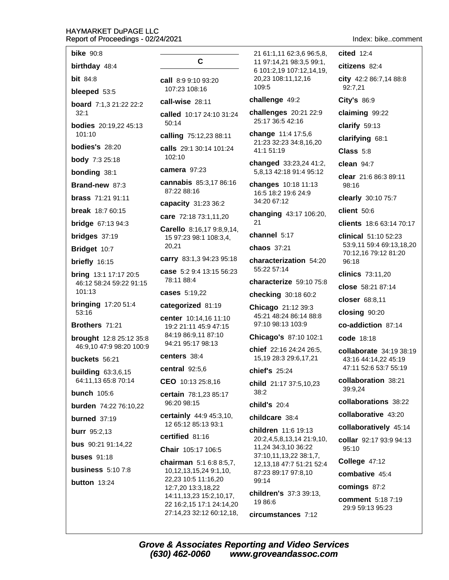**bike** 90:8

birthday 48:4

**bit** 84:8

bleeped 53:5

board 7:1,3 21:22 22:2  $32.1$ 

**bodies** 20:19,22 45:13  $101.10$ 

**bodies's** 28:20

**body** 7:3 25:18

**bonding 38:1** 

Brand-new 87:3

**brass** 71:21 91:11

**break** 18:7 60:15

**bridge**  $67:1394:3$ 

bridges  $37:19$ 

Bridget 10:7

- briefly 16:15
- **bring** 13:1 17:17 20:5 46:12 58:24 59:22 91:15  $101:13$

**bringing 17:20 51:4** 53:16

Brothers 71:21

brought 12:8 25:12 35:8 46:9,10 47:9 98:20 100:9

buckets 56:21

**building 63:3,6,15** 64:11.13 65:8 70:14

**bunch** 105:6

burden 74:22 76:10.22

burned  $37:19$ 

**burr** 95:2,13

**bus** 90:21 91:14,22

**buses** 91:18

business  $5:107:8$ 

button  $13:24$ 

# C

call 8:9 9:10 93:20 107:23 108:16

call-wise 28:11

called 10:17 24:10 31:24  $50:14$ 

calling 75:12,23 88:11

calls 29:1 30:14 101:24 102:10

camera 97:23

cannabis 85:3,17 86:16 87:22 88:16

capacity 31:23 36:2

care 72:18 73:1,11,20

Carello 8:16,17 9:8,9,14, 15 97:23 98:1 108:3,4, 20,21

carry 83:1,3 94:23 95:18

case 5:2 9:4 13:15 56:23 78:11 88:4

cases 5:19,22

#### categorized 81:19

center 10:14,16 11:10 19:2 21:11 45:9 47:15 84:19 86:9.11 87:10 94:21 95:17 98:13

#### centers 38:4

central  $92:5,6$ 

CEO 10:13 25:8,16

certain 78:1,23 85:17 96:20 98:15

certainly 44:9 45:3,10, 12 65:12 85:13 93:1

certified 81:16

#### Chair 105:17 106:5

chairman 5:1 6:8 8:5.7. 10, 12, 13, 15, 24 9: 1, 10, 22,23 10:5 11:16,20 12:7,20 13:3,18,22 14:11, 13, 23 15: 2, 10, 17, 22 16:2,15 17:1 24:14,20 27:14,23 32:12 60:12,18,

21 61:1,11 62:3,6 96:5,8, 11 97:14.21 98:3.5 99:1. 6 101:2,19 107:12,14,19, 20,23 108:11,12,16 109:5

#### challenge 49:2

challenges 20:21 22:9 25:17 36:5 42:16

change 11:4 17:5,6 21:23 32:23 34:8,16,20 41:1 51:19

changed 33:23,24 41:2, 5,8,13 42:18 91:4 95:12

changes 10:18 11:13 16:5 18:2 19:6 24:9 34:20 67:12

changing 43:17 106:20,  $21$ 

channel 5:17

chaos 37:21

characterization 54:20 55:22 57:14

characterize 59:10 75:8

checking 30:18 60:2

Chicago 21:12 39:3 45:21 48:24 86:14 88:8 97:10 98:13 103:9

Chicago's 87:10 102:1

chief 22:16 24:24 26:5, 15,19 28:3 29:6,17,21

chief's 25:24

child 21:17 37:5,10,23  $38:2$ 

child's  $20:4$ 

childcare 38:4

children 11:6 19:13 20:2,4,5,8,13,14 21:9,10, 11,24 34:3,10 36:22 37:10,11,13,22 38:1,7, 12,13,18 47:7 51:21 52:4 87:23 89:17 97:8,10 99:14 children's 37:3 39:13.

19 86:6

circumstances 7:12

Index: bike..comment

 $cited$  12:4 citizens 82:4 city 42:2 86:7,14 88:8 92:7,21 City's 86:9 claiming 99:22 clarify  $59:13$ clarifying 68:1  $Class 5:8$ clean  $94:7$ clear 21:6 86:3 89:11 98:16 clearly 30:10 75:7 client 50:6 clients 18:6 63:14 70:17 clinical 51:10 52:23 53:9,11 59:4 69:13,18,20 70:12,16 79:12 81:20 96:18 clinics 73:11,20 close 58:21 87:14 closer 68:8.11 closing 90:20 co-addiction 87:14 code 18:18 collaborate 34:19 38:19 43:16 44:14,22 45:19 47:11 52:6 53:7 55:19 collaboration 38:21 39:9,24 collaborations 38:22 collaborative 43:20 collaboratively 45:14 collar 92:17 93:9 94:13 95:10 College 47:12 combative 45:4 comings 87:2 **comment** 5:18 7:19 29:9 59:13 95:23

**Grove & Associates Reporting and Video Services** (630) 462-0060 www.groveandassoc.com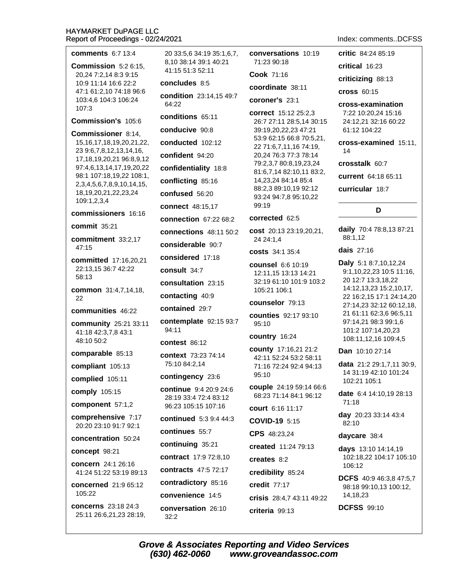| <b>comments</b> 6:7 13:4                                        | 20 33:5,6 34:19 35:1,6,7,                 | conversations 10:19                                | <b>critic</b> 84:24 85:19                           |
|-----------------------------------------------------------------|-------------------------------------------|----------------------------------------------------|-----------------------------------------------------|
| Commission 5:2 6:15,                                            | 8,10 38:14 39:1 40:21<br>41:15 51:3 52:11 | 71:23 90:18                                        | critical 16:23                                      |
| 20,24 7:2,14 8:3 9:15<br>10:9 11:14 16:6 22:2                   | concludes 8:5                             | Cook 71:16                                         | criticizing 88:13                                   |
| 47:1 61:2,10 74:18 96:6                                         | condition 23:14,15 49:7                   | coordinate 38:11                                   | <b>cross 60:15</b>                                  |
| 103:4,6 104:3 106:24<br>107:3                                   | 64:22                                     | coroner's 23:1                                     | cross-examination                                   |
| Commission's 105:6                                              | conditions 65:11                          | correct 15:12 25:2,3<br>26:7 27:11 28:5,14 30:15   | 7:22 10:20,24 15:16<br>24:12,21 32:16 60:22         |
| Commissioner 8:14,                                              | conducive 90:8                            | 39:19,20,22,23 47:21                               | 61:12 104:22                                        |
| 15, 16, 17, 18, 19, 20, 21, 22,                                 | conducted 102:12                          | 53:9 62:15 66:8 70:5,21,<br>22 71:6,7,11,16 74:19, | cross-examined 15:11,                               |
| 23 9:6,7,8,12,13,14,16,<br>17, 18, 19, 20, 21 96: 8, 9, 12      | confident 94:20                           | 20,24 76:3 77:3 78:14                              | 14                                                  |
| 97:4,6,13,14,17,19,20,22                                        | confidentiality 18:8                      | 79:2,3,7 80:8,19,23,24<br>81:6,7,14 82:10,11 83:2, | crosstalk 60:7                                      |
| 98:1 107:18,19,22 108:1,<br>2, 3, 4, 5, 6, 7, 8, 9, 10, 14, 15, | conflicting 85:16                         | 14,23,24 84:14 85:4                                | current 64:18 65:11                                 |
| 18, 19, 20, 21, 22, 23, 24                                      | confused 56:20                            | 88:2,3 89:10,19 92:12<br>93:24 94:7,8 95:10,22     | curricular 18:7                                     |
| 109:1,2,3,4                                                     | connect 48:15,17                          | 99:19                                              | D                                                   |
| commissioners 16:16                                             | <b>connection</b> 67:22 68:2              | corrected 62:5                                     |                                                     |
| commit 35:21                                                    | <b>connections</b> 48:11 50:2             | cost 20:13 23:19,20,21,                            | daily 70:4 78:8,13 87:21<br>88:1,12                 |
| commitment 33:2,17<br>47:15                                     | considerable 90:7                         | 24 24:1,4                                          | dais 27:16                                          |
| committed 17:16,20,21                                           | considered 17:18                          | <b>costs</b> 34:1 35:4                             |                                                     |
| 22:13,15 36:7 42:22                                             | consult 34:7                              | counsel 6:6 10:19<br>12:11,15 13:13 14:21          | Daly 5:1 8:7,10,12,24<br>9:1,10,22,23 10:5 11:16,   |
| 58:13                                                           | consultation 23:15                        | 32:19 61:10 101:9 103:2                            | 20 12:7 13:3,18,22<br>14:12,13,23 15:2,10,17,       |
| common 31:4,7,14,18,<br>22                                      | contacting 40:9                           | 105:21 106:1                                       | 22 16:2,15 17:1 24:14,20                            |
| communities 46:22                                               | contained 29:7                            | counselor 79:13                                    | 27:14,23 32:12 60:12,18,<br>21 61:11 62:3,6 96:5,11 |
| community 25:21 33:11                                           | contemplate 92:15 93:7                    | counties 92:17 93:10<br>95:10                      | 97:14,21 98:3 99:1,6                                |
| 41:18 42:3,7,8 43:1<br>48:10 50:2                               | 94:11                                     | country 16:24                                      | 101:2 107:14,20,23<br>108:11,12,16 109:4,5          |
|                                                                 | contest 86:12                             | county 17:16,21 21:2                               | Dan 10:10 27:14                                     |
| comparable 85:13<br>compliant 105:13                            | context 73:23 74:14<br>75:10 84:2,14      | 42:11 52:24 53:2 58:11                             | data 21:2 29:1,7,11 30:9,                           |
| complied 105:11                                                 | contingency 23:6                          | 71:16 72:24 92:4 94:13<br>95:10                    | 14 31:19 42:10 101:24                               |
|                                                                 | continue 9:4 20:9 24:6                    | couple 24:19 59:14 66:6                            | 102:21 105:1                                        |
| comply 105:15                                                   | 28:19 33:4 72:4 83:12                     | 68:23 71:14 84:1 96:12                             | date 6:4 14:10,19 28:13<br>71:18                    |
| component 57:1,2                                                | 96:23 105:15 107:16                       | court 6:16 11:17                                   | day 20:23 33:14 43:4                                |
| comprehensive 7:17<br>20:20 23:10 91:7 92:1                     | continued 5:3 9:4 44:3                    | <b>COVID-19 5:15</b>                               | 82:10                                               |
| concentration 50:24                                             | continues 55:7                            | CPS 48:23,24                                       | daycare 38:4                                        |
| concept 98:21                                                   | continuing 35:21                          | created 11:24 79:13                                | days 13:10 14:14,19                                 |
| concern 24:1 26:16                                              | contract 17:9 72:8,10                     | creates 8:2                                        | 102:18,22 104:17 105:10<br>106:12                   |
| 41:24 51:22 53:19 89:13                                         | <b>contracts</b> 47:5 72:17               | credibility 85:24                                  | <b>DCFS</b> 40:9 46:3,8 47:5,7                      |
| concerned 21:9 65:12                                            | contradictory 85:16                       | credit 77:17                                       | 98:18 99:10,13 100:12,                              |
| 105:22                                                          | convenience 14:5                          | crisis 28:4,7 43:11 49:22                          | 14,18,23                                            |
| <b>concerns</b> 23:18 24:3<br>25:11 26:6,21,23 28:19,           | conversation 26:10<br>32:2                | criteria 99:13                                     | <b>DCFSS</b> 99:10                                  |
|                                                                 |                                           |                                                    |                                                     |

Index: comments..DCFSS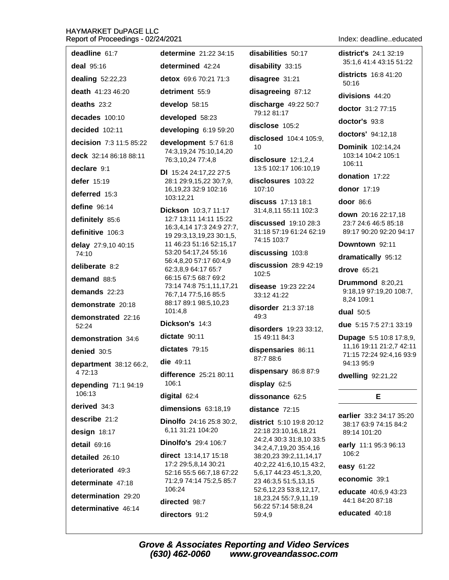| deadline 61:7                           | determine 21:22 34:15                                | disabilities 50:17                                      | <b>district's</b> 24:1 32:19                         |
|-----------------------------------------|------------------------------------------------------|---------------------------------------------------------|------------------------------------------------------|
| deal 95:16                              | determined 42:24                                     | disability 33:15                                        | 35:1,6 41:4 43:15 51:22                              |
| dealing 52:22,23                        | detox 69:6 70:21 71:3                                | disagree 31:21                                          | <b>districts</b> 16:8 41:20<br>50:16                 |
| death 41:23 46:20                       | detriment 55:9                                       | disagreeing 87:12                                       | divisions 44:20                                      |
| deaths 23:2                             | develop 58:15                                        | discharge 49:22 50:7                                    | doctor 31:2 77:15                                    |
| decades 100:10                          | developed 58:23                                      | 79:12 81:17                                             | doctor's 93:8                                        |
| decided 102:11                          | developing 6:19 59:20                                | disclose 105:2                                          | doctors' 94:12,18                                    |
| decision 7:3 11:5 85:22                 | development 5:7 61:8                                 | disclosed 104:4 105:9,<br>10                            | <b>Dominik 102:14,24</b>                             |
| deck 32:14 86:18 88:11                  | 74:3,19,24 75:10,14,20<br>76:3,10,24 77:4,8          | disclosure $12:1,2,4$                                   | 103:14 104:2 105:1                                   |
| declare 9:1                             | DI 15:24 24:17,22 27:5                               | 13:5 102:17 106:10,19                                   | 106:11                                               |
| defer 15:19                             | 28:1 29:9,15,22 30:7,9,<br>16, 19, 23 32: 9 102: 16  | disclosures 103:22                                      | donation 17:22<br>donor 17:19                        |
| deferred 15:3                           | 103:12,21                                            | 107:10                                                  |                                                      |
| define 96:14                            | Dickson 10:3,7 11:17                                 | discuss 17:13 18:1<br>31:4,8,11 55:11 102:3             | door 86:6                                            |
| definitely 85:6                         | 12:7 13:11 14:11 15:22<br>16:3,4,14 17:3 24:9 27:7,  | <b>discussed</b> 19:10 28:3                             | down 20:16 22:17,18<br>23:7 24:6 46:5 85:18          |
| definitive 106:3                        | 19 29:3,13,19,23 30:1,5,                             | 31:18 57:19 61:24 62:19<br>74:15 103:7                  | 89:17 90:20 92:20 94:17                              |
| delay 27:9,10 40:15<br>74:10            | 11 46:23 51:16 52:15,17<br>53:20 54:17,24 55:16      | discussing 103:8                                        | Downtown 92:11                                       |
|                                         | 56:4,8,20 57:17 60:4,9                               | discussion 28:9 42:19                                   | dramatically 95:12                                   |
| deliberate 8:2<br>demand 88:5           | 62:3,8,9 64:17 65:7<br>66:15 67:5 68:7 69:2          | 102:5                                                   | drove 65:21                                          |
| demands 22:23                           | 73:14 74:8 75:1,11,17,21                             | <b>disease</b> 19:23 22:24                              | Drummond 8:20,21<br>9:18,19 97:19,20 108:7,          |
|                                         | 76:7,14 77:5,16 85:5<br>88:17 89:1 98:5,10,23        | 33:12 41:22                                             | 8,24 109:1                                           |
| demonstrate 20:18<br>demonstrated 22:16 | 101:4,8                                              | disorder 21:3 37:18<br>49:3                             | dual 50:5                                            |
| 52:24                                   | Dickson's 14:3                                       | disorders 19:23 33:12,                                  | due 5:15 7:5 27:1 33:19                              |
| demonstration 34:6                      | dictate 90:11                                        | 15 49:11 84:3                                           | <b>Dupage 5:5 10:8 17:8,9,</b>                       |
| denied 30:5                             | dictates 79:15                                       | dispensaries 86:11                                      | 11,16 19:11 21:2,7 42:11<br>71:15 72:24 92:4,16 93:9 |
| department 38:12 66:2,                  | die 49:11                                            | 87:7 88:6                                               | 94:13 95:9                                           |
| 4 72:13                                 | difference 25:21 80:11                               | dispensary 86:8 87:9                                    | dwelling 92:21,22                                    |
| depending 71:1 94:19<br>106:13          | 106:1                                                | display 62:5                                            |                                                      |
| derived 34:3                            | digital 62:4                                         | dissonance 62:5                                         | Е                                                    |
| describe 21:2                           | dimensions 63:18,19                                  | distance 72:15                                          | earlier 33:2 34:17 35:20                             |
| design 18:17                            | Dinolfo 24:16 25:8 30:2,<br>6,11 31:21 104:20        | <b>district</b> 5:10 19:8 20:12<br>22:18 23:10,16,18,21 | 38:17 63:9 74:15 84:2<br>89:14 101:20                |
| detail 69:16                            | <b>Dinolfo's 29:4 106:7</b>                          | 24:2,4 30:3 31:8,10 33:5                                | early 11:1 95:3 96:13                                |
| detailed 26:10                          | direct 13:14,17 15:18                                | 34:2,4,7,19,20 35:4,16<br>38:20,23 39:2,11,14,17        | 106:2                                                |
| deteriorated 49:3                       | 17:2 29:5,8,14 30:21                                 | 40:2,22 41:6,10,15 43:2,                                | easy 61:22                                           |
| determinate 47:18                       | 52:16 55:5 66:7,18 67:22<br>71:2,9 74:14 75:2,5 85:7 | 5,6,17 44:23 45:1,3,20,<br>23 46:3,5 51:5,13,15         | economic 39:1                                        |
| determination 29:20                     | 106:24                                               | 52:6, 12, 23 53:8, 12, 17,                              | educate 40:6,9 43:23                                 |
| determinative 46:14                     | directed 98:7                                        | 18,23,24 55:7,9,11,19<br>56:22 57:14 58:8,24            | 44:1 84:20 87:18                                     |
|                                         | directors 91:2                                       | 59:4,9                                                  | educated 40:18                                       |

**Grove & Associates Reporting and Video Services**  $(630)$  462-0060 www.groveandassoc.com

#### Index: deadline..educated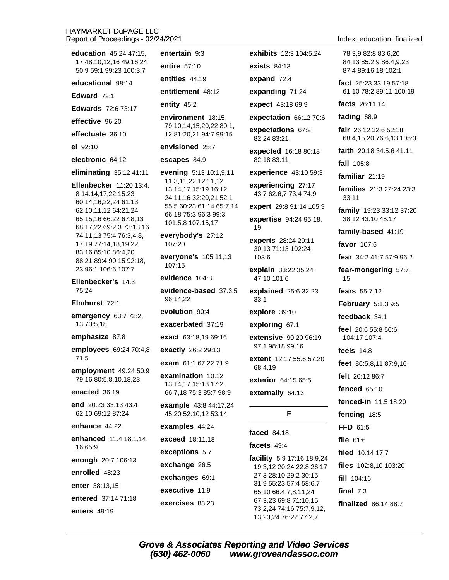| education 45:24 47:15,                                                 | entertain 9:3                                                         | exhibits 12:3 104:5,24                            | 78:3,9 82:8 83:6,20                               |  |
|------------------------------------------------------------------------|-----------------------------------------------------------------------|---------------------------------------------------|---------------------------------------------------|--|
| 17 48:10,12,16 49:16,24<br>50:9 59:1 99:23 100:3,7                     | entire 57:10                                                          | <b>exists 84:13</b>                               | 84:13 85:2,9 86:4,9,23<br>87:4 89:16,18 102:1     |  |
| educational 98:14                                                      | entities 44:19                                                        | expand $72:4$                                     | fact 25:23 33:19 57:18                            |  |
| Edward 72:1                                                            | entitlement 48:12                                                     | expanding 71:24                                   | 61:10 78:2 89:11 100:19                           |  |
| <b>Edwards</b> 72:6 73:17                                              | entity 45:2                                                           | expect 43:18 69:9                                 | facts 26:11,14                                    |  |
| effective 96:20                                                        | environment 18:15                                                     | expectation 66:12 70:6                            | fading 68:9                                       |  |
| effectuate 36:10                                                       | 79:10,14,15,20,22 80:1,<br>12 81:20,21 94:7 99:15                     | expectations 67:2<br>82:24 83:21                  | fair 26:12 32:6 52:18<br>68:4,15,20 76:6,13 105:3 |  |
| el 92:10                                                               | envisioned 25:7                                                       | expected 16:18 80:18                              | faith 20:18 34:5,6 41:11                          |  |
| electronic 64:12                                                       | escapes 84:9                                                          | 82:18 83:11                                       | fall 105:8                                        |  |
| eliminating $35:1241:11$                                               | evening 5:13 10:1,9,11                                                | experience 43:10 59:3                             | familiar 21:19                                    |  |
| Ellenbecker 11:20 13:4,<br>8 14:14,17,22 15:23                         | 11:3,11,22 12:11,12<br>13:14,17 15:19 16:12<br>24:11,16 32:20,21 52:1 | experiencing 27:17<br>43:7 62:6,7 73:4 74:9       | families 21:3 22:24 23:3<br>33:11                 |  |
| 60:14,16,22,24 61:13<br>62:10,11,12 64:21,24<br>65:15,16 66:22 67:8,13 | 55:5 60:23 61:14 65:7,14<br>66:18 75:3 96:3 99:3                      | expert 29:8 91:14 105:9<br>expertise 94:24 95:18, | family 19:23 33:12 37:20<br>38:12 43:10 45:17     |  |
| 68:17,22 69:2,3 73:13,16                                               | 101:5,8 107:15,17                                                     | 19                                                | family-based 41:19                                |  |
| 74:11,13 75:4 76:3,4,8,<br>17, 19 77: 14, 18, 19, 22                   | everybody's 27:12<br>107:20                                           | experts 28:24 29:11                               | favor 107:6                                       |  |
| 83:16 85:10 86:4,20<br>88:21 89:4 90:15 92:18,                         | everyone's 105:11,13                                                  | 30:13 71:13 102:24<br>103:6                       | <b>fear</b> $34:241:757:996:2$                    |  |
| 23 96:1 106:6 107:7                                                    | 107:15<br>evidence 104:3                                              | explain 33:22 35:24<br>47:10 101:6                | fear-mongering 57:7,<br>15                        |  |
| Ellenbecker's 14:3<br>75:24                                            | evidence-based 37:3,5                                                 | explained 25:6 32:23                              | fears 55:7,12                                     |  |
| Elmhurst 72:1                                                          | 96:14,22                                                              | 33:1                                              | February 5:1,39:5                                 |  |
| emergency 63:7 72:2,                                                   | evolution 90:4                                                        | explore 39:10                                     | feedback 34:1                                     |  |
| 13 73:5,18                                                             | exacerbated 37:19                                                     | exploring 67:1                                    | feel 20:6 55:8 56:6                               |  |
| emphasize 87:8                                                         | exact 63:18,19 69:16                                                  | <b>extensive</b> 90:20 96:19                      | 104:17 107:4                                      |  |
| employees 69:24 70:4,8                                                 | exactly 26:2 29:13                                                    | 97:1 98:18 99:16                                  | feels $14:8$                                      |  |
| 71:5                                                                   | exam 61:1 67:22 71:9                                                  | extent 12:17 55:6 57:20<br>68:4,19                | feet 86:5,8,11 87:9,16                            |  |
| employment 49:24 50:9<br>79:16 80:5,8,10,18,23                         | examination 10:12<br>13:14,17 15:18 17:2<br>66:7,18 75:3 85:7 98:9    | exterior 64:15 65:5                               | felt 20:12 86:7                                   |  |
| enacted 36:19                                                          |                                                                       | externally 64:13                                  | fenced 65:10                                      |  |
| end 20:23 33:13 43:4                                                   | <b>example</b> 43:8 44:17,24                                          |                                                   | fenced-in 11:5 18:20                              |  |
| 62:10 69:12 87:24                                                      | 45:20 52:10,12 53:14                                                  | F                                                 | fencing 18:5                                      |  |
| enhance 44:22                                                          | examples 44:24                                                        | faced 84:18                                       | FFD 61:5                                          |  |
| enhanced 11:4 18:1,14,<br>16 65:9                                      | exceed 18:11,18                                                       | facets 49:4                                       | file 61:6                                         |  |
|                                                                        | exceptions 5:7                                                        | facility 5:9 17:16 18:9,24                        | filed 10:14 17:7                                  |  |
| enough 20:7 106:13                                                     | exchange 26:5                                                         | 19:3,12 20:24 22:8 26:17                          | files 102:8,10 103:20                             |  |
| enrolled 48:23                                                         | exchanges 69:1                                                        | 27:3 28:10 29:2 30:15<br>31:9 55:23 57:4 58:6,7   | fill 104:16                                       |  |
| enter 38:13,15                                                         | executive 11:9                                                        | 65:10 66:4,7,8,11,24                              | final $7:3$                                       |  |
| entered 37:14 71:18                                                    | exercises 83:23                                                       | 67:3,23 69:8 71:10,15<br>73:2,24 74:16 75:7,9,12, | finalized 86:14 88:7                              |  |
| enters 49:19                                                           |                                                                       |                                                   |                                                   |  |

Index: education..finalized

**Grove & Associates Reporting and Video Services**  $(630)$  462-0060 www.groveandassoc.com

13,23,24 76:22 77:2,7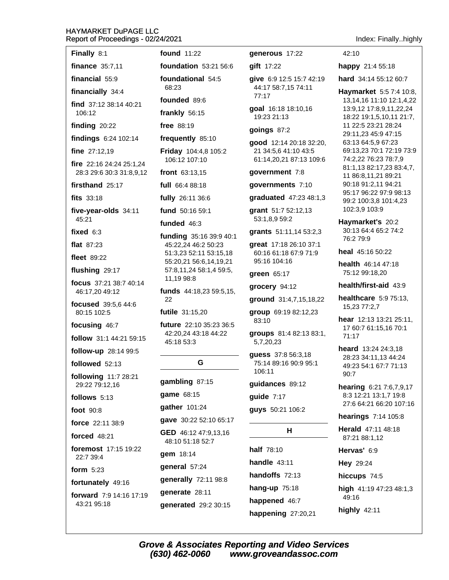| Finally 8:1       |
|-------------------|
| finance $35:7,11$ |
| financial $55:9$  |

financially 34:4

find 37:12 38:14 40:21  $106.12$ 

finding  $20:22$ 

findings 6:24 102:14

fine  $27:12.19$ 

fire 22:16 24:24 25:1,24 28:3 29:6 30:3 31:8,9,12

firsthand 25:17

fits 33:18

five-vear-olds 34:11 45:21

fixed  $6:3$ 

flat  $87:23$ 

**fleet** 89:22

flushing 29:17

focus 37:21 38:7 40:14 46:17.20 49:12

focused 39:5.6 44:6 80:15 102:5

focusing 46:7

follow 31:1 44:21 59:15

follow-up 28:14 99:5

followed 52:13

following 11:7 28:21 29:22 79:12.16

follows 5:13

foot  $90:8$ 

force 22:11 38:9

**forced** 48:21

foremost 17:15 19:22 22:7 39:4

form  $5:23$ 

fortunately 49:16

forward 7:9 14:16 17:19 43:21 95:18

**found** 11:22

foundation  $53:21.56:6$ foundational 54:5

68:23

founded 89:6

frankly 56:15

free 88:19

frequently 85:10

Friday 104:4,8 105:2 106:12 107:10

front  $63:13,15$ 

full 66:4 88:18

fully 26:11 36:6

fund 50:16 59:1

#### funded 46:3

funding 35:16 39:9 40:1 45:22,24 46:2 50:23 51:3,23 52:11 53:15,18 55:20,21 56:6,14,19,21 57:8,11,24 58:1,4 59:5, 11,19 98:8

funds 44:18,23 59:5,15, 22

futile 31:15,20

future 22:10 35:23 36:5 42:20.24 43:18 44:22 45:18 53:3

# G

gambling 87:15

game 68:15

gather 101:24

gave 30:22 52:10 65:17

GED 46:12 47:9,13,16 48:10 51:18 52:7

gem 18:14

general 57:24

generally 72:11 98:8 generate 28:11 generated 29:2 30:15 generous 17:22

gift 17:22

give 6:9 12:5 15:7 42:19 44:17 58:7,15 74:11 77:17

goal 16:18 18:10,16 19:23 21:13

goings  $87:2$ 

good 12:14 20:18 32:20, 21 34:5.6 41:10 43:5 61:14,20,21 87:13 109:6

government 7:8

governments 7:10

graduated 47:23 48:1,3

grant 51:7 52:12,13 53:1,8,9 59:2

grants 51:11,14 53:2,3

qreat 17:18 26:10 37:1 60:16 61:18 67:9 71:9 95:16 104:16

green 65:17

grocery 94:12

ground 31:4,7,15,18,22

group 69:19 82:12,23 83:10

groups 81:4 82:13 83:1, 5,7,20,23

guess 37:8 56:3,18 75:14 89:16 90:9 95:1 106:11

guidances 89:12

quide  $7:17$ 

**quys** 50:21 106:2

# н

half 78:10 handle  $43:11$ handoffs 72:13 hang-up  $75:18$ happened 46:7 happening 27:20,21 Index: Finally..highly

42:10

happy 21:4 55:18

hard 34:14 55:12 60:7

Haymarket 5:5 7:4 10:8, 13, 14, 16 11: 10 12: 1, 4, 22 13:9,12 17:8,9,11,22,24 18:22 19:1,5,10,11 21:7, 11 22:5 23:21 28:24 29:11,23 45:9 47:15 63:13 64:5,9 67:23 69:13,23 70:1 72:19 73:9 74:2.22 76:23 78:7.9 81:1,13 82:17,23 83:4,7, 11 86:8,11,21 89:21 90:18 91:2,11 94:21 95:17 96:22 97:9 98:13 99:2 100:3,8 101:4,23 102:3,9 103:9

Haymarket's 20:2 30:13 64:4 65:2 74:2 76:2 79:9

heal 45:16 50:22

health 46:14 47:18 75:12 99:18.20

health/first-aid 43:9

healthcare  $5:975:13$ . 15,23 77:2,7

hear 12:13 13:21 25:11. 17 60:7 61:15,16 70:1  $71:17$ 

heard 13:24 24:3,18 28:23 34:11,13 44:24 49:23 54:1 67:7 71:13  $90.7$ 

hearing 6:21 7:6,7,9,17 8:3 12:21 13:1,7 19:8 27:6 64:21 66:20 107:16

hearings  $7:14$  105:8

Herald 47:11 48:18 87:21 88:1.12

Hervas' 6:9

Hey 29:24

hiccups 74:5

high  $41:1947:2348:1.3$ 49:16

highly  $42:11$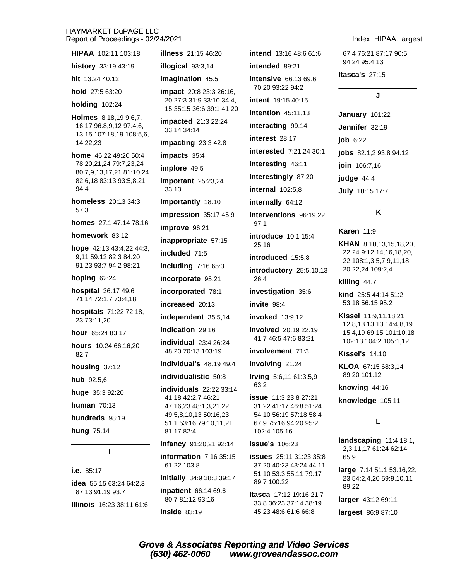# $\frac{1}{2}$

| Report of Proceedings - 02/24/2021                 |                                                     |                                                                           | Index: HIPAAlarge:                                 |
|----------------------------------------------------|-----------------------------------------------------|---------------------------------------------------------------------------|----------------------------------------------------|
| HIPAA 102:11 103:18                                | <b>illness</b> 21:15 46:20                          | intend 13:16 48:6 61:6                                                    | 67:4 76:21 87:17 90:5<br>94:24 95:4,13             |
| history 33:19 43:19                                | illogical 93:3,14                                   | intended 89:21                                                            | Itasca's $27:15$                                   |
| hit 13:24 40:12                                    | imagination 45:5                                    | intensive 66:13 69:6<br>70:20 93:22 94:2                                  |                                                    |
| hold 27:5 63:20                                    | impact 20:8 23:3 26:16,<br>20 27:3 31:9 33:10 34:4, | intent 19:15 40:15                                                        | J                                                  |
| <b>holding 102:24</b>                              | 15 35:15 36:6 39:1 41:20                            | <b>intention</b> 45:11,13                                                 |                                                    |
| Holmes 8:18,19 9:6,7,<br>16,17 96:8,9,12 97:4,6,   | impacted 21:3 22:24<br>33:14 34:14                  | interacting 99:14                                                         | January 101:22                                     |
| 13,15 107:18,19 108:5,6,                           |                                                     | interest 28:17                                                            | Jennifer 32:19                                     |
| 14,22,23                                           | impacting $23:342:8$                                | interested 7:21,24 30:1                                                   | <b>job</b> 6:22                                    |
| home 46:22 49:20 50:4                              | impacts 35:4                                        |                                                                           | <b>jobs</b> 82:1,2 93:8 94:12                      |
| 78:20,21,24 79:7,23,24<br>80:7,9,13,17,21 81:10,24 | implore 49:5                                        | interesting 46:11                                                         | join 106:7,16                                      |
| 82:6,18 83:13 93:5,8,21                            | important 25:23,24                                  | Interestingly 87:20                                                       | judge 44:4                                         |
| 94:4                                               | 33:13                                               | <b>internal</b> 102:5,8                                                   | <b>July 10:15 17:7</b>                             |
| <b>homeless</b> 20:13 34:3<br>57:3                 | importantly 18:10                                   | internally 64:12                                                          |                                                    |
| homes 27:1 47:14 78:16                             | impression 35:17 45:9                               | interventions 96:19,22<br>97:1                                            | Κ                                                  |
| homework 83:12                                     | improve 96:21                                       | <b>introduce</b> 10:1 15:4                                                | <b>Karen</b> $11:9$                                |
| hope 42:13 43:4,22 44:3,                           | inappropriate 57:15                                 | 25:16                                                                     | <b>KHAN</b> 8:10,13,15,18,20,                      |
| 9,11 59:12 82:3 84:20                              | included 71:5                                       | introduced 15:5,8<br>introductory 25:5,10,13                              | 22,24 9:12,14,16,18,20,<br>22 108:1,3,5,7,9,11,18, |
| 91:23 93:7 94:2 98:21                              | including 7:16 65:3                                 |                                                                           | 20,22,24 109:2,4                                   |
| hoping 62:24                                       | incorporate 95:21                                   | 26:4                                                                      | killing 44:7                                       |
| hospital 36:17 49:6                                | incorporated 78:1                                   | investigation 35:6                                                        | <b>kind</b> $25:544:1451:2$                        |
| 71:14 72:1,7 73:4,18                               | increased 20:13                                     | invite 98:4                                                               | 53:18 56:15 95:2                                   |
| hospitals 71:22 72:18,<br>23 73:11,20              | independent 35:5,14                                 | <b>invoked</b> 13:9,12                                                    | Kissel 11:9,11,18,21<br>12:8,13 13:13 14:4,8,19    |
| hour 65:24 83:17                                   | indication 29:16                                    | involved 20:19 22:19                                                      | 15:4,19 69:15 101:10,18                            |
| hours 10:24 66:16,20                               | $individual$ 23:4 26:24                             | 41:7 46:5 47:6 83:21                                                      | 102:13 104:2 105:1,12                              |
| 82:7                                               | 48:20 70:13 103:19                                  | involvement 71:3                                                          | <b>Kissel's 14:10</b>                              |
| housing 37:12                                      | individual's 48:19 49:4                             | involving 21:24                                                           | KLOA 67:15 68:3,14                                 |
| hub 92:5,6                                         | individualistic 50:8                                | Irving 5:6,11 61:3,5,9<br>63:2                                            | 89:20 101:12                                       |
| huge 35:3 92:20                                    | individuals 22:22 33:14<br>41:18 42:2,7 46:21       | <b>issue</b> 11:3 23:8 27:21                                              | knowing 44:16                                      |
| human $70:13$                                      | 47:16,23 48:1,3,21,22                               | 31:22 41:17 46:8 51:24<br>54:10 56:19 57:18 58:4<br>67:9 75:16 94:20 95:2 | knowledge 105:11                                   |
| hundreds 98:19                                     | 49:5,8,10,13 50:16,23<br>51:1 53:16 79:10,11,21     |                                                                           | L                                                  |
| hung 75:14                                         | 81:17 82:4                                          | 102:4 105:16                                                              |                                                    |
|                                                    | infancy 91:20,21 92:14                              | <b>issue's</b> 106:23                                                     | landscaping 11:4 18:1,                             |
| I                                                  | information $7:1635:15$                             | <b>issues</b> 25:11 31:23 35:8                                            | 2,3,11,17 61:24 62:14<br>65:9                      |
| i.e. 85:17                                         | 61:22 103:8                                         | 37:20 40:23 43:24 44:11                                                   | large 7:14 51:1 53:16,22,                          |
| idea 55:15 63:24 64:2,3                            | initially 34:9 38:3 39:17                           | 51:10 53:3 55:11 79:17<br>89:7 100:22                                     | 23 54:2,4,20 59:9,10,11                            |
| 87:13 91:19 93:7                                   | inpatient 66:14 69:6<br>80:7 81:12 93:16            | <b>Itasca</b> 17:12 19:16 21:7<br>22.9 26.22 27.11 29.10                  | 89:22<br>larger 43:12 69:11                        |

**Illinois** 16:23 38:11 61:6

**inside 83:19** 

largest 86:9 87:10

33:8 36:23 37:14 38:19

45:23 48:6 61:6 66:8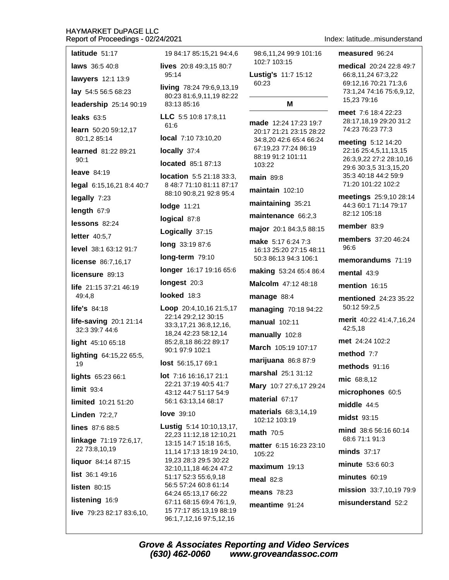| latitude 51:17                            | 19 84:17 85:15,21 94:4,6                                                     |  |  |
|-------------------------------------------|------------------------------------------------------------------------------|--|--|
| <b>laws</b> 36:5 40:8                     | lives 20:8 49:3,15 80:7                                                      |  |  |
| lawyers 12:1 13:9                         | 95:14                                                                        |  |  |
| lay 54:5 56:5 68:23                       | living 78:24 79:6,9,13,19<br>80:23 81:6,9,11,19 82:22                        |  |  |
| leadership 25:14 90:19                    | 83:13 85:16                                                                  |  |  |
| leaks $63:5$                              | LLC 5:5 10:8 17:8,11                                                         |  |  |
| learn 50:20 59:12,17<br>80:1,2 85:14      | 61:6<br>local 7:10 73:10,20                                                  |  |  |
| <b>learned</b> 81:22 89:21                | locally 37:4                                                                 |  |  |
| 90:1                                      | located 85:1 87:13                                                           |  |  |
| leave $84:19$                             | location 5:5 21:18 33:3,                                                     |  |  |
| legal 6:15,16,21 8:4 40:7                 | 8 48:7 71:10 81:11 87:17                                                     |  |  |
| legally 7:23                              | 88:10 90:8,21 92:8 95:4                                                      |  |  |
| length 67:9                               | lodge 11:21                                                                  |  |  |
| lessons 82:24                             | logical 87:8                                                                 |  |  |
| letter 40:5,7                             | Logically 37:15                                                              |  |  |
| <b>level</b> 38:1 63:12 91:7              | long 33:19 87:6                                                              |  |  |
| license 86:7,16,17                        | long-term 79:10                                                              |  |  |
| licensure 89:13                           | longer 16:17 19:16 65:6                                                      |  |  |
| life 21:15 37:21 46:19                    | longest 20:3                                                                 |  |  |
| 49:4,8                                    | looked 18:3                                                                  |  |  |
| life's 84:18                              | Loop 20:4,10,16 21:5,17<br>22:14 29:2,12 30:15                               |  |  |
| life-saving $20:121:14$<br>32:3 39:7 44:6 | 33:3,17,21 36:8,12,16,<br>18,24 42:23 58:12,14                               |  |  |
| light 45:10 65:18                         | 85:2,8,18 86:22 89:17                                                        |  |  |
| lighting 64:15,22 65:5,<br>19             | 90:1 97:9 102:1<br><b>lost</b> $56:15,1769:1$                                |  |  |
| lights 65:23 66:1                         | lot 7:16 16:16,17 21:1                                                       |  |  |
| limit 93:4                                | 22:21 37:19 40:5 41:7<br>43:12 44:7 51:17 54:9                               |  |  |
| limited 10:21 51:20                       | 56:1 63:13,14 68:17                                                          |  |  |
| <b>Linden 72:2,7</b>                      | <b>love</b> 39:10                                                            |  |  |
| lines 87:6 88:5                           | Lustig 5:14 10:10,13,17,                                                     |  |  |
| linkage 71:19 72:6,17,<br>22 73:8,10,19   | 22,23 11:12,18 12:10,21<br>13:15 14:7 15:18 16:5,<br>11,14 17:13 18:19 24:10 |  |  |
| liquor 84:14 87:15                        | 19,23 28:3 29:5 30:22                                                        |  |  |
| <b>list</b> $36:149:16$                   | 32:10,11,18 46:24 47:2<br>51:17 52:3 55:6,9,18                               |  |  |
| <b>listen</b> 80:15                       | 56:5 57:24 60:8 61:14                                                        |  |  |
| listening 16:9                            | 64:24 65:13,17 66:22<br>67:11 68:15 69:4 76:1,9,                             |  |  |
| live 79:23 82:17 83:6,10,                 | 15 77:17 85:13,19 88:19<br>96:1,7,12,16 97:5,12,16                           |  |  |

Index: latitude..misunderstand

102:7 103:15

M

60:23

103:22

main 89:8

maintain 102:10

manage 88:4

manual 102:11

manually 102:8

material 67:17

102:12 103:19

 $maximum$  19:13

**math 70:5** 

105:22

meal 82:8

means 78:23

meantime 91:24

measured 96:24 98:6.11.24 99:9 101:16 medical 20:24 22:8 49:7 Lustig's 11:7 15:12 66:8,11,24 67:3,22 69:12,16 70:21 71:3,6 73:1,24 74:16 75:6,9,12, 15,23 79:16 meet 7:6 18:4 22:23 28:17,18,19 29:20 31:2 made 12:24 17:23 19:7 74:23 76:23 77:3 20:17 21:21 23:15 28:22 34:8,20 42:6 65:4 66:24 meeting 5:12 14:20 67:19,23 77:24 86:19 22:16 25:4,5,11,13,15 88:19 91:2 101:11 26:3,9,22 27:2 28:10,16 29:6 30:3,5 31:3,15,20 35:3 40:18 44:2 59:9 71:20 101:22 102:2 meetings 25:9,10 28:14 maintaining 35:21 44:3 60:1 71:14 79:17 82:12 105:18 maintenance 66:2,3 member 83:9 major 20:1 84:3,5 88:15 members 37:20 46:24 make 5:17 6:24 7:3 96:6 16:13 25:20 27:15 48:11 50:3 86:13 94:3 106:1 memorandums 71:19 making 53:24 65:4 86:4 mental  $43:9$ Malcolm 47:12 48:18 mention 16:15 mentioned 24:23 35:22 50:12 59:2,5 managing 70:18 94:22 merit 40:22 41:4,7,16,24 42:5.18 met 24:24 102:2 March 105:19 107:17 method 7:7 marijuana 86:8 87:9 methods 91:16 marshal 25:1 31:12 mic 68:8,12 Mary 10:7 27:6,17 29:24 microphones 60:5 middle 44:5 materials 68:3,14,19 midst 93:15 mind 38:6 56:16 60:14 68:6 71:1 91:3 matter 6:15 16:23 23:10 minds 37:17 minute 53:6 60:3  $minutes$  60:19 mission 33:7,10,19 79:9 misunderstand 52:2

**Grove & Associates Reporting and Video Services** (630) 462-0060 www.groveandassoc.com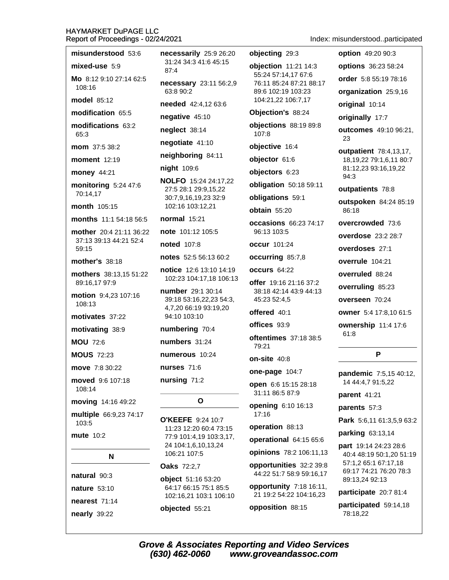misunderstood 53:6

| mixed-use 5:9                                     | 31:24 34:3 41:6 45:15<br>87:4                       | objection 11:21 14:3                             | options 36:23 58:24                                     |
|---------------------------------------------------|-----------------------------------------------------|--------------------------------------------------|---------------------------------------------------------|
| Mo 8:12 9:10 27:14 62:5<br>108:16                 | necessary 23:11 56:2,9                              | 55:24 57:14,17 67:6<br>76:11 85:24 87:21 88:17   | order 5:8 55:19 78:16                                   |
| <b>model 85:12</b>                                | 63:8 90:2                                           | 89:6 102:19 103:23<br>104:21,22 106:7,17         | organization 25:9,16                                    |
| modification 65:5                                 | needed 42:4,12 63:6                                 | Objection's 88:24                                | original 10:14                                          |
| modifications 63:2                                | negative 45:10                                      | objections 88:19 89:8                            | originally 17:7                                         |
| 65:3                                              | neglect 38:14                                       | 107:8                                            | outcomes 49:10 96:21,                                   |
| mom 37:5 38:2                                     | negotiate 41:10                                     | objective 16:4                                   | 23                                                      |
| <b>moment</b> 12:19                               | neighboring 84:11                                   | objector 61:6                                    | outpatient 78:4,13,17,<br>18, 19, 22 79: 1, 6, 11 80: 7 |
| money 44:21                                       | night 109:6                                         | objectors 6:23                                   | 81:12,23 93:16,19,22<br>94:3                            |
| monitoring 5:24 47:6                              | <b>NOLFO</b> 15:24 24:17,22<br>27:5 28:1 29:9,15,22 | obligation 50:18 59:11                           | outpatients 78:8                                        |
| 70:14,17                                          | 30:7,9,16,19,23 32:9                                | obligations 59:1                                 | outspoken 84:24 85:19                                   |
| <b>month</b> 105:15                               | 102:16 103:12,21                                    | obtain 55:20                                     | 86:18                                                   |
| months 11:1 54:18 56:5                            | <b>normal</b> 15:21                                 | <b>occasions</b> 66:23 74:17                     | overcrowded 73:6                                        |
| mother 20:4 21:11 36:22<br>37:13 39:13 44:21 52:4 | note 101:12 105:5                                   | 96:13 103:5                                      | <b>overdose</b> 23:2 28:7                               |
| 59:15                                             | <b>noted</b> 107:8                                  | <b>occur</b> 101:24                              | overdoses 27:1                                          |
| <b>mother's 38:18</b>                             | notes 52:5 56:13 60:2                               | occurring 85:7,8                                 | overrule 104:21                                         |
| mothers 38:13,15 51:22                            | notice 12:6 13:10 14:19<br>102:23 104:17,18 106:13  | <b>occurs</b> 64:22                              | overruled 88:24                                         |
| 89:16,17 97:9                                     | number 29:1 30:14                                   | offer 19:16 21:16 37:2<br>38:18 42:14 43:9 44:13 | overruling 85:23                                        |
| motion 9:4,23 107:16<br>108:13                    | 39:18 53:16,22,23 54:3,                             | 45:23 52:4,5                                     | overseen 70:24                                          |
| motivates 37:22                                   | 4,7,20 66:19 93:19,20<br>94:10 103:10               | offered 40:1                                     | owner 5:4 17:8,10 61:5                                  |
| motivating 38:9                                   | numbering 70:4                                      | offices 93:9                                     | ownership 11:4 17:6                                     |
| <b>MOU 72:6</b>                                   | numbers 31:24                                       | <b>oftentimes</b> 37:18 38:5                     | 61:8                                                    |
| <b>MOUS 72:23</b>                                 | numerous 10:24                                      | 79:21                                            | P                                                       |
| move 7:8 30:22                                    | nurses $71:6$                                       | on-site 40:8                                     |                                                         |
| moved 9:6 107:18                                  | nursing 71:2                                        | one-page 104:7                                   | pandemic 7:5,15 40:12,                                  |
| 108:14                                            |                                                     | open 6:6 15:15 28:18<br>31:11 86:5 87:9          | 14 44:4,7 91:5,22                                       |
| moving 14:16 49:22                                | O                                                   | opening 6:10 16:13                               | parent 41:21                                            |
| multiple 66:9,23 74:17                            |                                                     | 17:16                                            | parents 57:3                                            |
| 103:5                                             | <b>O'KEEFE</b> 9:24 10:7<br>11:23 12:20 60:4 73:15  | operation 88:13                                  | Park 5:6,11 61:3,5,9 63:2                               |
| <b>mute 10:2</b>                                  | 77:9 101:4,19 103:3,17,                             | operational 64:15 65:6                           | parking 63:13,14                                        |
|                                                   | 24 104:1,6,10,13,24<br>106:21 107:5                 | opinions 78:2 106:11,13                          | part 19:14 24:23 28:6<br>40:4 48:19 50:1,20 51:19       |
| N                                                 | <b>Oaks</b> 72:2,7                                  | opportunities 32:2 39:8                          | 57:1,2 65:1 67:17,18                                    |
| natural 90:3                                      | object 51:16 53:20                                  | 44:22 51:7 58:9 59:16,17                         | 69:17 74:21 76:20 78:3<br>89:13,24 92:13                |
| nature 53:10                                      | 64:17 66:15 75:1 85:5                               | opportunity 7:18 16:11,                          | participate 20:7 81:4                                   |
| nearest 71:14                                     | 102:16,21 103:1 106:10                              | 21 19:2 54:22 104:16,23                          | participated 59:14,18                                   |
| nearly 39:22                                      | objected 55:21                                      | opposition 88:15                                 | 78:18,22                                                |

necessarily 25:9 26:20

Index: misunderstood..participated

option 49:20 90:3

objecting 29:3

**Grove & Associates Reporting and Video Services**  $(630)$  462-0060 www.groveandassoc.com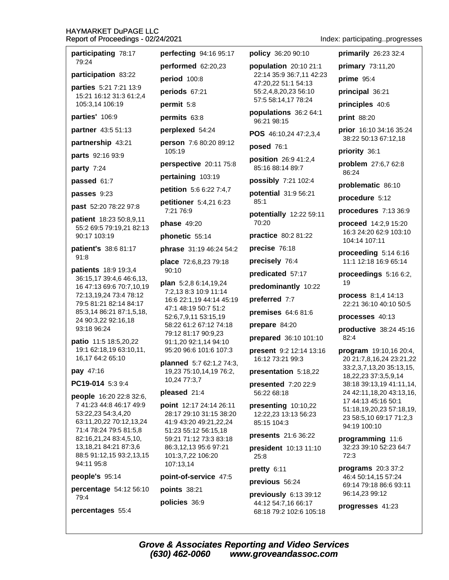participating 78:17 79:24 performed 62:20.23 participation 83:22 period 100:8 parties 5:21 7:21 13:9 periods 67:21 15:21 16:12 31:3 61:2,4 105:3,14 106:19 permit 5:8 parties' 106:9 permits 63:8 partner 43:5 51:13 perplexed 54:24 partnership 43:21  $105:19$ parts 92:16 93:9 party 7:24 pertaining 103:19 passed 61:7 passes 9:23 past 52:20 78:22 97:8 7:21 76:9 **patient** 18:23 50:8,9,11 **phase** 49:20 55:2 69:5 79:19,21 82:13 90:17 103:19 phonetic 55:14 patient's 38:6 81:17 91:8 patients 18:9 19:3,4 90:10 36:15,17 39:4,6 46:6,13, 16 47:13 69:6 70:7,10,19 72:13,19,24 73:4 78:12 79:5 81:21 82:14 84:17 47:1 48:19 50:7 51:2 85:3,14 86:21 87:1,5,18, 52:6,7,9,11 53:15,19 24 90:3,22 92:16,18 93:18 96:24 79:12 81:17 90:9,23 patio 11:5 18:5,20,22 19:1 62:18,19 63:10,11, 16,17 64:2 65:10 pay 47:16

PC19-014 5:3 9:4

people 16:20 22:8 32:6. 7 41:23 44:8 46:17 49:9 53:22,23 54:3,4,20 63:11.20.22 70:12.13.24 71:4 78:24 79:5 81:5,8 82:16,21,24 83:4,5,10, 13, 18, 21 84: 21 87: 3, 6 88:5 91:12,15 93:2,13,15 94:11 95:8

people's 95:14

percentage 54:12 56:10 79:4

percentages 55:4

perfecting 94:16 95:17 person 7:6 80:20 89:12 perspective 20:11 75:8 petition 5:6 6:22 7:4,7 petitioner 5:4,21 6:23 phrase 31:19 46:24 54:2 place 72:6,8,23 79:18 **plan** 5:2,8 6:14,19,24 7:2.13 8:3 10:9 11:14 16:6 22:1.19 44:14 45:19 58:22 61:2 67:12 74:18 91:1,20 92:1,14 94:10 95:20 96:6 101:6 107:3 planned 5:7 62:1,2 74:3, 19,23 75:10,14,19 76:2, 10.24 77:3.7 pleased 21:4 point 12:17 24:14 26:11 28:17 29:10 31:15 38:20

41:9 43:20 49:21,22,24

59:21 71:12 73:3 83:18

86:3,12,13 95:6 97:21

point-of-service 47:5

101:3,7,22 106:20

107:13,14

points 38:21

policies 36:9

51:23 55:12 56:15,18

policy 36:20 90:10

population 20:10 21:1 22:14 35:9 36:7,11 42:23 47:20,22 51:1 54:13 55:2,4,8,20,23 56:10 57:5 58:14,17 78:24

populations 36:2 64:1 96:21 98:15

POS 46:10,24 47:2,3,4

posed 76:1

position 26:9 41:2,4 85:16 88:14 89:7

possibly 7:21 102:4

potential 31:9 56:21  $85:1$ 

potentially 12:22 59:11 70:20

practice 80:2 81:22

precise 76:18

precisely 76:4

predicated 57:17

predominantly 10:22

preferred 7:7

premises 64:6 81:6

prepare 84:20

prepared 36:10 101:10

present 9:2 12:14 13:16 16:12 73:21 99:3

presentation 5:18,22

presented 7:20 22:9 56:22 68:18

presenting 10:10,22 12:22.23 13:13 56:23 85:15 104:3

presents 21:6 36:22

president 10:13 11:10 25:8

pretty  $6:11$ 

previous 56:24

previously 6:13 39:12 44:12 54:7,16 66:17 68:18 79:2 102:6 105:18

Index: participating..progresses

primarily  $26:233:2:4$ 

primary 73:11,20 prime  $95:4$ principal 36:21 principles 40:6 print 88:20

prior 16:10 34:16 35:24 38:22 50:13 67:12,18

priority 36:1

problem 27:6,7 62:8  $86.24$ 

problematic 86:10

procedure 5:12

procedures 7:13 36:9

**proceed**  $14:2,9$  15:20 16:3 24:20 62:9 103:10 104:14 107:11

proceeding  $5:146:16$ 11:1 12:18 16:9 65:14

proceedings  $5:166:2$ , 19

process 8:1,4 14:13 22:21 36:10 40:10 50:5

processes 40:13

productive 38:24 45:16  $82:4$ 

program 19:10,16 20:4, 20 21:7,8,16,24 23:21,22 33:2,3,7,13,20 35:13,15, 18,22,23 37:3,5,9,14 38:18 39:13,19 41:11,14, 24 42:11.18.20 43:13.16. 17 44:13 45:16 50:1 51:18,19,20,23 57:18,19, 23 58:5,10 69:17 71:2,3 94:19 100:10

programming 11:6 32:23 39:10 52:23 64:7  $72:3$ 

programs  $20:337:2$ 46:4 50:14,15 57:24 69:14 79:18 86:6 93:11 96:14,23 99:12

progresses 41:23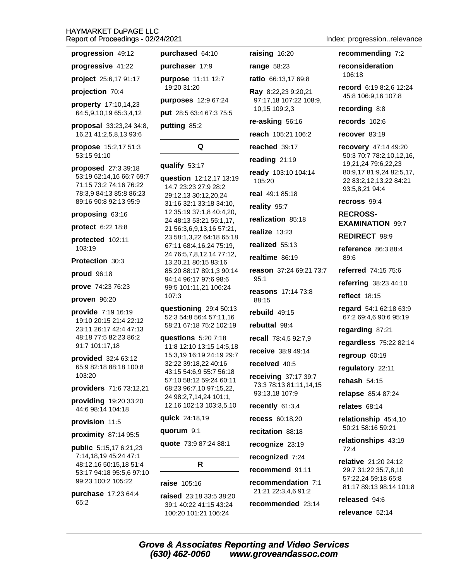| progression 49:12                                                                                                             | purchased                                                              |
|-------------------------------------------------------------------------------------------------------------------------------|------------------------------------------------------------------------|
| progressive 41:22                                                                                                             | purchaser                                                              |
| project 25:6,17 91:17                                                                                                         | purpose 11                                                             |
| projection 70:4                                                                                                               | 19:20 31:20                                                            |
| property 17:10,14,23                                                                                                          | purposes of                                                            |
| 64:5,9,10,19 65:3,4,12                                                                                                        | put 28:5 63:                                                           |
| proposal 33:23,24 34:8,<br>16,21 41:2,5,8,13 93:6                                                                             | putting 85:                                                            |
| propose 15:2,17 51:3<br>53:15 91:10                                                                                           |                                                                        |
| proposed 27:3 39:18<br>53:19 62:14,16 66:7 69:7<br>71:15 73:2 74:16 76:22<br>78:3,9 84:13 85:8 86:23<br>89:16 90:8 92:13 95:9 | qualify 53:1<br>question 1<br>14:7 23:23:<br>29:12,13 30<br>31:16 32:1 |
| proposing 63:16                                                                                                               | 12 35:19 37<br>24 48:13 53                                             |
| protect 6:22 18:8                                                                                                             | 21 56:3,6,9,                                                           |
| protected 102:11<br>103:19                                                                                                    | 23 58:1,3,22<br>67:11 68:4,<br>24 76:5,7,8,                            |
| Protection 30:3                                                                                                               | 13,20,2180                                                             |
| proud 96:18                                                                                                                   | 85:20 88:17<br>94:14 96:17                                             |
| prove 74:23 76:23                                                                                                             | 99:5 101:11                                                            |
| proven 96:20                                                                                                                  | 107:3                                                                  |
| provide 7:19 16:19<br>19:10 20:15 21:4 22:12<br>23:11 26:17 42:4 47:13<br>48:18 77:5 82:23 86:2<br>91:7 101:17,18             | questioning<br>52:3 54:8 5<br>58:21 67:18<br>questions<br>11:8 12:10   |
| provided 32:4 63:12<br>65:9 82:18 88:18 100:8<br>103:20                                                                       | 15:3,19 16:<br>32:22 39:18<br>43:15 54:6,<br>57:10 58:12               |
| providers 71:6 73:12,21                                                                                                       | 68:23 96:7,                                                            |
| providing 19:20 33:20<br>44:6 98:14 104:18                                                                                    | 24 98:2,7,14<br>12,16 102:1                                            |
| provision 11:5                                                                                                                | <b>quick</b> 24:18                                                     |
| proximity 87:14 95:5                                                                                                          | quorum 9:1                                                             |
| public 5:15,17 6:21,23<br>7:14,18,19 45:24 47:1                                                                               | quote 73:9                                                             |
| 48:12,16 50:15,18 51:4                                                                                                        |                                                                        |
| 53:17 94:18 95:5,6 97:10<br>99:23 100:2 105:22                                                                                | raise 105:10                                                           |
| <b>purchase</b> 17:23 64:4                                                                                                    | raised 23:1                                                            |
| 65:2                                                                                                                          | 39:1 40:22 4<br>100:20 101:                                            |
|                                                                                                                               | Grove & Asso                                                           |

 $17:9$ :11 12:7 12:9 67:24  $467:375:5$  $\overline{2}$ Q 17 2:12,17 13:19 27:9 28:2 :12.20.24 33:18 34:10,  $'$ :1,8 40:4,20, 3:21 55:1,17, 13,16 57:21, 2 64:18 65:18

64:10

raising 16:20

range 58:23

ratio 66:13,17 69:8

Ray 8:22,23 9:20,21

10,15 109:2,3

re-asking 56:16

reached 39:17

reading 21:19

real 49:1 85:18

realization 85:18

reality 95:7

realize 13:23

realized 55:13

realtime 86:19

 $95:1$ 

88:15

rebuild 49:15

rebuttal 98:4

received 40:5

93:13,18 107:9

recently 61:3,4

recess 60:18,20

recitation 88:18

recognize 23:19

recognized 7:24

recommend 91:11

recommendation 7:1

21:21 22:3,4,6 91:2

recommended 23:14

reason 37:24 69:21 73:7

**reasons** 17:14 73:8

recall 78:4,5 92:7,9

receive 38:9 49:14

**receiving 37:17 39:7** 

73:3 78:13 81:11,14,15

 $105:20$ 

reach 105:21 106:2

ready 103:10 104:14

97:17,18 107:22 108:9,

16,24 75:19, ,12,14 77:12, ):15 83:16 89:1,3 90:14 97:6 98:6 ,21 106:24

 $929:450:13$ 6:4 57:11,16 375:2102:19

5:20 7:18 13:15 14:5,18 19 24:19 29:7 3,22 40:16 9 55:7 56:18 2 59:24 60:11 10 97:15,22, 4,24 101:1, 3 103:3,5,10

3,19

1

87:24 88:1

# R

#### 6

8 33:5 38:20 41:15 43:24 :21 106:24

Index: progression..relevance

#### recommending 7:2

reconsideration 106:18

record 6:19 8:2,6 12:24 45:8 106:9,16 107:8

#### recording 8:8

records 102:6

#### recover 83:19

recovery 47:14 49:20 50:3 70:7 78:2,10,12,16, 19,21,24 79:6,22,23 80:9,17 81:9,24 82:5,17, 22 83:2,12,13,22 84:21 93:5,8,21 94:4

recross 99:4

**RECROSS-EXAMINATION 99:7** 

**REDIRECT 98:9** 

reference 86:3 88:4 89:6

referred 74:15 75:6

referring  $38:2344:10$ 

**reflect** 18:15

regard 54:1 62:18 63:9 67:2 69:4,6 90:6 95:19

regarding 87:21

regardless 75:22 82:14

regroup 60:19

regulatory 22:11

rehash 54:15

relapse 85:4 87:24

relates 68:14

relationship 45:4,10 50:21 58:16 59:21

relationships 43:19  $72:4$ 

**relative** 21:20 24:12 29:7 31:22 35:7.8.10 57:22,24 59:18 65:8 81:17 89:13 98:14 101:8

released 94:6

relevance 52:14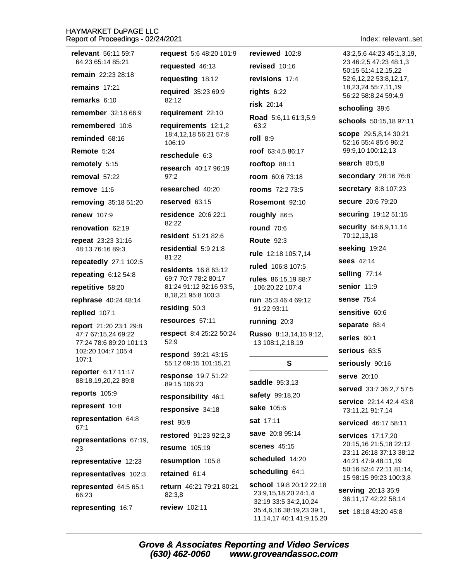| <b>relevant</b> 56:11 59:7                    | request 5:6 48:20 101:9                       | reviewed 102:8                                                           | 43:2,5,6 44:23 45:1,3,19,                          |
|-----------------------------------------------|-----------------------------------------------|--------------------------------------------------------------------------|----------------------------------------------------|
| 64:23 65:14 85:21                             | requested 46:13                               | revised 10:16                                                            | 23 46:2,5 47:23 48:1,3<br>50:15 51:4,12,15,22      |
| remain 22:23 28:18                            | requesting 18:12                              | revisions 17:4                                                           | 52:6,12,22 53:8,12,17,                             |
| remains 17:21                                 | required 35:23 69:9                           | rights $6:22$                                                            | 18,23,24 55:7,11,19<br>56:22 58:8,24 59:4,9        |
| remarks 6:10                                  | 82:12                                         | risk 20:14                                                               | schooling 39:6                                     |
| remember 32:18 66:9                           | requirement 22:10                             | Road 5:6,11 61:3,5,9                                                     | schools 50:15,18 97:11                             |
| remembered 10:6                               | requirements 12:1,2<br>18:4,12,18 56:21 57:8  | 63:2                                                                     | scope 29:5,8,14 30:21                              |
| reminded 68:16                                | 106:19                                        | roll 8:9                                                                 | 52:16 55:4 85:6 96:2                               |
| Remote 5:24                                   | reschedule 6:3                                | roof 63:4,5 86:17                                                        | 99:9,10 100:12,13                                  |
| remotely 5:15                                 | research 40:17 96:19                          | rooftop 88:11                                                            | search 80:5,8                                      |
| removal 57:22                                 | 97:2                                          | room 60:6 73:18                                                          | secondary 28:16 76:8                               |
| remove 11:6                                   | researched 40:20                              | <b>rooms</b> 72:2 73:5                                                   | secretary 8:8 107:23                               |
| removing 35:18 51:20                          | reserved 63:15                                | Rosemont 92:10                                                           | secure 20:6 79:20                                  |
| <b>renew 107:9</b>                            | residence 20:6 22:1<br>82:22                  | roughly 86:5                                                             | securing 19:12 51:15                               |
| renovation 62:19                              | resident 51:21 82:6                           | <b>round</b> 70:6                                                        | security 64:6,9,11,14<br>70:12,13,18               |
| repeat 23:23 31:16                            | residential 5:9 21:8                          | <b>Route 92:3</b>                                                        | seeking 19:24                                      |
| 48:13 76:16 89:3                              | 81:22                                         | rule 12:18 105:7,14                                                      | <b>sees</b> 42:14                                  |
| repeatedly 27:1 102:5                         | <b>residents</b> 16:8 63:12                   | ruled 106:8 107:5                                                        | selling 77:14                                      |
| repeating $6:1254:8$                          | 69:7 70:7 78:2 80:17                          | rules 86:15,19 88:7                                                      | senior 11:9                                        |
| repetitive 58:20                              | 81:24 91:12 92:16 93:5,<br>8,18,21 95:8 100:3 | 106:20,22 107:4                                                          |                                                    |
| rephrase 40:24 48:14                          | residing 50:3                                 | run 35:3 46:4 69:12<br>91:22 93:11                                       | <b>sense 75:4</b>                                  |
| replied 107:1                                 | resources 57:11                               | running 20:3                                                             | sensitive 60:6                                     |
| report 21:20 23:1 29:8<br>47:7 67:15,24 69:22 | respect 8:4 25:22 50:24                       | Russo 8:13,14,15 9:12,                                                   | separate 88:4                                      |
| 77:24 78:6 89:20 101:13                       | 52:9                                          | 13 108:1,2,18,19                                                         | series 60:1                                        |
| 102:20 104:7 105:4<br>107:1                   | respond 39:21 43:15                           |                                                                          | serious 63:5                                       |
| reporter 6:17 11:17                           | 55:12 69:15 101:15,21                         | S                                                                        | seriously 90:16                                    |
| 88:18,19,20,22 89:8                           | response 19:7 51:22<br>89:15 106:23           | saddle 95:3,13                                                           | serve 20:10                                        |
| reports 105:9                                 | responsibility 46:1                           | safety 99:18,20                                                          | served 33:7 36:2,7 57:5                            |
| represent 10:8                                | responsive 34:18                              | sake 105:6                                                               | <b>service</b> 22:14 42:4 43:8<br>73:11,21 91:7,14 |
| representation 64:8<br>67:1                   | <b>rest 95:9</b>                              | sat 17:11                                                                | serviced 46:17 58:11                               |
| representations 67:19,                        | restored 91:23 92:2,3                         | save 20:8 95:14                                                          | <b>services</b> 17:17,20                           |
| 23                                            | <b>resume</b> 105:19                          | <b>scenes</b> 45:15                                                      | 20:15,16 21:5,18 22:12<br>23:11 26:18 37:13 38:12  |
| representative 12:23                          | resumption 105:8                              | scheduled 14:20                                                          | 44:21 47:9 48:11,19                                |
| representatives 102:3                         | retained 61:4                                 | scheduling 64:1                                                          | 50:16 52:4 72:11 81:14,<br>15 98:15 99:23 100:3,8  |
| represented 64:5 65:1<br>66:23                | return 46:21 79:21 80:21<br>82:3,8            | school 19:8 20:12 22:18<br>23:9,15,18,20 24:1,4<br>32:19 33:5 34:2,10,24 | serving 20:13 35:9<br>36:11,17 42:22 58:14         |
| representing 16:7                             | review 102:11                                 | 35:4,6,16 38:19,23 39:1,                                                 | <b>set</b> 18:18 43:20 45:8                        |

Index: relevant..set

**Grove & Associates Reporting and Video Services**  $(630)$  462-0060 www.groveandassoc.com

11, 14, 17 40: 1 41: 9, 15, 20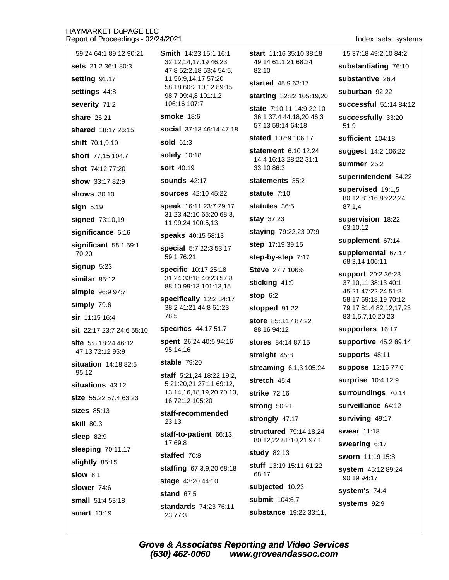| 59:24 64:1 89:12 90:21                   | <b>Smith</b> 14:23 15:1 16:1<br>32:12,14,17,19 46:23<br>47:8 52:2,18 53:4 54:5,<br>11 56:9,14,17 57:20 | start 11:16 35:10 38:18<br>49:14 61:1,21 68:24<br>82:10 | 15 37:18 49:2,10 84:2                       |
|------------------------------------------|--------------------------------------------------------------------------------------------------------|---------------------------------------------------------|---------------------------------------------|
| sets 21:2 36:1 80:3                      |                                                                                                        |                                                         | substantiating 76:10                        |
| setting 91:17                            |                                                                                                        | started 45:9 62:17                                      | substantive 26:4                            |
| settings 44:8                            | 58:18 60:2,10,12 89:15<br>98:7 99:4,8 101:1,2                                                          | starting 32:22 105:19,20                                | suburban 92:22                              |
| severity 71:2                            | 106:16 107:7                                                                                           | state 7:10,11 14:9 22:10                                | successful 51:14 84:12                      |
| share 26:21                              | <b>smoke 18:6</b>                                                                                      | 36:1 37:4 44:18,20 46:3                                 | successfully 33:20                          |
| shared 18:17 26:15                       | social 37:13 46:14 47:18                                                                               | 57:13 59:14 64:18                                       | 51:9                                        |
| shift 70:1,9,10                          | sold 61:3                                                                                              | stated 102:9 106:17                                     | sufficient 104:18                           |
| short 77:15 104:7                        | solely 10:18                                                                                           | statement 6:10 12:24<br>14:4 16:13 28:22 31:1           | suggest 14:2 106:22                         |
| shot 74:12 77:20                         | <b>sort</b> 40:19                                                                                      | 33:10 86:3                                              | summer 25:2                                 |
| show 33:17 82:9                          | <b>sounds</b> 42:17                                                                                    | statements 35:2                                         | superintendent 54:22                        |
| <b>shows</b> 30:10                       | <b>sources</b> 42:10 45:22                                                                             | statute 7:10                                            | supervised 19:1,5<br>80:12 81:16 86:22,24   |
| sign 5:19                                | speak 16:11 23:7 29:17                                                                                 | statutes 36:5                                           | 87:1,4                                      |
| signed 73:10,19                          | 31:23 42:10 65:20 68:8,<br>11 99:24 100:5,13                                                           | stay 37:23                                              | supervision 18:22                           |
| significance 6:16                        | speaks 40:15 58:13                                                                                     | staying 79:22,23 97:9                                   | 63:10,12                                    |
| significant 55:1 59:1                    | special 5:7 22:3 53:17<br>59:1 76:21                                                                   | step 17:19 39:15                                        | supplement 67:14                            |
| 70:20                                    |                                                                                                        | step-by-step 7:17                                       | supplemental 67:17<br>68:3,14 106:11        |
| $signup$ 5:23                            | specific 10:17 25:18                                                                                   | Steve 27:7 106:6                                        | support 20:2 36:23<br>37:10,11 38:13 40:1   |
| similar $85:12$                          | 31:24 33:18 40:23 57:8<br>88:10 99:13 101:13,15                                                        | sticking 41:9                                           |                                             |
| simple 96:9 97:7                         | specifically 12:2 34:17<br>38:2 41:21 44:8 61:23<br>78:5                                               | stop $6:2$                                              | 45:21 47:22,24 51:2<br>58:17 69:18,19 70:12 |
| simply 79:6                              |                                                                                                        | stopped 91:22                                           | 79:17 81:4 82:12,17,23                      |
| $sir$ 11:15 16:4                         |                                                                                                        | store 85:3,17 87:22                                     | 83:1,5,7,10,20,23                           |
| sit 22:17 23:7 24:6 55:10                | <b>specifics</b> 44:17 51:7                                                                            | 88:16 94:12                                             | supporters 16:17                            |
| site 5:8 18:24 46:12<br>47:13 72:12 95:9 | spent 26:24 40:5 94:16<br>95:14,16                                                                     | stores 84:14 87:15                                      | supportive 45:2 69:14                       |
| situation 14:18 82:5                     | stable $79:20$                                                                                         | straight 45:8                                           | supports 48:11                              |
| 95:12                                    | staff 5:21,24 18:22 19:2,                                                                              | streaming 6:1,3 105:24                                  | suppose 12:16 77:6                          |
| situations 43:12                         | 5 21:20,21 27:11 69:12,                                                                                | stretch 45:4                                            | surprise 10:4 12:9                          |
| size 55:22 57:4 63:23                    | 13, 14, 16, 18, 19, 20 70: 13,<br>16 72:12 105:20                                                      | strike 72:16                                            | surroundings 70:14                          |
| <b>sizes</b> 85:13                       | staff-recommended                                                                                      | <b>strong 50:21</b>                                     | surveillance 64:12                          |
| <b>skill 80:3</b>                        | 23:13                                                                                                  | strongly 47:17                                          | surviving 49:17                             |
| sleep $82:9$                             | staff-to-patient 66:13,                                                                                | structured 79:14,18,24                                  | swear 11:18                                 |
| sleeping 70:11,17                        | 17 69:8                                                                                                | 80:12,22 81:10,21 97:1<br>study 82:13                   | swearing 6:17                               |
| slightly 85:15                           | staffed 70:8                                                                                           |                                                         | sworn 11:19 15:8                            |
| <b>slow 8:1</b>                          | staffing 67:3,9,20 68:18                                                                               | stuff 13:19 15:11 61:22<br>68:17                        | system 45:12 89:24<br>90:19 94:17           |
| slower 74:6                              | stage 43:20 44:10                                                                                      | subjected 10:23                                         |                                             |
| small 51:4 53:18                         | <b>stand 67:5</b>                                                                                      | submit 104:6,7                                          | system's 74:4                               |
| <b>smart</b> 13:19                       | standards 74:23 76:11,<br>23 77:3                                                                      | substance 19:22 33:11,                                  | systems 92:9                                |
|                                          |                                                                                                        |                                                         |                                             |

Index: sets..systems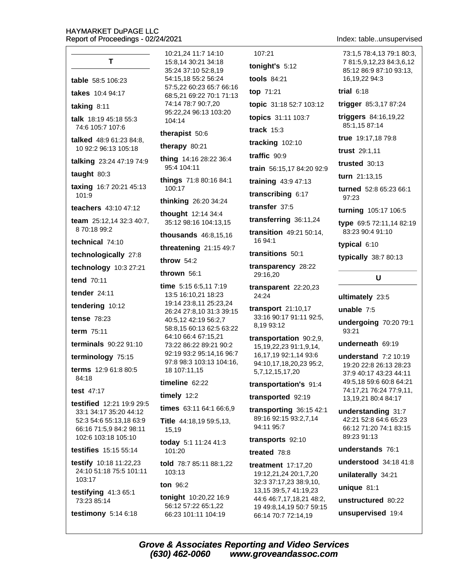# T

table 58:5 106:23

takes 10:4 94:17

taking  $8:11$ 

talk 18:19 45:18 55:3 74:6 105:7 107:6

talked 48:9 61:23 84:8, 10 92:2 96:13 105:18

talking 23:24 47:19 74:9

taught 80:3

taxing 16:7 20:21 45:13 101:9

teachers 43:10 47:12

team 25:12,14 32:3 40:7, 870:1899:2

technical 74:10

technologically 27:8

technology 10:3 27:21

tend 70:11

tender  $24:11$ 

tendering 10:12

**tense 78:23** 

term 75:11

**terminals** 90:22 91:10

terminology 75:15

terms 12:9 61:8 80:5 84:18

test 47:17

testified 12:21 19:9 29:5 33:1 34:17 35:20 44:12 52:3 54:6 55:13,18 63:9 66:16 71:5.9 84:2 98:11 102:6 103:18 105:10

**testifies** 15:15 55:14

testify 10:18 11:22,23 24:10 51:18 75:5 101:11 103:17

testifying  $41:365:1$ 73:23 85:14

testimony  $5:146:18$ 

10:21.24 11:7 14:10 15:8.14 30:21 34:18 35:24 37:10 52:8,19 54:15,18 55:2 56:24 57:5.22 60:23 65:7 66:16 68:5,21 69:22 70:1 71:13 74:14 78:7 90:7,20 95:22.24 96:13 103:20 104:14

#### therapist 50:6

therapy  $80:21$ 

thing 14:16 28:22 36:4 95:4 104:11

things 71:8 80:16 84:1 100:17

thinking 26:20 34:24

thought 12:14 34:4 35:12 98:16 104:13,15

**thousands**  $46:8,15,16$ 

threatening  $21:1549:7$ 

throw  $54:2$ 

thrown 56:1

time 5:15 6:5,11 7:19 13:5 16:10,21 18:23 19:14 23:8,11 25:23,24 26:24 27:8,10 31:3 39:15 40:5,12 42:19 56:2,7 58:8.15 60:13 62:5 63:22 64:10 66:4 67:15.21 73:22 86:22 89:21 90:2 92:19 93:2 95:14,16 96:7 97:8 98:3 103:13 104:16, 18 107:11,15

#### timeline 62:22

timely  $12:2$ 

times 63:11 64:1 66:6.9

Title 44:18,19 59:5,13, 15,19

today 5:1 11:24 41:3 101:20

told 78:7 85:11 88:1,22 103:13

#### ton 96:2

tonight 10:20,22 16:9 56:12 57:22 65:1,22 66:23 101:11 104:19

107:21 tonight's  $5:12$ tools 84:21 top 71:21 topic 31:18 52:7 103:12 topics 31:11 103:7 track  $15:3$ tracking 102:10 traffic 90:9 train 56:15.17 84:20 92:9 training 43:9 47:13 transcribing 6:17

transfer  $37:5$ 

transferring 36:11,24

**transition** 49:21 50:14, 16 94:1

transitions 50:1

transparency 28:22 29:16,20

transparent 22:20,23 24:24

**transport** 21:10,17 33:16 90:17 91:11 92:5, 8.19 93:12

transportation 90:2,9, 15, 19, 22, 23 91: 1, 9, 14, 16,17,19 92:1,14 93:6 94:10,17,18,20,23 95:2, 5,7,12,15,17,20

#### transportation's 91:4

transported 92:19

transporting  $36:1542:1$ 89:16 92:15 93:2,7,14 94:11 95:7

#### transports 92:10

treated 78:8

**treatment** 17:17,20 19:12,21,24 20:1,7,20 32:3 37:17,23 38:9,10, 13, 15 39: 5, 7 41: 19, 23 44:6 46:7,17,18,21 48:2, 19 49:8,14,19 50:7 59:15 66:14 70:7 72:14,19

#### Index: table..unsupervised

73:1.5 78:4.13 79:1 80:3. 7 81:5.9.12.23 84:3.6.12 85:12 86:9 87:10 93:13, 16,19,22 94:3

trial  $6:18$ 

trigger 85:3,17 87:24

triggers 84:16,19,22 85:1,15 87:14

true 19:17,18 79:8

trust 29:1.11

trusted 30:13

turn 21:13.15

turned 52:8 65:23 66:1 97:23

turning 105:17 106:5

type 69:5 72:11,14 82:19 83:23 90:4 91:10

typical 6:10

typically 38:7 80:13

## U

ultimately 23:5

unable  $7:5$ 

undergoing 70:20 79:1 93:21

underneath 69:19

understand  $7:2$  10:19 19:20 22:8 26:13 28:23 37:9 40:17 43:23 44:11 49:5,18 59:6 60:8 64:21 74:17,21 76:24 77:9,11, 13, 19, 21 80: 4 84: 17

understanding 31:7 42:21 52:8 64:6 65:23 66:12 71:20 74:1 83:15 89:23 91:13

understands 76:1

understood 34:18 41:8

unilaterally 34:21

unique 81:1

unstructured 80:22

unsupervised 19:4